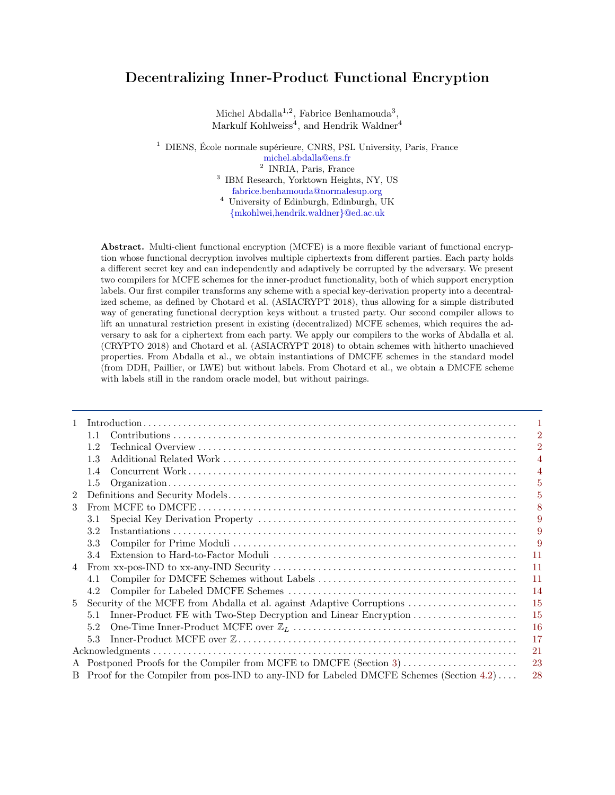# Decentralizing Inner-Product Functional Encryption

Michel Abdalla<sup>1,2</sup>, Fabrice Benhamouda<sup>3</sup>, Markulf Kohlweiss<sup>4</sup>, and Hendrik Waldner<sup>4</sup>

<sup>1</sup> DIENS, École normale supérieure, CNRS, PSL University, Paris, France

[michel.abdalla@ens.fr](mailto:michel.abdalla@ens.fr) 2 INRIA, Paris, France

3 IBM Research, Yorktown Heights, NY, US [fabrice.benhamouda@normalesup.org](mailto:fabrice.benhamouda@normalesup.org)

<sup>4</sup> University of Edinburgh, Edinburgh, UK [{mkohlwei,hendrik.waldner}@ed.ac.uk](mailto:mkohlwei@ed.ac.uk,hendrik.waldner@ed.ac.uk)

Abstract. Multi-client functional encryption (MCFE) is a more flexible variant of functional encryption whose functional decryption involves multiple ciphertexts from different parties. Each party holds a different secret key and can independently and adaptively be corrupted by the adversary. We present two compilers for MCFE schemes for the inner-product functionality, both of which support encryption labels. Our first compiler transforms any scheme with a special key-derivation property into a decentralized scheme, as defined by Chotard et al. (ASIACRYPT 2018), thus allowing for a simple distributed way of generating functional decryption keys without a trusted party. Our second compiler allows to lift an unnatural restriction present in existing (decentralized) MCFE schemes, which requires the adversary to ask for a ciphertext from each party. We apply our compilers to the works of Abdalla et al. (CRYPTO 2018) and Chotard et al. (ASIACRYPT 2018) to obtain schemes with hitherto unachieved properties. From Abdalla et al., we obtain instantiations of DMCFE schemes in the standard model (from DDH, Paillier, or LWE) but without labels. From Chotard et al., we obtain a DMCFE scheme with labels still in the random oracle model, but without pairings.

| $\mathbf{1}$   |                                                                                                |                                                                       | 1              |  |
|----------------|------------------------------------------------------------------------------------------------|-----------------------------------------------------------------------|----------------|--|
|                | 11                                                                                             |                                                                       | $\overline{2}$ |  |
|                | 12                                                                                             |                                                                       | $\overline{2}$ |  |
|                | 1.3                                                                                            |                                                                       | 4              |  |
|                | 1.4                                                                                            |                                                                       | 4              |  |
|                | $1.5\,$                                                                                        |                                                                       | 5              |  |
| $\overline{2}$ |                                                                                                |                                                                       | 5              |  |
| 3              |                                                                                                |                                                                       | 8              |  |
|                | 3.1                                                                                            |                                                                       | 9              |  |
|                | 3.2                                                                                            |                                                                       | 9              |  |
|                | 3.3                                                                                            |                                                                       | 9              |  |
|                | 3.4                                                                                            |                                                                       | 11             |  |
| 4              |                                                                                                |                                                                       | 11             |  |
|                | 4.1                                                                                            |                                                                       | 11             |  |
|                | 4.2                                                                                            |                                                                       | 14             |  |
| 5              |                                                                                                | Security of the MCFE from Abdalla et al. against Adaptive Corruptions | 15             |  |
|                | 5.1                                                                                            | Inner-Product FE with Two-Step Decryption and Linear Encryption       | 15             |  |
|                | 5.2                                                                                            |                                                                       | <sup>16</sup>  |  |
|                | 5.3                                                                                            |                                                                       | 17             |  |
|                |                                                                                                |                                                                       | 21             |  |
|                |                                                                                                | 23                                                                    |                |  |
|                | B Proof for the Compiler from pos-IND to any-IND for Labeled DMCFE Schemes (Section 4.2)<br>28 |                                                                       |                |  |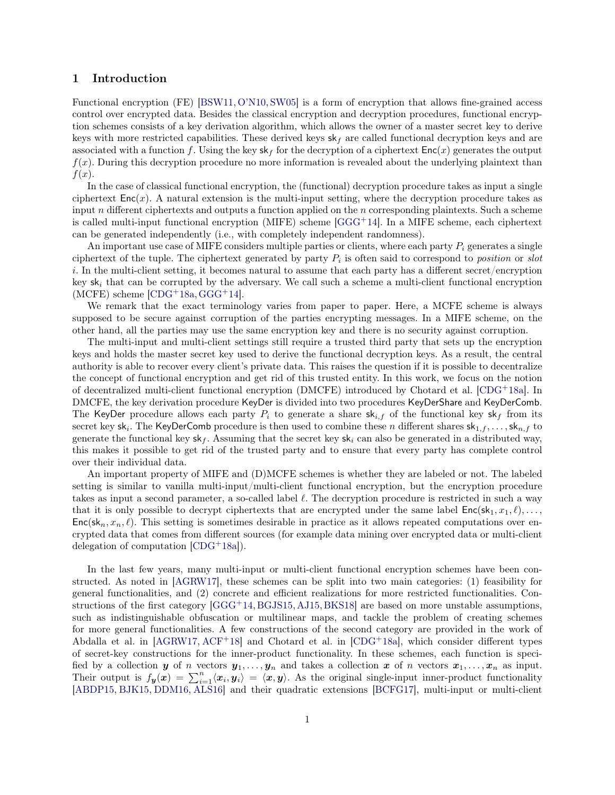# <span id="page-1-0"></span>1 Introduction

Functional encryption (FE) [\[BSW11,](#page-22-0) [O'N10,](#page-22-1) [SW05\]](#page-22-2) is a form of encryption that allows fine-grained access control over encrypted data. Besides the classical encryption and decryption procedures, functional encryption schemes consists of a key derivation algorithm, which allows the owner of a master secret key to derive keys with more restricted capabilities. These derived keys  $sk_f$  are called functional decryption keys and are associated with a function f. Using the key  $s \kappa_f$  for the decryption of a ciphertext  $Enc(x)$  generates the output  $f(x)$ . During this decryption procedure no more information is revealed about the underlying plaintext than  $f(x)$ .

In the case of classical functional encryption, the (functional) decryption procedure takes as input a single ciphertext  $Enc(x)$ . A natural extension is the multi-input setting, where the decryption procedure takes as input  $n$  different ciphertexts and outputs a function applied on the  $n$  corresponding plaintexts. Such a scheme is called multi-input functional encryption (MIFE) scheme  $[GGG^+14]$  $[GGG^+14]$ . In a MIFE scheme, each ciphertext can be generated independently (i.e., with completely independent randomness).

An important use case of MIFE considers multiple parties or clients, where each party  $P_i$  generates a single ciphertext of the tuple. The ciphertext generated by party  $P_i$  is often said to correspond to *position* or slot i. In the multi-client setting, it becomes natural to assume that each party has a different secret/encryption key  $sk_i$  that can be corrupted by the adversary. We call such a scheme a multi-client functional encryption  $(MCFE)$  scheme  $[CDG+18a, GGG+14]$  $[CDG+18a, GGG+14]$  $[CDG+18a, GGG+14]$  $[CDG+18a, GGG+14]$ .

We remark that the exact terminology varies from paper to paper. Here, a MCFE scheme is always supposed to be secure against corruption of the parties encrypting messages. In a MIFE scheme, on the other hand, all the parties may use the same encryption key and there is no security against corruption.

The multi-input and multi-client settings still require a trusted third party that sets up the encryption keys and holds the master secret key used to derive the functional decryption keys. As a result, the central authority is able to recover every client's private data. This raises the question if it is possible to decentralize the concept of functional encryption and get rid of this trusted entity. In this work, we focus on the notion of decentralized multi-client functional encryption (DMCFE) introduced by Chotard et al. [\[CDG](#page-22-4)<sup>+</sup>18a]. In DMCFE, the key derivation procedure KeyDer is divided into two procedures KeyDerShare and KeyDerComb. The KeyDer procedure allows each party  $P_i$  to generate a share  $s k_{i,f}$  of the functional key  $s k_f$  from its secret key sk<sub>i</sub>. The KeyDerComb procedure is then used to combine these n different shares  $\mathsf{sk}_{1,f},\ldots,\mathsf{sk}_{n,f}$  to generate the functional key  $sk_f$ . Assuming that the secret key  $sk_i$  can also be generated in a distributed way, this makes it possible to get rid of the trusted party and to ensure that every party has complete control over their individual data.

An important property of MIFE and (D)MCFE schemes is whether they are labeled or not. The labeled setting is similar to vanilla multi-input/multi-client functional encryption, but the encryption procedure takes as input a second parameter, a so-called label  $\ell$ . The decryption procedure is restricted in such a way that it is only possible to decrypt ciphertexts that are encrypted under the same label  $Enc(s_{k_1}, x_1, \ell), \ldots$  $Enc(s_{k_1}, x_n, \ell)$ . This setting is sometimes desirable in practice as it allows repeated computations over encrypted data that comes from different sources (for example data mining over encrypted data or multi-client delegation of computation  $[CDG+18a]$  $[CDG+18a]$ .

In the last few years, many multi-input or multi-client functional encryption schemes have been constructed. As noted in [\[AGRW17\]](#page-21-1), these schemes can be split into two main categories: (1) feasibility for general functionalities, and (2) concrete and efficient realizations for more restricted functionalities. Constructions of the first category [\[GGG](#page-22-3)<sup>+</sup>14, [BGJS15,](#page-22-5) [AJ15,](#page-21-2) [BKS18\]](#page-22-6) are based on more unstable assumptions, such as indistinguishable obfuscation or multilinear maps, and tackle the problem of creating schemes for more general functionalities. A few constructions of the second category are provided in the work of Abdalla et al. in  $[AGRW17, ACF+18]$  $[AGRW17, ACF+18]$  $[AGRW17, ACF+18]$  $[AGRW17, ACF+18]$  and Chotard et al. in  $[CDG+18a]$  $[CDG+18a]$ , which consider different types of secret-key constructions for the inner-product functionality. In these schemes, each function is specified by a collection y of n vectors  $y_1, \ldots, y_n$  and takes a collection x of n vectors  $x_1, \ldots, x_n$  as input. Their output is  $f_{\bm{y}}(\bm{x}) = \sum_{i=1}^n \langle \bm{x}_i, \bm{y}_i \rangle = \langle \bm{x}, \bm{y} \rangle$ . As the original single-input inner-product functionality [\[ABDP15,](#page-21-4) [BJK15,](#page-22-7) [DDM16,](#page-22-8) [ALS16\]](#page-21-5) and their quadratic extensions [\[BCFG17\]](#page-21-6), multi-input or multi-client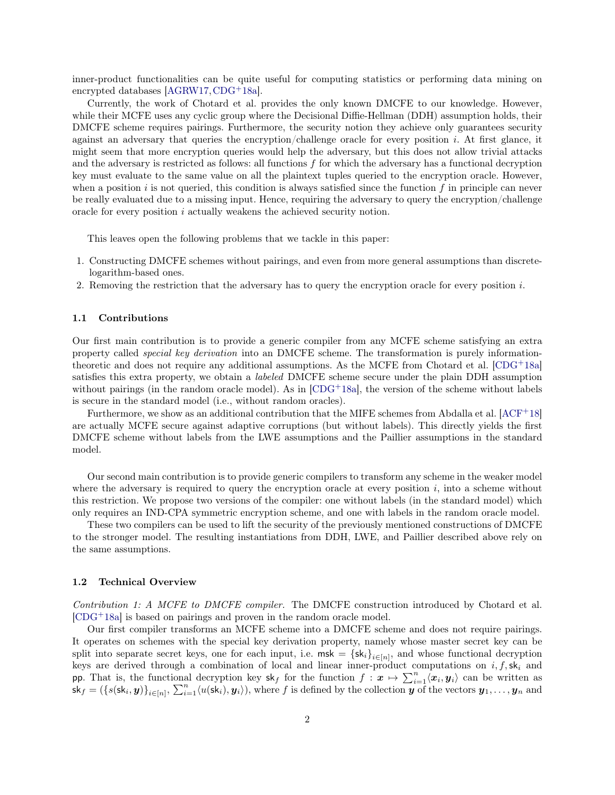inner-product functionalities can be quite useful for computing statistics or performing data mining on encrypted databases [\[AGRW17,](#page-21-1)[CDG](#page-22-4)+18a].

Currently, the work of Chotard et al. provides the only known DMCFE to our knowledge. However, while their MCFE uses any cyclic group where the Decisional Diffie-Hellman (DDH) assumption holds, their DMCFE scheme requires pairings. Furthermore, the security notion they achieve only guarantees security against an adversary that queries the encryption/challenge oracle for every position  $i$ . At first glance, it might seem that more encryption queries would help the adversary, but this does not allow trivial attacks and the adversary is restricted as follows: all functions  $f$  for which the adversary has a functional decryption key must evaluate to the same value on all the plaintext tuples queried to the encryption oracle. However, when a position i is not queried, this condition is always satisfied since the function f in principle can never be really evaluated due to a missing input. Hence, requiring the adversary to query the encryption/challenge oracle for every position i actually weakens the achieved security notion.

This leaves open the following problems that we tackle in this paper:

- 1. Constructing DMCFE schemes without pairings, and even from more general assumptions than discretelogarithm-based ones.
- 2. Removing the restriction that the adversary has to query the encryption oracle for every position  $i$ .

#### <span id="page-2-0"></span>1.1 Contributions

Our first main contribution is to provide a generic compiler from any MCFE scheme satisfying an extra property called special key derivation into an DMCFE scheme. The transformation is purely informationtheoretic and does not require any additional assumptions. As the MCFE from Chotard et al.  $[CDG^+18a]$  $[CDG^+18a]$ satisfies this extra property, we obtain a labeled DMCFE scheme secure under the plain DDH assumption without pairings (in the random oracle model). As in  $[CDG+18a]$  $[CDG+18a]$ , the version of the scheme without labels is secure in the standard model (i.e., without random oracles).

Furthermore, we show as an additional contribution that the MIFE schemes from Abdalla et al.  $[ACF<sup>+</sup>18]$  $[ACF<sup>+</sup>18]$ are actually MCFE secure against adaptive corruptions (but without labels). This directly yields the first DMCFE scheme without labels from the LWE assumptions and the Paillier assumptions in the standard model.

Our second main contribution is to provide generic compilers to transform any scheme in the weaker model where the adversary is required to query the encryption oracle at every position  $i$ , into a scheme without this restriction. We propose two versions of the compiler: one without labels (in the standard model) which only requires an IND-CPA symmetric encryption scheme, and one with labels in the random oracle model.

These two compilers can be used to lift the security of the previously mentioned constructions of DMCFE to the stronger model. The resulting instantiations from DDH, LWE, and Paillier described above rely on the same assumptions.

### <span id="page-2-1"></span>1.2 Technical Overview

Contribution 1: A MCFE to DMCFE compiler. The DMCFE construction introduced by Chotard et al. [\[CDG](#page-22-4)<sup>+</sup>18a] is based on pairings and proven in the random oracle model.

Our first compiler transforms an MCFE scheme into a DMCFE scheme and does not require pairings. It operates on schemes with the special key derivation property, namely whose master secret key can be split into separate secret keys, one for each input, i.e.  $msk = {sk_i}_{i\in[n]}$ , and whose functional decryption keys are derived through a combination of local and linear inner-product computations on  $i, f, s k_i$  and pp. That is, the functional decryption key  $sk_f$  for the function  $f: \mathbf{x} \mapsto \sum_{i=1}^n \langle x_i, y_i \rangle$  can be written as  $\mathsf{sk}_f = (\{s(\mathsf{sk}_i, \mathbf{y})\}_{i \in [n]}, \sum_{i=1}^n \langle u(\mathsf{sk}_i), \mathbf{y}_i \rangle), \text{ where } f \text{ is defined by the collection } \mathbf{y} \text{ of the vectors } \mathbf{y}_1, \dots, \mathbf{y}_n \text{ and } \mathbf{y}_n \in [n] \}$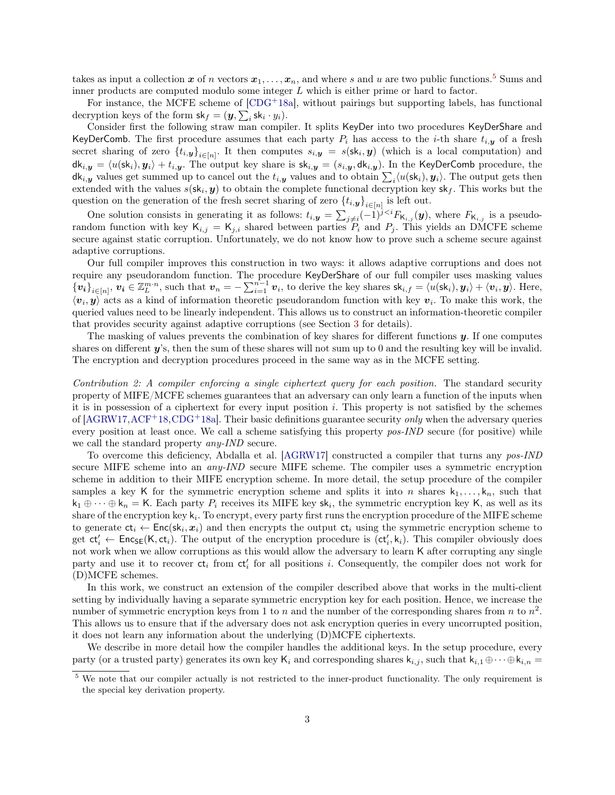takes as input a collection x of n vectors  $x_1, \ldots, x_n$ , and where s and u are two public functions.<sup>[5](#page-3-0)</sup> Sums and inner products are computed modulo some integer L which is either prime or hard to factor.

For instance, the MCFE scheme of  $[CDG+18a]$  $[CDG+18a]$ , without pairings but supporting labels, has functional decryption keys of the form  $\mathsf{sk}_f = (\boldsymbol{y}, \sum_i \mathsf{sk}_i \cdot y_i).$ 

Consider first the following straw man compiler. It splits KeyDer into two procedures KeyDerShare and KeyDerComb. The first procedure assumes that each party  $P_i$  has access to the *i*-th share  $t_{i,\mathbf{v}}$  of a fresh secret sharing of zero  $\{t_{i,\boldsymbol{y}}\}_{i\in[n]}$ . It then computes  $s_{i,\boldsymbol{y}} = s(\boldsymbol{\mathsf{sk}}_i,\boldsymbol{y})$  (which is a local computation) and  $dk_{i,y} = \langle u(\mathsf{sk}_i), y_i \rangle + t_{i,y}$ . The output key share is  $\mathsf{sk}_{i,y} = (s_{i,y}, \mathsf{dk}_{i,y})$ . In the KeyDerComb procedure, the  $\mathsf{dk}_{i,\bm{y}}$  values get summed up to cancel out the  $t_{i,\bm{y}}$  values and to obtain  $\sum_i \langle u(\mathsf{sk}_i), \bm{y}_i \rangle$ . The output gets then extended with the values  $s({\bf sk}_i, y)$  to obtain the complete functional decryption key  ${\bf sk}_f$ . This works but the question on the generation of the fresh secret sharing of zero  $\{t_{i,\mathbf{y}}\}_{i\in[n]}$  is left out.

One solution consists in generating it as follows:  $t_{i,\mathbf{y}} = \sum_{j\neq i}(-1)^{j\lt i}F_{\mathsf{K}_{i,j}}(\mathbf{y})$ , where  $F_{\mathsf{K}_{i,j}}$  is a pseudorandom function with key  $\mathsf{K}_{i,j} = \mathsf{K}_{j,i}$  shared between parties  $P_i$  and  $P_j$ . This yields an DMCFE scheme secure against static corruption. Unfortunately, we do not know how to prove such a scheme secure against adaptive corruptions.

Our full compiler improves this construction in two ways: it allows adaptive corruptions and does not require any pseudorandom function. The procedure KeyDerShare of our full compiler uses masking values  ${\{v_i\}}_{i\in[n]}, v_i \in \mathbb{Z}_L^{m \cdot n}$ , such that  $v_n = -\sum_{i=1}^{n-1} v_i$ , to derive the key shares  $\mathsf{sk}_{i,f} = \langle u(\mathsf{sk}_i), y_i \rangle + \langle v_i, y \rangle$ . Here,  $\langle v_i, y \rangle$  acts as a kind of information theoretic pseudorandom function with key  $v_i$ . To make this work, the queried values need to be linearly independent. This allows us to construct an information-theoretic compiler that provides security against adaptive corruptions (see Section [3](#page-8-0) for details).

The masking of values prevents the combination of key shares for different functions  $\boldsymbol{y}$ . If one computes shares on different  $y$ 's, then the sum of these shares will not sum up to 0 and the resulting key will be invalid. The encryption and decryption procedures proceed in the same way as in the MCFE setting.

Contribution 2: A compiler enforcing a single ciphertext query for each position. The standard security property of MIFE/MCFE schemes guarantees that an adversary can only learn a function of the inputs when it is in possession of a ciphertext for every input position i. This property is not satisfied by the schemes of  $[AGRW17,ACF+18,CDG+18a]$  $[AGRW17,ACF+18,CDG+18a]$  $[AGRW17,ACF+18,CDG+18a]$  $[AGRW17,ACF+18,CDG+18a]$  $[AGRW17,ACF+18,CDG+18a]$ . Their basic definitions guarantee security *only* when the adversary queries every position at least once. We call a scheme satisfying this property pos-IND secure (for positive) while we call the standard property any-IND secure.

To overcome this deficiency, Abdalla et al. [\[AGRW17\]](#page-21-1) constructed a compiler that turns any pos-IND secure MIFE scheme into an *any-IND* secure MIFE scheme. The compiler uses a symmetric encryption scheme in addition to their MIFE encryption scheme. In more detail, the setup procedure of the compiler samples a key K for the symmetric encryption scheme and splits it into n shares  $k_1, \ldots, k_n$ , such that  $k_1 \oplus \cdots \oplus k_n = K$ . Each party  $P_i$  receives its MIFE key  $sk_i$ , the symmetric encryption key K, as well as its share of the encryption key  $k_i$ . To encrypt, every party first runs the encryption procedure of the MIFE scheme to generate  $ct_i \leftarrow Enc(\mathsf{sk}_i, x_i)$  and then encrypts the output  $ct_i$  using the symmetric encryption scheme to get  $ct'_i \leftarrow \mathsf{Enc}_{\mathsf{SE}}(\mathsf{K}, ct_i)$ . The output of the encryption procedure is  $(ct'_i, k_i)$ . This compiler obviously does not work when we allow corruptions as this would allow the adversary to learn K after corrupting any single party and use it to recover  $ct_i$  from  $ct_i'$  for all positions i. Consequently, the compiler does not work for (D)MCFE schemes.

In this work, we construct an extension of the compiler described above that works in the multi-client setting by individually having a separate symmetric encryption key for each position. Hence, we increase the number of symmetric encryption keys from 1 to n and the number of the corresponding shares from n to  $n^2$ . This allows us to ensure that if the adversary does not ask encryption queries in every uncorrupted position, it does not learn any information about the underlying (D)MCFE ciphertexts.

We describe in more detail how the compiler handles the additional keys. In the setup procedure, every party (or a trusted party) generates its own key K<sub>i</sub> and corresponding shares  $k_{i,j}$ , such that  $k_{i,1} \oplus \cdots \oplus k_{i,n} =$ 

<span id="page-3-0"></span><sup>5</sup> We note that our compiler actually is not restricted to the inner-product functionality. The only requirement is the special key derivation property.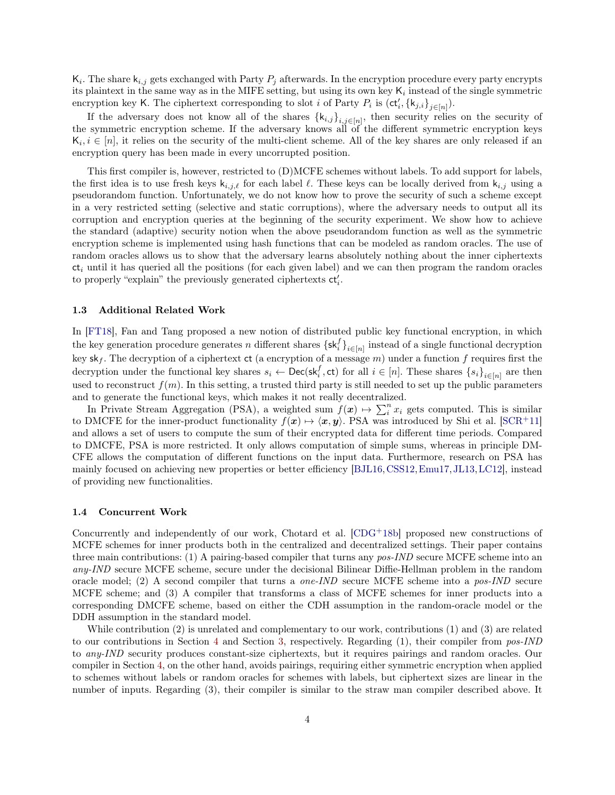$\mathsf{K}_i$ . The share  $\mathsf{k}_{i,j}$  gets exchanged with Party  $P_j$  afterwards. In the encryption procedure every party encrypts its plaintext in the same way as in the MIFE setting, but using its own key  $\mathsf{K}_i$  instead of the single symmetric encryption key K. The ciphertext corresponding to slot *i* of Party  $P_i$  is  $(\mathsf{ct}'_i, \{\mathsf{k}_{j,i}\}_{j \in [n]})$ .

If the adversary does not know all of the shares  $\{k_{i,j}\}_{i,j\in[n]}$ , then security relies on the security of the symmetric encryption scheme. If the adversary knows all of the different symmetric encryption keys  $\mathsf{K}_i, i \in [n]$ , it relies on the security of the multi-client scheme. All of the key shares are only released if an encryption query has been made in every uncorrupted position.

This first compiler is, however, restricted to (D)MCFE schemes without labels. To add support for labels, the first idea is to use fresh keys  $k_{i,j,\ell}$  for each label  $\ell$ . These keys can be locally derived from  $k_{i,j}$  using a pseudorandom function. Unfortunately, we do not know how to prove the security of such a scheme except in a very restricted setting (selective and static corruptions), where the adversary needs to output all its corruption and encryption queries at the beginning of the security experiment. We show how to achieve the standard (adaptive) security notion when the above pseudorandom function as well as the symmetric encryption scheme is implemented using hash functions that can be modeled as random oracles. The use of random oracles allows us to show that the adversary learns absolutely nothing about the inner ciphertexts  $ct_i$  until it has queried all the positions (for each given label) and we can then program the random oracles to properly "explain" the previously generated ciphertexts  $\mathsf{ct}'_i$ .

### <span id="page-4-0"></span>1.3 Additional Related Work

In [\[FT18\]](#page-22-9), Fan and Tang proposed a new notion of distributed public key functional encryption, in which the key generation procedure generates n different shares  $\{sk_i^f\}_{i\in[n]}$  instead of a single functional decryption key sk<sub>f</sub>. The decryption of a ciphertext ct (a encryption of a message m) under a function f requires first the decryption under the functional key shares  $s_i \leftarrow \mathsf{Dec}(\mathsf{sk}_i^f, \mathsf{ct})$  for all  $i \in [n]$ . These shares  $\{s_i\}_{i \in [n]}$  are then used to reconstruct  $f(m)$ . In this setting, a trusted third party is still needed to set up the public parameters and to generate the functional keys, which makes it not really decentralized.

In Private Stream Aggregation (PSA), a weighted sum  $f(x) \mapsto \sum_{i=1}^{n} x_i$  gets computed. This is similar to DMCFE for the inner-product functionality  $f(x) \mapsto \langle x, y \rangle$ . PSA was introduced by Shi et al. [\[SCR](#page-22-10)<sup>+</sup>11] and allows a set of users to compute the sum of their encrypted data for different time periods. Compared to DMCFE, PSA is more restricted. It only allows computation of simple sums, whereas in principle DM-CFE allows the computation of different functions on the input data. Furthermore, research on PSA has mainly focused on achieving new properties or better efficiency [\[BJL16,](#page-22-11)[CSS12,](#page-22-12)[Emu17,](#page-22-13)[JL13,](#page-22-14)[LC12\]](#page-22-15), instead of providing new functionalities.

### <span id="page-4-1"></span>1.4 Concurrent Work

Concurrently and independently of our work, Chotard et al.  $[CDG+18b]$  $[CDG+18b]$  proposed new constructions of MCFE schemes for inner products both in the centralized and decentralized settings. Their paper contains three main contributions: (1) A pairing-based compiler that turns any pos-IND secure MCFE scheme into an any-IND secure MCFE scheme, secure under the decisional Bilinear Diffie-Hellman problem in the random oracle model; (2) A second compiler that turns a one-IND secure MCFE scheme into a pos-IND secure MCFE scheme; and (3) A compiler that transforms a class of MCFE schemes for inner products into a corresponding DMCFE scheme, based on either the CDH assumption in the random-oracle model or the DDH assumption in the standard model.

While contribution (2) is unrelated and complementary to our work, contributions (1) and (3) are related to our contributions in Section [4](#page-11-1) and Section [3,](#page-8-0) respectively. Regarding (1), their compiler from pos-IND to any-IND security produces constant-size ciphertexts, but it requires pairings and random oracles. Our compiler in Section [4,](#page-11-1) on the other hand, avoids pairings, requiring either symmetric encryption when applied to schemes without labels or random oracles for schemes with labels, but ciphertext sizes are linear in the number of inputs. Regarding (3), their compiler is similar to the straw man compiler described above. It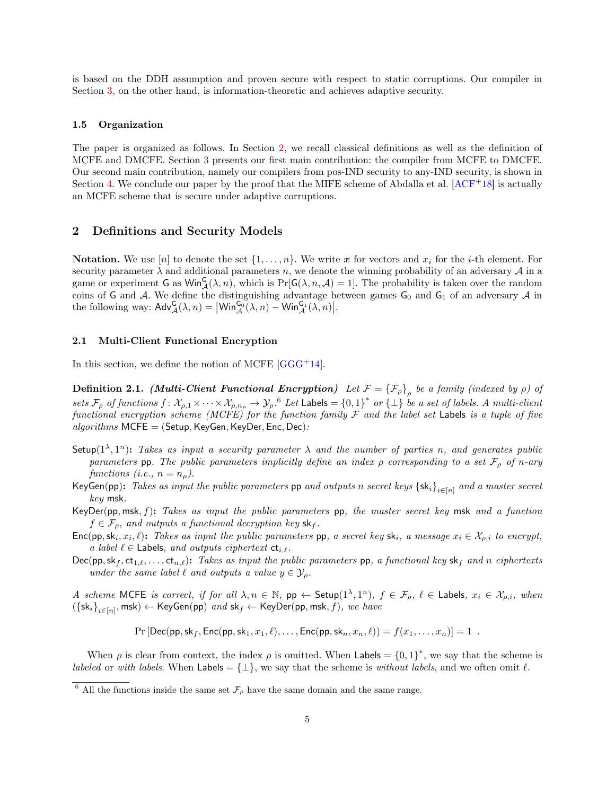is based on the DDH assumption and proven secure with respect to static corruptions. Our compiler in Section [3,](#page-8-0) on the other hand, is information-theoretic and achieves adaptive security.

#### <span id="page-5-0"></span>1.5 Organization

The paper is organized as follows. In Section [2,](#page-5-1) we recall classical definitions as well as the definition of MCFE and DMCFE. Section [3](#page-8-0) presents our first main contribution: the compiler from MCFE to DMCFE. Our second main contribution, namely our compilers from pos-IND security to any-IND security, is shown in Section [4.](#page-11-1) We conclude our paper by the proof that the MIFE scheme of Abdalla et al.  $[ACF^+18]$  $[ACF^+18]$  is actually an MCFE scheme that is secure under adaptive corruptions.

# <span id="page-5-1"></span>2 Definitions and Security Models

**Notation.** We use [n] to denote the set  $\{1, \ldots, n\}$ . We write x for vectors and  $x_i$  for the *i*-th element. For security parameter  $\lambda$  and additional parameters n, we denote the winning probability of an adversary  $\mathcal A$  in a game or experiment G as  $\text{Win}_{\mathcal{A}}^{\mathsf{G}}(\lambda,n)$ , which is  $\Pr[\mathsf{G}(\lambda,n,\mathcal{A})=1]$ . The probability is taken over the random coins of G and A. We define the distinguishing advantage between games  $G_0$  and  $G_1$  of an adversary A in the following way:  $\mathsf{Adv}_{\mathcal{A}}^{\mathsf{G}}(\lambda,n) = \left| \mathsf{Win}_{\mathcal{A}}^{\mathsf{G}_0}(\lambda,n) - \mathsf{Win}_{\mathcal{A}}^{\mathsf{G}_1}(\lambda,n) \right|$ .

# 2.1 Multi-Client Functional Encryption

<span id="page-5-4"></span>In this section, we define the notion of MCFE  $[GGG<sup>+</sup>14]$  $[GGG<sup>+</sup>14]$ .

**Definition 2.1.** (Multi-Client Functional Encryption) Let  $\mathcal{F} = {\{\mathcal{F}_{\rho}\}}_{\rho}$  be a family (indexed by  $\rho$ ) of sets  $\mathcal{F}_{\rho}$  of functions  $f: \mathcal{X}_{\rho,1} \times \cdots \times \mathcal{X}_{\rho,n_{\rho}} \to \mathcal{Y}_{\rho}$ .  $^6$  $^6$  Let Labels =  $\{0,1\}^*$  or  $\{\perp\}$  be a set of labels. A multi-client functional encryption scheme (MCFE) for the function family  $\mathcal F$  and the label set Labels is a tuple of five  $algorithms$  MCFE = (Setup, KeyGen, KeyDer, Enc, Dec):

- Setup( $1^{\lambda}, 1^{n}$ ): Takes as input a security parameter  $\lambda$  and the number of parties n, and generates public parameters pp. The public parameters implicitly define an index  $\rho$  corresponding to a set  $\mathcal{F}_{\rho}$  of n-ary functions (i.e.,  $n = n_{\rho}$ ).
- KeyGen(pp): *Takes as input the public parameters* pp *and outputs n secret keys*  $\{sk_i\}_{i\in[n]}$  *and a master secret* key msk.
- $KeyDer(pp, msk, f)$ : Takes as input the public parameters pp, the master secret key msk and a function  $f \in \mathcal{F}_{\rho}$ , and outputs a functional decryption key sk<sub>f</sub>.
- $Enc(pp, sk_i, x_i, \ell)$ : Takes as input the public parameters pp, a secret key sk<sub>i</sub>, a message  $x_i \in \mathcal{X}_{\rho,i}$  to encrypt, a label  $\ell \in$  Labels, and outputs ciphertext  $ct_{i,\ell}$ .
- $Dec(pp, sk_f, ct_{1,\ell}, \ldots, ct_{n,\ell})$ : Takes as input the public parameters pp, a functional key sk<sub>f</sub> and n ciphertexts under the same label  $\ell$  and outputs a value  $y \in \mathcal{Y}_\rho$ .
- A scheme MCFE is correct, if for all  $\lambda, n \in \mathbb{N}$ , pp  $\leftarrow$  Setup $(1^{\lambda}, 1^n)$ ,  $f \in \mathcal{F}_{\rho}$ ,  $\ell \in$  Labels,  $x_i \in \mathcal{X}_{\rho,i}$ , when  $(\{\mathsf{sk}_i\}_{i\in[n]},\mathsf{msk}) \leftarrow \mathsf{KeyGen}(\mathsf{pp})\ \textit{and}\ \mathsf{sk}_f \leftarrow \mathsf{KeyDer}(\mathsf{pp},\mathsf{msk},f),\ \textit{we have}$

 $Pr[Dec(pp, sk_f, Enc(pp, sk_1, x_1, \ell), \dots, Enc(pp, sk_n, x_n, \ell)) = f(x_1, \dots, x_n)] = 1$ .

When  $\rho$  is clear from context, the index  $\rho$  is omitted. When Labels =  $\{0,1\}^*$ , we say that the scheme is *labeled* or with *labels*. When Labels =  $\{\perp\}$ , we say that the scheme is without *labels*, and we often omit  $\ell$ .

<span id="page-5-3"></span><span id="page-5-2"></span><sup>&</sup>lt;sup>6</sup> All the functions inside the same set  $\mathcal{F}_{\rho}$  have the same domain and the same range.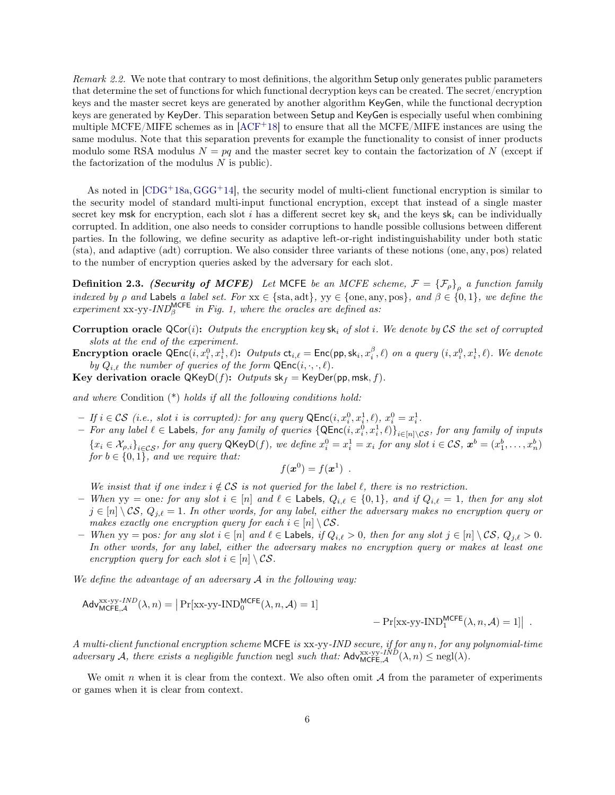Remark 2.2. We note that contrary to most definitions, the algorithm Setup only generates public parameters that determine the set of functions for which functional decryption keys can be created. The secret/encryption keys and the master secret keys are generated by another algorithm KeyGen, while the functional decryption keys are generated by KeyDer. This separation between Setup and KeyGen is especially useful when combining multiple MCFE/MIFE schemes as in  $[ACF<sup>+</sup>18]$  $[ACF<sup>+</sup>18]$  to ensure that all the MCFE/MIFE instances are using the same modulus. Note that this separation prevents for example the functionality to consist of inner products modulo some RSA modulus  $N = pq$  and the master secret key to contain the factorization of N (except if the factorization of the modulus  $N$  is public).

As noted in  $[CDG+18a, GGG+14]$  $[CDG+18a, GGG+14]$  $[CDG+18a, GGG+14]$  $[CDG+18a, GGG+14]$ , the security model of multi-client functional encryption is similar to the security model of standard multi-input functional encryption, except that instead of a single master secret key msk for encryption, each slot i has a different secret key sk<sub>i</sub> and the keys sk<sub>i</sub> can be individually corrupted. In addition, one also needs to consider corruptions to handle possible collusions between different parties. In the following, we define security as adaptive left-or-right indistinguishability under both static (sta), and adaptive (adt) corruption. We also consider three variants of these notions (one, any, pos) related to the number of encryption queries asked by the adversary for each slot.

<span id="page-6-0"></span>**Definition 2.3.** (Security of MCFE) Let MCFE be an MCFE scheme,  $\mathcal{F} = {\{\mathcal{F}_{\rho}\}}_{\rho}$  a function family indexed by ρ and Labels a label set. For  $xx \in \{sta, adt\}$ ,  $yy \in \{one, any, pos\}$ , and  $\beta \in \{0, 1\}$ , we define the experiment  $xx$ -yy-IND<sup>MCFE</sup> in Fig. [1,](#page-7-0) where the oracles are defined as:

Corruption oracle  $QCor(i)$ : Outputs the encryption key sk<sub>i</sub> of slot i. We denote by CS the set of corrupted slots at the end of the experiment.

**Encryption oracle**  $QEnc(i, x_i^0, x_i^1, \ell)$ : Outputs  $ct_{i,\ell} = Enc(pp, sk_i, x_i^{\beta}, \ell)$  on a query  $(i, x_i^0, x_i^1, \ell)$ . We denote by  $Q_{i,\ell}$  the number of queries of the form  $\mathsf{QEnc}(i, \cdot, \cdot, \ell)$ .

Key derivation oracle QKeyD(f): Outputs  $sk_f = KeyDer(pp, msk, f)$ .

and where Condition  $(*)$  holds if all the following conditions hold:

- $-If\ i \in \mathcal{CS}$  (i.e., slot i is corrupted): for any query  $\mathsf{QEnc}(i, x_i^0, x_i^1, \ell), x_i^0 = x_i^1$ .
- $-$  For any label  $\ell \in$  Labels, for any family of queries  $\{\textsf{QEnc}(i,x_i^0,x_i^1,\ell)\}_{i\in[n]\setminus\mathcal{CS}},$  for any family of inputs  ${x_i \in \mathcal{X}_{\rho,i}}_{i \in \mathcal{CS}}$ , for any query QKeyD(f), we define  $x_i^0 = x_i^1 = x_i$  for any slot  $i \in \mathcal{CS}$ ,  $\mathbf{x}^b = (x_1^b, \ldots, x_n^b)$ for  $b \in \{0,1\}$ , and we require that:

$$
f(\boldsymbol{x}^0) = f(\boldsymbol{x}^1) \enspace .
$$

We insist that if one index  $i \notin \mathcal{CS}$  is not queried for the label  $\ell$ , there is no restriction.

- When yy = one: for any slot  $i \in [n]$  and  $\ell \in$  Labels,  $Q_{i,\ell} \in \{0,1\}$ , and if  $Q_{i,\ell} = 1$ , then for any slot  $j \in [n] \setminus \mathcal{CS}, Q_{j,\ell} = 1$ . In other words, for any label, either the adversary makes no encryption query or makes exactly one encryption query for each  $i \in [n] \setminus \mathcal{CS}$ .
- When yy = pos: for any slot  $i \in [n]$  and  $\ell \in$  Labels, if  $Q_{i,\ell} > 0$ , then for any slot  $j \in [n] \setminus \mathcal{CS}$ ,  $Q_{j,\ell} > 0$ . In other words, for any label, either the adversary makes no encryption query or makes at least one encryption query for each slot  $i \in [n] \setminus \mathcal{CS}$ .

We define the advantage of an adversary  $A$  in the following way:

$$
Adv_{MCFE, \mathcal{A}}^{xx-yy-IND}(\lambda, n) = \left| \Pr[\text{xx-yy-IND}_{0}^{MCFE}(\lambda, n, \mathcal{A}) = 1] \right|
$$

 $-\Pr[\text{xx-yy-IND}_1^{\text{MCFE}}(\lambda, n, \mathcal{A}) = 1]$ .

A multi-client functional encryption scheme MCFE is xx-yy-IND secure, if for any n, for any polynomial-time adversary A, there exists a negligible function negl such that:  $\mathsf{Adv}_{\mathsf{MCFE},\mathcal{A}}^{\mathsf{x}\mathsf{x}\mathsf{-yy}\mathsf{-}IND}(\lambda,n) \leq \mathrm{negl}(\lambda)$ .

We omit n when it is clear from the context. We also often omit  $A$  from the parameter of experiments or games when it is clear from context.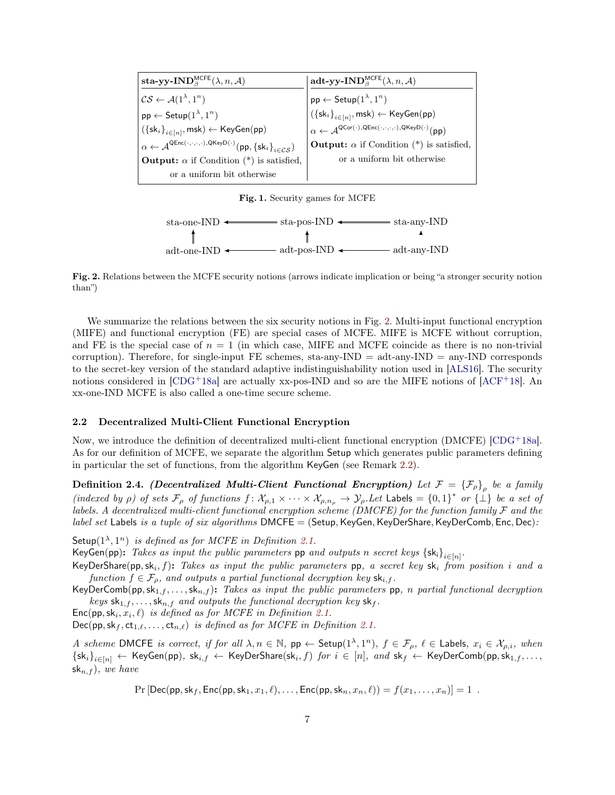| sta-yy-IND <sup>MCFE</sup> $(\lambda, n, \mathcal{A})$                                                                                    | adt-yy-IND <sup>MCFE</sup> $(\lambda, n, \mathcal{A})$                                                                                                                                                                                                                                                                                                                    |
|-------------------------------------------------------------------------------------------------------------------------------------------|---------------------------------------------------------------------------------------------------------------------------------------------------------------------------------------------------------------------------------------------------------------------------------------------------------------------------------------------------------------------------|
| $CS \leftarrow \mathcal{A}(1^{\lambda}, 1^n)$                                                                                             |                                                                                                                                                                                                                                                                                                                                                                           |
| $pp \leftarrow$ Setup $(1^{\lambda}, 1^n)$                                                                                                | $\begin{array}{l} \left  \mathsf{pp} \leftarrow \mathsf{Setup}(1^\lambda,1^n) \right. \\ \left( \left\{ \mathsf{sk}_i \right\}_{i \in [n]}, \mathsf{msk}) \leftarrow \mathsf{KeyGen}(\mathsf{pp}) \right. \\ \left. \alpha \leftarrow \mathcal{A}^{\mathsf{QCor}(\cdot), \mathsf{QEnc}(\cdot,\cdot,\cdot,\cdot), \mathsf{QKeyD}(\cdot)}(\mathsf{pp}) \right. \end{array}$ |
| $(\{\mathsf{sk}_i\}_{i\in[n]},\mathsf{msk}) \leftarrow \mathsf{KeyGen}(\mathsf{pp})$                                                      |                                                                                                                                                                                                                                                                                                                                                                           |
| $\alpha \leftarrow \mathcal{A}^{\mathsf{QEnc}(\cdot,\cdot,\cdot,\cdot),\mathsf{QKeyD}(\cdot)}(pp,\{\mathsf{sk}_i\}_{i \in \mathcal{CS}})$ | <b>Output:</b> $\alpha$ if Condition (*) is satisfied,                                                                                                                                                                                                                                                                                                                    |
| <b>Output:</b> $\alpha$ if Condition (*) is satisfied,                                                                                    | or a uniform bit otherwise                                                                                                                                                                                                                                                                                                                                                |
| or a uniform bit otherwise                                                                                                                |                                                                                                                                                                                                                                                                                                                                                                           |

<span id="page-7-0"></span>Fig. 1. Security games for MCFE



<span id="page-7-1"></span>Fig. 2. Relations between the MCFE security notions (arrows indicate implication or being "a stronger security notion than")

We summarize the relations between the six security notions in Fig. [2.](#page-7-1) Multi-input functional encryption (MIFE) and functional encryption (FE) are special cases of MCFE. MIFE is MCFE without corruption, and FE is the special case of  $n = 1$  (in which case, MIFE and MCFE coincide as there is no non-trivial corruption). Therefore, for single-input FE schemes, sta-any-IND = adt-any-IND = any-IND corresponds to the secret-key version of the standard adaptive indistinguishability notion used in [\[ALS16\]](#page-21-5). The security notions considered in  $[CDG+18a]$  $[CDG+18a]$  are actually xx-pos-IND and so are the MIFE notions of  $[ACF+18]$  $[ACF+18]$ . An xx-one-IND MCFE is also called a one-time secure scheme.

# 2.2 Decentralized Multi-Client Functional Encryption

Now, we introduce the definition of decentralized multi-client functional encryption (DMCFE) [\[CDG](#page-22-4)<sup>+</sup>18a]. As for our definition of MCFE, we separate the algorithm Setup which generates public parameters defining in particular the set of functions, from the algorithm KeyGen (see Remark [2.2\)](#page-5-3).

**Definition 2.4.** (Decentralized Multi-Client Functional Encryption) Let  $\mathcal{F} = \{\mathcal{F}_\rho\}$  be a family (indexed by  $\rho$ ) of sets  $\mathcal{F}_{\rho}$  of functions  $f: \mathcal{X}_{\rho,1} \times \cdots \times \mathcal{X}_{\rho,n_{\rho}} \to \mathcal{Y}_{\rho}.$  Let Labels  $= \{0,1\}^*$  or  $\{\perp\}$  be a set of labels. A decentralized multi-client functional encryption scheme (DMCFE) for the function family  $\mathcal F$  and the *label set* Labels is a tuple of six algorithms  $DMCFE = (Setup, KeyGen, KeyDerShare, KeyDerComb, Enc, Dec):$ 

Setup $(1^{\lambda}, 1^n)$  is defined as for MCFE in Definition [2.1.](#page-5-4)

KeyGen(pp): Takes as input the public parameters pp and outputs n secret keys  ${s_k}_i$ <sub>i∈[n]</sub>.

KeyDerShare $(\textsf{pp},\textsf{sk}_i,f)$ : Takes as input the public parameters  $\textsf{pp},$  a secret key  $\textsf{sk}_i$  from position i and a function  $f \in \mathcal{F}_{\rho}$ , and outputs a partial functional decryption key  $\mathsf{sk}_{i,f}$ .

KeyDerComb(pp,sk<sub>1,f</sub>,...,sk<sub>n,f</sub>): Takes as input the public parameters pp, n partial functional decryption keys  $\mathsf{sk}_{1,f}, \ldots, \mathsf{sk}_{n,f}$  and outputs the functional decryption key  $\mathsf{sk}_f$ .

 $Enc(pp, sk<sub>i</sub>, x<sub>i</sub>, \ell)$  is defined as for MCFE in Definition [2.1.](#page-5-4)

 $Dec(pp, sk_f, ct_{1,\ell}, \ldots, ct_{n,\ell})$  is defined as for MCFE in Definition [2.1.](#page-5-4)

A scheme DMCFE is correct, if for all  $\lambda, n \in \mathbb{N}$ , pp  $\leftarrow$  Setup $(1^{\lambda}, 1^n)$ ,  $f \in \mathcal{F}_{\rho}, \ell \in$  Labels,  $x_i \in \mathcal{X}_{\rho,i}$ , when  $\{ \mathsf{sk}_i \}_{i \in [n]} \leftarrow \mathsf{KeyGen}(\mathsf{pp}),~\mathsf{sk}_{i,f} \leftarrow \mathsf{KeyDerShare}(\mathsf{sk}_i,f)~\mathit{for}~i \in [n],~\mathit{and}~\mathsf{sk}_f \leftarrow \mathsf{KeyDerComb}(\mathsf{pp},\mathsf{sk}_{1,f},\ldots,\mathsf{sk}_{1,f},\ldots)$  $\mathsf{sk}_{n,f}$ ), we have

 $Pr[\text{Dec}(pp, sk_f, Enc(pp, sk_1, x_1, \ell), \dots, Enc(pp, sk_n, x_n, \ell)) = f(x_1, \dots, x_n)] = 1$ .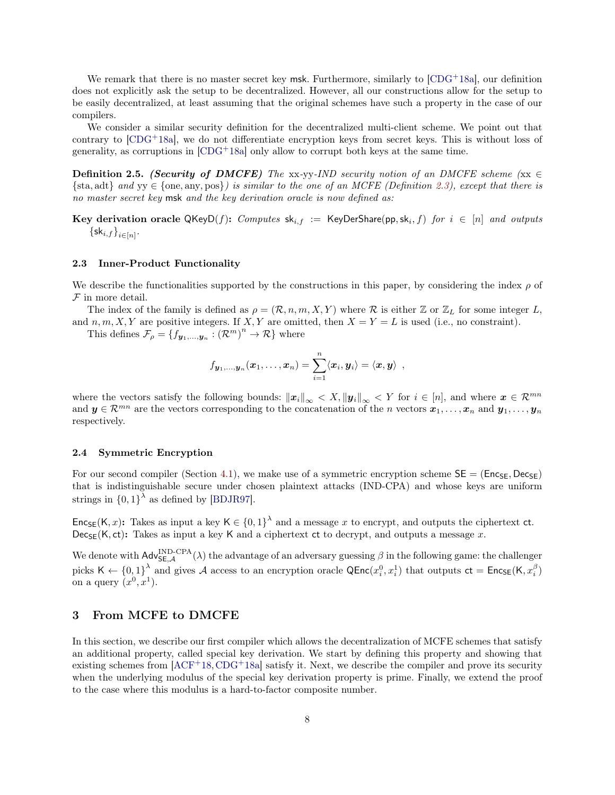We remark that there is no master secret key msk. Furthermore, similarly to  $[CDG+18a]$  $[CDG+18a]$ , our definition does not explicitly ask the setup to be decentralized. However, all our constructions allow for the setup to be easily decentralized, at least assuming that the original schemes have such a property in the case of our compilers.

We consider a similar security definition for the decentralized multi-client scheme. We point out that contrary to  $[CDG^+18a]$  $[CDG^+18a]$ , we do not differentiate encryption keys from secret keys. This is without loss of generality, as corruptions in  $[CDG+18a]$  $[CDG+18a]$  only allow to corrupt both keys at the same time.

**Definition 2.5.** (Security of DMCFE) The xx-yy-IND security notion of an DMCFE scheme (xx  $\in$  $\{\text{sta}, \text{add}\}\$ and  $yy \in \{\text{one}, \text{any}, \text{pos}\}\$  is similar to the one of an MCFE (Definition [2.3\)](#page-6-0), except that there is no master secret key msk and the key derivation oracle is now defined as:

 ${\rm\bf Key\,\, derivation\,\, oracle\,\,QKeyD}(f){:\,\, Computers\,\, sk}_{i,f}\ :=\ {\rm KeyDerShare}(pp,sk_i,f)\,\,for\,\, i\ \in\ [n]\,\, and\,\, outputs}$  $\left\{\mathsf{sk}_{i,f}\right\}_{i\in[n]}.$ 

### 2.3 Inner-Product Functionality

We describe the functionalities supported by the constructions in this paper, by considering the index  $\rho$  of  $F$  in more detail.

The index of the family is defined as  $\rho = (\mathcal{R}, n, m, X, Y)$  where  $\mathcal R$  is either  $\mathbb Z$  or  $\mathbb Z_L$  for some integer L, and  $n, m, X, Y$  are positive integers. If  $X, Y$  are omitted, then  $X = Y = L$  is used (i.e., no constraint).

This defines  $\mathcal{F}_{\rho} = \{f_{\boldsymbol{y}_1,...,\boldsymbol{y}_n} : (\mathcal{R}^m)^n \to \mathcal{R}\}\$  where

$$
f_{\boldsymbol{y}_1,...,\boldsymbol{y}_n}(\boldsymbol{x}_1,\ldots,\boldsymbol{x}_n) = \sum_{i=1}^n \langle \boldsymbol{x}_i, \boldsymbol{y}_i \rangle = \langle \boldsymbol{x}, \boldsymbol{y} \rangle \enspace ,
$$

where the vectors satisfy the following bounds:  $||x_i||_{\infty} < X, ||y_i||_{\infty} < Y$  for  $i \in [n]$ , and where  $x \in \mathcal{R}^{mn}$ and  $y \in \mathcal{R}^{mn}$  are the vectors corresponding to the concatenation of the n vectors  $x_1, \ldots, x_n$  and  $y_1, \ldots, y_n$ respectively.

### 2.4 Symmetric Encryption

For our second compiler (Section [4.1\)](#page-11-2), we make use of a symmetric encryption scheme  $SE = (Enc_{SE}, Dec_{SE})$ that is indistinguishable secure under chosen plaintext attacks (IND-CPA) and whose keys are uniform strings in  ${0,1}^{\lambda}$  as defined by [\[BDJR97\]](#page-21-7).

Enc<sub>SE</sub>(K, x): Takes as input a key  $K \in \{0,1\}^{\lambda}$  and a message x to encrypt, and outputs the ciphertext ct.  $Dec_{SE}(K, ct)$ : Takes as input a key K and a ciphertext ct to decrypt, and outputs a message x.

We denote with  $\mathsf{Adv}^{\text{IND-CPA}}_{\mathsf{SE},\mathcal{A}}(\lambda)$  the advantage of an adversary guessing  $\beta$  in the following game: the challenger picks  $\mathsf{K} \leftarrow \{0,1\}^{\lambda}$  and gives A access to an encryption oracle  $\mathsf{QEnc}(x_i^0, x_i^1)$  that outputs  $\mathsf{ct} = \mathsf{Enc}_{\mathsf{SE}}(\mathsf{K}, x_i^{\beta})$ on a query  $(x^0, x^1)$ .

# <span id="page-8-0"></span>3 From MCFE to DMCFE

In this section, we describe our first compiler which allows the decentralization of MCFE schemes that satisfy an additional property, called special key derivation. We start by defining this property and showing that existing schemes from  $[ACF+18, CDG+18a]$  $[ACF+18, CDG+18a]$  $[ACF+18, CDG+18a]$  $[ACF+18, CDG+18a]$  satisfy it. Next, we describe the compiler and prove its security when the underlying modulus of the special key derivation property is prime. Finally, we extend the proof to the case where this modulus is a hard-to-factor composite number.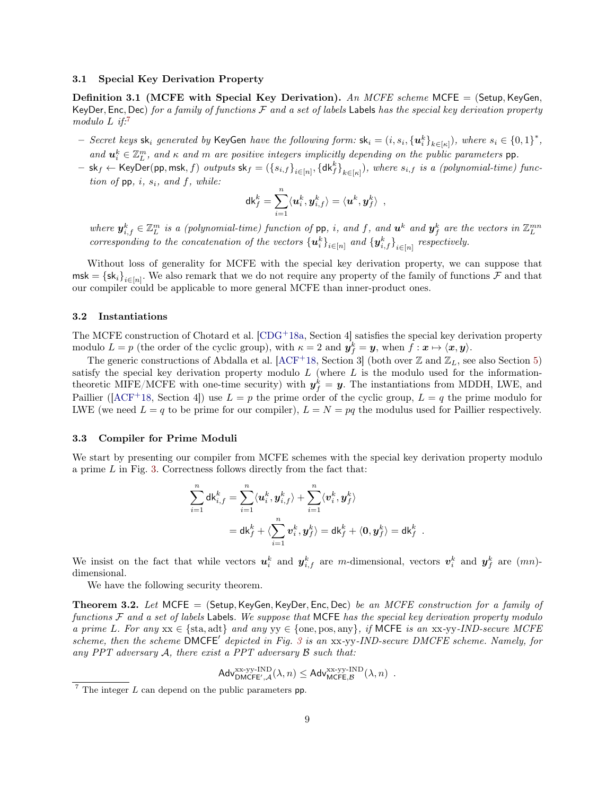#### <span id="page-9-0"></span>3.1 Special Key Derivation Property

Definition 3.1 (MCFE with Special Key Derivation). An MCFE scheme MCFE = (Setup, KeyGen, KeyDer, Enc, Dec) for a family of functions  $F$  and a set of labels Labels has the special key derivation property modulo  $L$  if:<sup>[7](#page-9-3)</sup>

- $-$  Secret keys sk<sub>i</sub> generated by KeyGen have the following form: sk<sub>i</sub> =  $(i, s_i, {\{u_i^k\}}_{k \in [\kappa]})$ , where  $s_i \in \{0,1\}^*$ , and  $u_i^k \in \mathbb{Z}_L^m$ , and  $\kappa$  and  $m$  are positive integers implicitly depending on the public parameters pp.
- $-$  sk $_f$   $\leftarrow$  KeyDer(pp, msk,  $f)$  outputs sk $_f = (\{s_{i,f}\}_{i \in [n]}, \{\mathsf{dk}_f^k\}_{k \in [\kappa]})$ , where  $s_{i,f}$  is a (polynomial-time) function of  $pp$ , i,  $s_i$ , and f, while:

$$
\mathsf{dk}^k_f = \sum_{i=1}^n \langle \boldsymbol{u}_i^k, \boldsymbol{y}^k_{i,f} \rangle = \langle \boldsymbol{u}^k, \boldsymbol{y}^k_f \rangle \enspace ,
$$

where  $y_{i,f}^k \in \mathbb{Z}_L^m$  is a (polynomial-time) function of pp, i, and f, and  $u^k$  and  $y_f^k$  are the vectors in  $\mathbb{Z}_L^{mn}$ corresponding to the concatenation of the vectors  $\{u_i^k\}_{i\in[n]}$  and  $\{y_{i,f}^k\}_{i\in[n]}$  respectively.

Without loss of generality for MCFE with the special key derivation property, we can suppose that  $\mathsf{msk} = \{\mathsf{sk}_i\}_{i \in [n]}$ . We also remark that we do not require any property of the family of functions  $\mathcal F$  and that our compiler could be applicable to more general MCFE than inner-product ones.

### <span id="page-9-1"></span>3.2 Instantiations

The MCFE construction of Chotard et al. [\[CDG](#page-22-4)<sup>+</sup>18a, Section 4] satisfies the special key derivation property modulo  $L = p$  (the order of the cyclic group), with  $\kappa = 2$  and  $y_f^k = y$ , when  $f: \mathbf{x} \mapsto \langle \mathbf{x}, \mathbf{y} \rangle$ .

The generic constructions of Abdalla et al. [\[ACF](#page-21-3)<sup>+</sup>18, Section 3] (both over  $\mathbb Z$  and  $\mathbb Z_L$ , see also Section [5\)](#page-15-0) satisfy the special key derivation property modulo  $L$  (where  $L$  is the modulo used for the informationtheoretic MIFE/MCFE with one-time security) with  $y_f^k = y$ . The instantiations from MDDH, LWE, and Paillier ( $[ACF+18$  $[ACF+18$ , Section 4) use  $L = p$  the prime order of the cyclic group,  $L = q$  the prime modulo for LWE (we need  $L = q$  to be prime for our compiler),  $L = N = pq$  the modulus used for Paillier respectively.

#### <span id="page-9-2"></span>3.3 Compiler for Prime Moduli

We start by presenting our compiler from MCFE schemes with the special key derivation property modulo a prime  $L$  in Fig. [3.](#page-10-0) Correctness follows directly from the fact that:

$$
\begin{aligned} \sum_{i=1}^n \mathsf{d}{\mathsf{k}}^k_{i,f} &= \sum_{i=1}^n \langle \boldsymbol{u}^k_i, \boldsymbol{y}^k_{i,f} \rangle + \sum_{i=1}^n \langle \boldsymbol{v}^k_i, \boldsymbol{y}^k_f \rangle \\ &= \mathsf{d}{\mathsf{k}}^k_f + \langle \sum_{i=1}^n \boldsymbol{v}^k_i, \boldsymbol{y}^k_f \rangle = \mathsf{d}{\mathsf{k}}^k_f + \langle \boldsymbol{0}, \boldsymbol{y}^k_f \rangle = \mathsf{d}{\mathsf{k}}^k_f \end{aligned}
$$

.

We insist on the fact that while vectors  $u_i^k$  and  $y_{i,f}^k$  are m-dimensional, vectors  $v_i^k$  and  $y_f^k$  are  $(mn)$ dimensional.

We have the following security theorem.

<span id="page-9-4"></span>**Theorem 3.2.** Let MCFE = (Setup, KeyGen, KeyDer, Enc, Dec) be an MCFE construction for a family of functions  $\mathcal F$  and a set of labels Labels. We suppose that MCFE has the special key derivation property modulo a prime L. For any  $xx \in \{sta, adt\}$  and any  $yy \in \{one, pos, any\}$ , if MCFE is an  $xx$ -yy-IND-secure MCFE scheme, then the scheme  $\overline{DMCFE}'$  depicted in Fig. [3](#page-10-0) is an xx-yy-IND-secure DMCFE scheme. Namely, for any PPT adversary  $A$ , there exist a PPT adversary  $B$  such that:

$$
\mathsf{Adv}_{\mathsf{DMCFE}',\mathcal{A}}^{\mathsf{x}\mathsf{x}\text{-}\mathsf{yy}\text{-}\mathsf{IND}}(\lambda,n)\leq \mathsf{Adv}_{\mathsf{MCFE},\mathcal{B}}^{\mathsf{x}\mathsf{x}\text{-}\mathsf{yy}\text{-}\mathsf{IND}}(\lambda,n)\enspace.
$$

<span id="page-9-3"></span> $7$  The integer L can depend on the public parameters pp.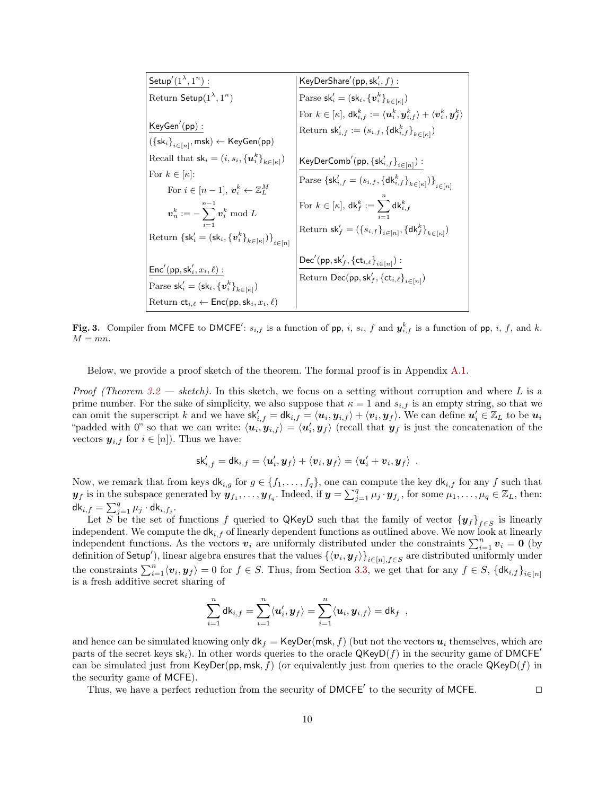| Setup'(1 <sup>λ</sup> ,1 <sup>n</sup> ) :                                       |                                                                                    |                                                      |
|---------------------------------------------------------------------------------|------------------------------------------------------------------------------------|------------------------------------------------------|
| Return Setup(1 <sup>λ</sup> ,1 <sup>n</sup> )                                   | Parse sk' <sub>i</sub> = (sk <sub>i</sub> , {v <sub>i</sub> <sup>k</sup> , $f$ ) : |                                                      |
| KeyGen'(pp) :                                                                   | For $k \in [k]$ , $dk_{i,f}^k := (uk_i, y_{i,f}^k) + (v_i^k, y_f^k)$               |                                                      |
| Recall that $sk_i = (i, s_i, \{u_i^k\}_{k \in [k]})$                            | Return $sk'_{i,f} := (s_{i,f}, \{dk_{i,f}^k\}_{k \in [k]})$                        |                                                      |
| For $k \in [k]$ :                                                               | For $i \in [n-1]$ , $v_i^k \leftarrow \mathbb{Z}_L^M$                              | KeyDerComb'(pp, {sk' <sub>i,f</sub> }_{k \in [n]}) : |
| For $i \in [n-1]$ , $v_i^k \leftarrow \mathbb{Z}_L^M$                           | For $k \in [k]$ , $dk_f^k := (s_{i,f}, \{dk_{i,f}^k\}_{k \in [k]})$                |                                                      |
| Return $\{sk'_i = (sk_i, \{v_i^k\}_{k \in [k]})\}$                              | Return $sk'_f = (s_{i,f}, \{dk_{i,f}^k\}_{k \in [k]})$                             |                                                      |
| Return $\{sk'_i = (sk_i, \{v_i^k\}_{k \in [k]})\}$                              | Return $sk'_f = (\{s_{i,f}\}_{i \in [n]}, \{dk_f^k\}_{k \in [k]})$                 |                                                      |
| Since'(pp, sk'_i, x_i, \ell) :                                                  | Return Dec(pp, sk'_f, {ct_{i,\ell}}_{i \in [n]}) :                                 |                                                      |
| Partum ct <sub>i, \ell</sub> ← Enc(pp, sk <sub>i</sub> , x <sub>i</sub> , \ell) | Return Dec(pp, sk'_f, {ct_{i,\ell}}_{i \in [n]})                                   |                                                      |

<span id="page-10-0"></span>Fig. 3. Compiler from MCFE to DMCFE':  $s_{i,f}$  is a function of pp, i,  $s_i$ , f and  $y_{i,f}^k$  is a function of pp, i, f, and k.  $M = mn$ .

Below, we provide a proof sketch of the theorem. The formal proof is in Appendix [A.1.](#page-23-1)

*Proof (Theorem [3.2](#page-9-4) — sketch)*. In this sketch, we focus on a setting without corruption and where L is a prime number. For the sake of simplicity, we also suppose that  $\kappa = 1$  and  $s_{i,f}$  is an empty string, so that we can omit the superscript k and we have  $\mathsf{sk}_{i,f}' = \mathsf{dk}_{i,f} = \langle u_i, y_{i,f} \rangle + \langle v_i, y_f \rangle$ . We can define  $u'_i \in \mathbb{Z}_L$  to be  $u_i$ "padded with 0" so that we can write:  $\langle u_i, y_{i,f} \rangle = \langle u'_i, y_f \rangle$  (recall that  $y_f$  is just the concatenation of the vectors  $y_{i,f}$  for  $i \in [n]$ ). Thus we have:

$$
\mathsf{sk}'_{i,f} = \mathsf{dk}_{i,f} = \langle \boldsymbol{u}'_i, \boldsymbol{y}_f\rangle + \langle \boldsymbol{v}_i, \boldsymbol{y}_f\rangle = \langle \boldsymbol{u}'_i + \boldsymbol{v}_i, \boldsymbol{y}_f\rangle\enspace.
$$

Now, we remark that from keys  $dk_{i,g}$  for  $g \in \{f_1,\ldots,f_q\}$ , one can compute the key  $dk_{i,f}$  for any f such that  $y_f$  is in the subspace generated by  $y_{f_1}, \ldots, y_{f_q}$ . Indeed, if  $y = \sum_{j=1}^q \mu_j \cdot y_{f_j}$ , for some  $\mu_1, \ldots, \mu_q \in \mathbb{Z}_L$ , then:  $\mathsf{dk}_{i,f} = \sum_{j=1}^q \mu_j \cdot \mathsf{dk}_{i,f_j}.$ 

Let S be the set of functions f queried to QKeyD such that the family of vector  ${y_f}_{f \in S}$  is linearly independent. We compute the  $dk_{i,f}$  of linearly dependent functions as outlined above. We now look at linearly independent functions. As the vectors  $v_i$  are uniformly distributed under the constraints  $\sum_{i=1}^n v_i = 0$  (by definition of Setup'), linear algebra ensures that the values  $\{\langle v_i, y_f \rangle\}_{i \in [n], f \in S}$  are distributed uniformly under the constraints  $\sum_{i=1}^{n} \langle v_i, y_f \rangle = 0$  for  $f \in S$ . Thus, from Section [3.3,](#page-9-4) we get that for any  $f \in S$ ,  $\{d_ki,f\}_{i \in [n]}$ is a fresh additive secret sharing of

$$
\sum_{i=1}^n \mathsf{d} \mathsf{k}_{i,f} = \sum_{i=1}^n \langle \mathbf{u}'_i, \mathbf{y}_f \rangle = \sum_{i=1}^n \langle \mathbf{u}_i, \mathbf{y}_{i,f} \rangle = \mathsf{d} \mathsf{k}_f ,
$$

and hence can be simulated knowing only  $d\mathbf{k}_f = \text{KeyDer}(\text{msk}, f)$  (but not the vectors  $\mathbf{u}_i$  themselves, which are parts of the secret keys  $sk_i$ ). In other words queries to the oracle  $QKeyD(f)$  in the security game of DMCFE<sup>'</sup> can be simulated just from KeyDer(pp, msk, f) (or equivalently just from queries to the oracle  $QKevD(f)$  in the security game of MCFE).

Thus, we have a perfect reduction from the security of  $DMCFE'$  to the security of MCFE.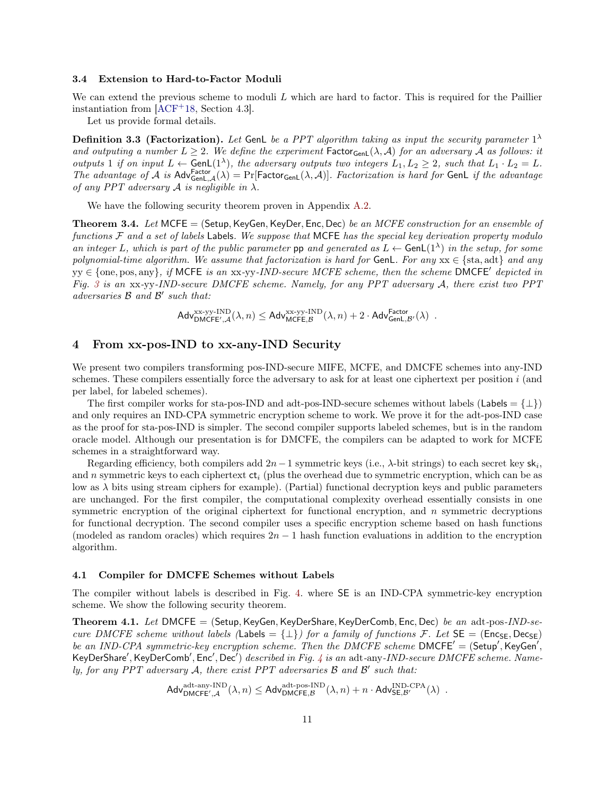#### <span id="page-11-0"></span>3.4 Extension to Hard-to-Factor Moduli

We can extend the previous scheme to moduli  $L$  which are hard to factor. This is required for the Paillier instantiation from [\[ACF](#page-21-3)+18, Section 4.3].

Let us provide formal details.

**Definition 3.3 (Factorization).** Let GenL be a PPT algorithm taking as input the security parameter  $1^{\lambda}$ and outputing a number  $L \geq 2$ . We define the experiment Factor<sub>GenL</sub>( $\lambda$ , A) for an adversary A as follows: it outputs 1 if on input  $L \leftarrow$  Gen $\mathsf{L}(1^{\lambda})$ , the adversary outputs two integers  $L_1, L_2 \geq 2$ , such that  $L_1 \cdot L_2 = L$ . The advantage of A is  $\text{Adv}^{\text{Factor}}_{\text{GenL},\mathcal{A}}(\lambda) = \Pr[\text{Factor}_{\text{GenL}}(\lambda,\mathcal{A})]$ . Factorization is hard for GenL if the advantage of any PPT adversary  $A$  is negligible in  $\lambda$ .

We have the following security theorem proven in Appendix [A.2.](#page-27-0)

<span id="page-11-4"></span>**Theorem 3.4.** Let MCFE  $=$  (Setup, KeyGen, KeyDer, Enc, Dec) be an MCFE construction for an ensemble of functions  $F$  and a set of labels Labels. We suppose that MCFE has the special key derivation property modulo an integer L, which is part of the public parameter pp and generated as  $L \leftarrow$  GenL(1<sup> $\lambda$ </sup>) in the setup, for some polynomial-time algorithm. We assume that factorization is hard for GenL. For any  $xx \in \{sta, adt\}$  and any  $y \in \{\text{one}, \text{pos}, \text{any}\}, \text{ if MCFE is an xx-yy-IND-secure MCFE scheme, then the scheme DMCFE' depicted in }$ Fig. [3](#page-10-0) is an xx-yy-IND-secure DMCFE scheme. Namely, for any PPT adversary A, there exist two PPT  $adversaries \mathcal{B}$  and  $\mathcal{B}'$  such that:

 $\mathsf{Adv}_{\mathsf{DMCFE}',\mathcal{A}}^{\text{xx-yy-IND}}(\lambda,n) \leq \mathsf{Adv}_{\mathsf{MCFE},\mathcal{B}}^{\text{xx-yy-IND}}(\lambda,n) + 2 \cdot \mathsf{Adv}_{\mathsf{GenL},\mathcal{B}'}^{\mathsf{Factor}}(\lambda) \enspace .$ 

# <span id="page-11-1"></span>4 From xx-pos-IND to xx-any-IND Security

We present two compilers transforming pos-IND-secure MIFE, MCFE, and DMCFE schemes into any-IND schemes. These compilers essentially force the adversary to ask for at least one ciphertext per position  $i$  (and per label, for labeled schemes).

The first compiler works for sta-pos-IND and adt-pos-IND-secure schemes without labels (Labels =  $\{\perp\}$ ) and only requires an IND-CPA symmetric encryption scheme to work. We prove it for the adt-pos-IND case as the proof for sta-pos-IND is simpler. The second compiler supports labeled schemes, but is in the random oracle model. Although our presentation is for DMCFE, the compilers can be adapted to work for MCFE schemes in a straightforward way.

Regarding efficiency, both compilers add  $2n-1$  symmetric keys (i.e.,  $\lambda$ -bit strings) to each secret key sk<sub>i</sub>, and n symmetric keys to each ciphertext  $ct_i$  (plus the overhead due to symmetric encryption, which can be as low as  $\lambda$  bits using stream ciphers for example). (Partial) functional decryption keys and public parameters are unchanged. For the first compiler, the computational complexity overhead essentially consists in one symmetric encryption of the original ciphertext for functional encryption, and  $n$  symmetric decryptions for functional decryption. The second compiler uses a specific encryption scheme based on hash functions (modeled as random oracles) which requires  $2n - 1$  hash function evaluations in addition to the encryption algorithm.

### <span id="page-11-2"></span>4.1 Compiler for DMCFE Schemes without Labels

The compiler without labels is described in Fig. [4.](#page-12-0) where SE is an IND-CPA symmetric-key encryption scheme. We show the following security theorem.

**Theorem 4.1.** Let DMCFE = (Setup, KeyGen, KeyDerShare, KeyDerComb, Enc, Dec) be an adt-pos-IND-secure DMCFE scheme without labels (Labels =  $\{\perp\}$ ) for a family of functions F. Let  $SE = (Enc_{SE}, Dec_{SE})$ be an IND-CPA symmetric-key encryption scheme. Then the DMCFE scheme DMCFE' =  $($ Setup', KeyGen', KeyDerShare', KeyDerComb', Enc', Dec') described in Fig. [4](#page-12-0) is an adt-any-IND-secure DMCFE scheme. Namely, for any PPT adversary  $A$ , there exist PPT adversaries  $B$  and  $B'$  such that:

<span id="page-11-3"></span>
$$
\mathsf{Adv}_{\mathsf{DMCFE}',\mathcal{A}}^{\mathrm{adt-any-IND}}(\lambda,n)\leq \mathsf{Adv}_{\mathsf{DMCFE},\mathcal{B}}^{\mathrm{adt-pos-IND}}(\lambda,n)+n\cdot \mathsf{Adv}_{\mathsf{SE},\mathcal{B}'}^{\mathsf{IND-CPA}}(\lambda)\enspace.
$$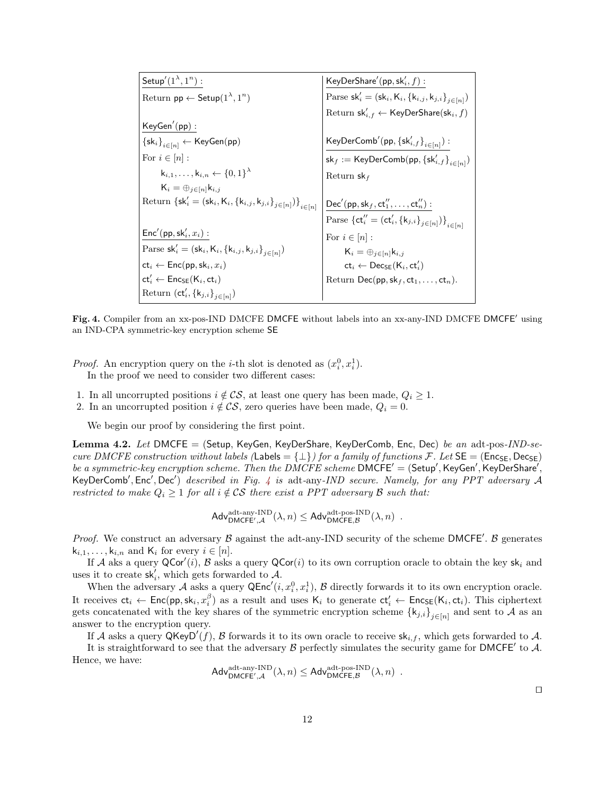| Setup'(1 <sup>λ</sup> ,1 <sup>n</sup> ) :                                                                                                                                                                                                         |                                                                                                                        |
|---------------------------------------------------------------------------------------------------------------------------------------------------------------------------------------------------------------------------------------------------|------------------------------------------------------------------------------------------------------------------------|
| Return pp $\leftarrow$ Setup(1 <sup>λ</sup> ,1 <sup>n</sup> )                                                                                                                                                                                     | Parse sk' <sub>i</sub> = (sk <sub>i</sub> , K <sub>i</sub> , {k <sub>i,j</sub> , k <sub>j,i</sub> } <sub>j∈[n]</sub> ) |
| KeyGen'(pp) :                                                                                                                                                                                                                                     | Return sk' <sub>i</sub> , $\leftarrow$ KeyDerShare(sk <sub>i</sub> , f)                                                |
| For $i \in [n]$ :                                                                                                                                                                                                                                 | KeyDerComb'(pp, {sk' <sub>i</sub> , f <sub>k,j</sub> , k <sub>j,i</sub> } <sub>j∈[n]</sub> )                           |
| For $i \in [n]$ :                                                                                                                                                                                                                                 | KeyDerComb'(pp, {sk' <sub>i</sub> , f}_{i∈[n]}) :                                                                      |
| For $i \in [n]$ :                                                                                                                                                                                                                                 | KeyDerComb(pp, {sk' <sub>i</sub> , f}_{i∈[n]}) :                                                                       |
| Return {sk' <sub>i</sub> = ∕ <sub>j∈[n]k,j</sub> }                                                                                                                                                                                                | Return sk <sub>f</sub>                                                                                                 |
| Return {sk' <sub>i</sub> = (sk <sub>i</sub> , K <sub>i</sub> , {k <sub>i,j</sub> , k <sub>j,i</sub> } <sub>j∈[n]})}</sub> $\leftarrow$ parse {ct' <sub>i</sub> = (ct' <sub>i</sub> , {k <sub>j,i</sub> } <sub>j∈[n]</sub> )}<br>for $i \in [n]$ : |                                                                                                                        |
| Parse sk' <sub>i</sub> = (sk <sub>i</sub> , K <sub>i</sub> , {k <sub>i,j</sub> , k <sub>j,i</sub> } <sub>j∈[n]</sub> )                                                                                                                            | Por $i \in [n]$ :                                                                                                      |
| Parse sk' <sub>i</sub> = (sk <sub>i</sub> , K <sub>i</sub> , {k <sub>i,j</sub> , k <sub>j,i</sub> } <sub>j∈[n]</sub> )                                                                                                                            | For $i \in [n]$ :                                                                                                      |
| ct <sub>i</sub> $\leftarrow$ Enc(pp, sk <sub>i</sub> , ct <sub>i</sub> )                                                                                                                                                                          | ct <sub>i</sub> $\leftarrow$ Decs(K <sub>i</sub> , ct <sub< td=""></sub<>                                              |

<span id="page-12-0"></span>Fig. 4. Compiler from an xx-pos-IND DMCFE DMCFE without labels into an xx-any-IND DMCFE DMCFE' using an IND-CPA symmetric-key encryption scheme SE

*Proof.* An encryption query on the *i*-th slot is denoted as  $(x_i^0, x_i^1)$ . In the proof we need to consider two different cases:

- 1. In all uncorrupted positions  $i \notin \mathcal{CS}$ , at least one query has been made,  $Q_i \geq 1$ .
- 2. In an uncorrupted position  $i \notin \mathcal{CS}$ , zero queries have been made,  $Q_i = 0$ .

We begin our proof by considering the first point.

**Lemma 4.2.** Let DMCFE = (Setup, KeyGen, KeyDerShare, KeyDerComb, Enc, Dec) be an adt-pos-IND-secure DMCFE construction without labels (Labels =  $\{\perp\}$ ) for a family of functions F. Let  $SE = (Enc_{SE}, Dec_{SE})$ be a symmetric-key encryption scheme. Then the  $\overline{DMCFE}$  scheme  $\overline{DMCFE}' = (\mathsf{Setup}', \mathsf{KeyGen}', \mathsf{KeyDerShare}',$ KeyDerComb', Enc', Dec') described in Fig. [4](#page-12-0) is adt-any-IND secure. Namely, for any PPT adversary A restricted to make  $Q_i \geq 1$  for all  $i \notin \mathcal{CS}$  there exist a PPT adversary  $\mathcal B$  such that:

$$
\mathsf{Adv}_{\mathsf{DMCFE}',\mathcal{A}}^{\mathrm{adt-any-IND}}(\lambda,n)\leq \mathsf{Adv}_{\mathsf{DMCFE},\mathcal{B}}^{\mathrm{adt-pos-IND}}(\lambda,n)\enspace.
$$

*Proof.* We construct an adversary  $\beta$  against the adt-any-IND security of the scheme DMCFE'.  $\beta$  generates  $k_{i,1}, \ldots, k_{i,n}$  and  $K_i$  for every  $i \in [n]$ .

If A aks a query  $QCor(i)$ , B asks a query  $QCor(i)$  to its own corruption oracle to obtain the key sk<sub>i</sub> and uses it to create  $\mathsf{sk}'_i$ , which gets forwarded to A.

When the adversary A asks a query  $\mathsf{QEnc}'(i, x_i^0, x_i^1), \mathcal{B}$  directly forwards it to its own encryption oracle. It receives  $ct_i \leftarrow Enc(pp, sk_i, x_i^{\beta})$  as a result and uses  $K_i$  to generate  $ct_i' \leftarrow Enc_{SE}(K_i, ct_i)$ . This ciphertext gets concatenated with the key shares of the symmetric encryption scheme  $\{k_{j,i}\}_{j\in[n]}$  and sent to A as an answer to the encryption query.

If A asks a query  $\mathsf{QKeyD}'(f)$ , B forwards it to its own oracle to receive  $\mathsf{sk}_{i,f}$ , which gets forwarded to A.

It is straightforward to see that the adversary  $\beta$  perfectly simulates the security game for DMCFE' to  $\mathcal{A}$ . Hence, we have:

$$
\mathsf{Adv}_{\mathsf{DMCFE}',\mathcal{A}}^{\mathrm{adt-any-IND}}(\lambda,n) \leq \mathsf{Adv}_{\mathsf{DMCFE},\mathcal{B}}^{\mathrm{adt-pos-IND}}(\lambda,n) \enspace .
$$

 $\Box$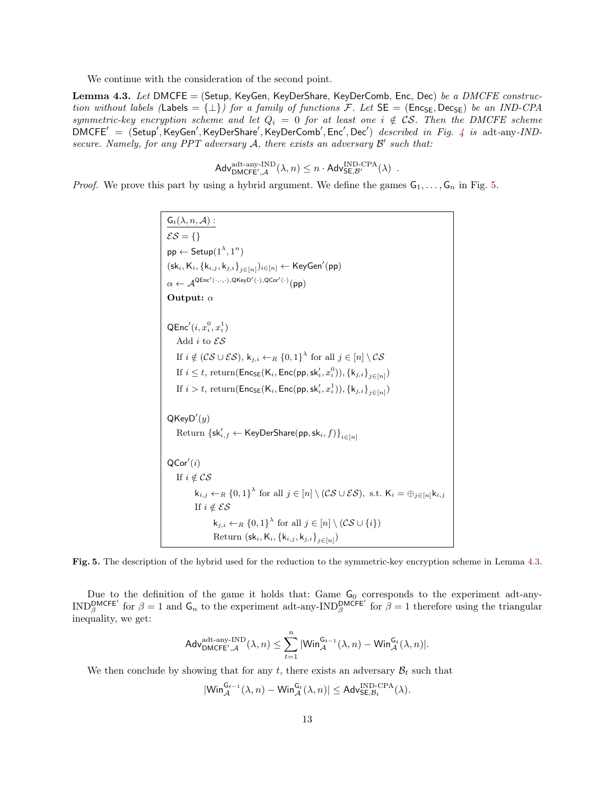We continue with the consideration of the second point.

<span id="page-13-1"></span>Lemma 4.3. Let DMCFE = (Setup, KeyGen, KeyDerShare, KeyDerComb, Enc, Dec) be a DMCFE construction without labels (Labels = { $\perp$ }) for a family of functions F. Let  $SE = (Enc_{SE}, Dec_{SE})$  be an IND-CPA symmetric-key encryption scheme and let  $Q_i = 0$  for at least one  $i \notin \mathcal{CS}$ . Then the DMCFE scheme  $DMCFE' = (Setup', KeyGen', KeyDerShare', KeyDerComb', Enc', Dec')$  described in Fig. [4](#page-12-0) is adt-any-INDsecure. Namely, for any PPT adversary  $A$ , there exists an adversary  $B'$  such that:

$$
\mathsf{Adv}_{\mathsf{DMCEE}',\mathcal{A}}^{\mathsf{adt-any}\text{-}\mathsf{IND}}(\lambda,n)\leq n\cdot \mathsf{Adv}_{\mathsf{SE},\mathcal{B}'}^{\mathsf{IND}\text{-}\mathsf{CPA}}(\lambda)\enspace.
$$

*Proof.* We prove this part by using a hybrid argument. We define the games  $G_1, \ldots, G_n$  in Fig. [5.](#page-13-0)

 $\mathsf{G}_t(\lambda,n,\mathcal{A})$  :  $\mathcal{ES} = \{\}$  $\mathsf{pp} \leftarrow \mathsf{Setup}(1^\lambda,1^n)$  $(\mathsf{sk}_i, \mathsf{K}_i, \{\mathsf{k}_{i,j}, \mathsf{k}_{j,i}\}_{j \in [n]})_{i \in [n]} \leftarrow \mathsf{KeyGen}'(\mathsf{pp})$  $\alpha \leftarrow \mathcal{A}^{\mathsf{QEnc}'(\cdot,\cdot,\cdot),\mathsf{QKeyD}'(\cdot),\mathsf{QCor}'(\cdot)}(\mathsf{pp})$ Output: α  ${\sf QEnc}'(i, x_i^0, x_i^1)$ Add $i$  to  $\mathcal{ES}$ If  $i \notin (CS \cup \mathcal{ES}), k_{j,i} \leftarrow_R \{0,1\}^{\lambda}$  for all  $j \in [n] \setminus CS$ If  $i \leq t$ , return( $\mathsf{Enc}_{\mathsf{SE}}(\mathsf{K}_i, \mathsf{Enc}(\mathsf{pp},\mathsf{sk}_i',x^0_i)), \{\mathsf{k}_{j,i}\}_{j \in [n]})$ If  $i > t$ , return( $\mathsf{Enc}_{\mathsf{SE}}(\mathsf{K}_i, \mathsf{Enc}(\mathsf{pp},\mathsf{sk}_i', x_i^1)), \{\mathsf{k}_{j,i}\}_{j \in [n]})$  $Q$ Key $D'(y)$  $\mathrm{Return }\ \{ \mathsf{sk}'_{i,f} \leftarrow \mathsf{KeyDerShare}(\mathsf{pp},\mathsf{sk}_i,f) \}_{i\in [n]}$  $\mathsf{QCor}'(i)$ If  $i \notin \mathcal{CS}$  $\mathsf{k}_{i,j} \leftarrow_R \{0,1\}^{\lambda}$  for all  $j \in [n] \setminus (\mathcal{CS} \cup \mathcal{ES}), \text{ s.t. } \mathsf{K}_i = \bigoplus_{j \in [n]} \mathsf{k}_{i,j}$ If  $i \notin \mathcal{ES}$  $\mathsf{k}_{j,i} \leftarrow_R \{0,1\}^{\lambda}$  for all  $j \in [n] \setminus (\mathcal{CS} \cup \{i\})$ Return (sk $_i, K_i, \left\{ k_{i,j}, k_{j,i} \right\}_{j \in [n]}$ )

<span id="page-13-0"></span>Fig. 5. The description of the hybrid used for the reduction to the symmetric-key encryption scheme in Lemma [4.3.](#page-13-1)

Due to the definition of the game it holds that: Game  $G_0$  corresponds to the experiment adt-any-IND<sup>DMCFE'</sup> for  $\beta = 1$  and  $G_n$  to the experiment adt-any-IND<sup>DMCFE'</sup> for  $\beta = 1$  therefore using the triangular inequality, we get:

$$
\mathsf{Adv}_{\mathsf{DMCFE}',\mathcal{A}}^{\mathrm{adt-any-IND}}(\lambda,n)\leq \sum_{t=1}^n |\mathsf{Win}_{\mathcal{A}}^{\mathsf{G}_{t-1}}(\lambda,n)-\mathsf{Win}_{\mathcal{A}}^{\mathsf{G}_t}(\lambda,n)|.
$$

We then conclude by showing that for any t, there exists an adversary  $\mathcal{B}_t$  such that

$$
|\mathsf{Win}_{\mathcal{A}}^{\mathsf{G}_{t-1}}(\lambda,n) - \mathsf{Win}_{\mathcal{A}}^{\mathsf{G}_{t}}(\lambda,n)| \leq \mathsf{Adv}_{\mathsf{SE},\mathcal{B}_{t}}^{\mathsf{IND}\text{-}\mathsf{CPA}}(\lambda).
$$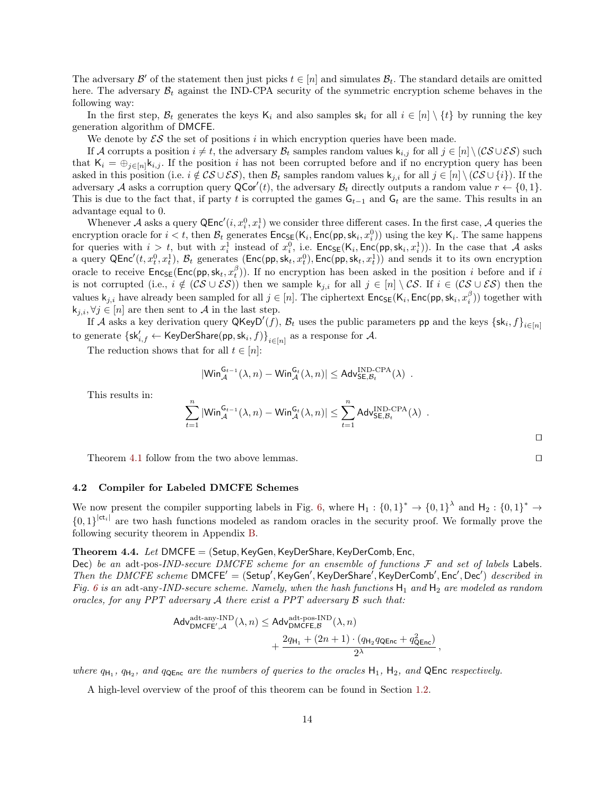The adversary  $\mathcal{B}'$  of the statement then just picks  $t \in [n]$  and simulates  $\mathcal{B}_t$ . The standard details are omitted here. The adversary  $\mathcal{B}_t$  against the IND-CPA security of the symmetric encryption scheme behaves in the following way:

In the first step,  $\mathcal{B}_t$  generates the keys K<sub>i</sub> and also samples sk<sub>i</sub> for all  $i \in [n] \setminus \{t\}$  by running the key generation algorithm of DMCFE.

We denote by  $\mathcal{ES}$  the set of positions i in which encryption queries have been made.

If A corrupts a position  $i \neq t$ , the adversary  $\mathcal{B}_t$  samples random values  $k_{i,j}$  for all  $j \in [n] \setminus (\mathcal{CS} \cup \mathcal{ES})$  such that  $K_i = \bigoplus_{j \in [n]} k_{i,j}$ . If the position i has not been corrupted before and if no encryption query has been asked in this position (i.e.  $i \notin \mathcal{CS} \cup \mathcal{ES}$ ), then  $\mathcal{B}_t$  samples random values  $k_{j,i}$  for all  $j \in [n] \setminus (\mathcal{CS} \cup \{i\})$ . If the adversary A asks a corruption query  $\mathsf{QCor}'(t)$ , the adversary  $\mathcal{B}_t$  directly outputs a random value  $r \leftarrow \{0, 1\}$ . This is due to the fact that, if party t is corrupted the games  $G_{t-1}$  and  $G_t$  are the same. This results in an advantage equal to 0.

Whenever A asks a query  $\mathsf{QEnc}'(i, x_i^0, x_i^1)$  we consider three different cases. In the first case, A queries the encryption oracle for  $i < t$ , then  $\mathcal{B}_t$  generates  $\mathsf{Enc}_{\mathsf{SE}}(\mathsf{K}_i, \mathsf{Enc}(\mathsf{pp}, \mathsf{sk}_i, x_i^0))$  using the key  $\mathsf{K}_i$ . The same happens for queries with  $i > t$ , but with  $x_i^1$  instead of  $x_i^0$ , i.e.  $\mathsf{Enc}_{\mathsf{SE}}(\mathsf{K}_i, \mathsf{Enc}(\mathsf{pp}, \mathsf{sk}_i, x_i^1))$ . In the case that A asks a query  $\mathsf{QEnc}'(t, x_t^0, x_t^1), \mathcal{B}_t$  generates  $(\mathsf{Enc}(\mathsf{pp}, \mathsf{sk}_t, x_t^0), \mathsf{Enc}(\mathsf{pp}, \mathsf{sk}_t, x_t^1))$  and sends it to its own encryption oracle to receive  $Enc_{SE}(Enc(pp, sk_t, x_t^{\beta}))$ . If no encryption has been asked in the position i before and if i is not corrupted (i.e.,  $i \notin (CS \cup ES)$ ) then we sample k<sub>j,i</sub> for all  $j \in [n] \setminus CS$ . If  $i \in (CS \cup ES)$  then the values  $\mathsf{k}_{j,i}$  have already been sampled for all  $j \in [n]$ . The ciphertext  $\mathsf{Enc}_{\mathsf{SE}}(\mathsf{K}_i, \mathsf{Enc}(\mathsf{pp}, \mathsf{sk}_i, x_i^{\beta}))$  together with  $k_{j,i}, \forall j \in [n]$  are then sent to A in the last step.

If A asks a key derivation query  $\mathsf{QKeyD}'(f)$ ,  $\mathcal{B}_t$  uses the public parameters pp and the keys  $\{\mathsf{sk}_i, f\}_{i \in [n]}$ to generate  $\{{\sf sk}_{i,f}' \leftarrow {\sf KeyDerShare}({\sf pp},{\sf sk}_i,f)\}_{i \in [n]}$  as a response for  ${\cal A}.$ 

The reduction shows that for all  $t \in [n]$ :

$$
|\mathsf{Win}_{\mathcal{A}}^{\mathsf{G}_{t-1}}(\lambda,n) - \mathsf{Win}_{\mathcal{A}}^{\mathsf{G}_{t}}(\lambda,n)| \leq \mathsf{Adv}_{\mathsf{SE},\mathcal{B}_{t}}^{\mathsf{IND}\text{-}\mathsf{CPA}}(\lambda) .
$$

This results in:

$$
\sum_{t=1}^{n} |\text{Win}_{\mathcal{A}}^{\mathsf{G}_{t-1}}(\lambda, n) - \text{Win}_{\mathcal{A}}^{\mathsf{G}_{t}}(\lambda, n)| \leq \sum_{t=1}^{n} \text{Adv}_{\mathsf{SE}, \mathcal{B}_{t}}^{\text{IND-CPA}}(\lambda) .
$$

Theorem [4.1](#page-11-3) follow from the two above lemmas.  $\Box$ 

### <span id="page-14-0"></span>4.2 Compiler for Labeled DMCFE Schemes

We now present the compiler supporting labels in Fig. [6,](#page-15-2) where  $H_1: \{0,1\}^* \to \{0,1\}^*$  and  $H_2: \{0,1\}^* \to$  ${0,1}^{|\mathsf{ct}_i|}$  are two hash functions modeled as random oracles in the security proof. We formally prove the following security theorem in Appendix [B.](#page-28-0)

# **Theorem 4.4.** Let DMCFE = (Setup, KeyGen, KeyDerShare, KeyDerComb, Enc,

Dec) be an adt-pos-IND-secure DMCFE scheme for an ensemble of functions  $F$  and set of labels Labels. Then the DMCFE scheme DMCFE' = (Setup', KeyGen', KeyDerShare', KeyDerComb', Enc', Dec') described in Fig. [6](#page-15-2) is an adt-any-IND-secure scheme. Namely, when the hash functions  $H_1$  and  $H_2$  are modeled as random oracles, for any PPT adversary  $A$  there exist a PPT adversary  $B$  such that:

<span id="page-14-1"></span>
$$
\begin{aligned} \mathsf{Adv}_{\mathsf{DMCFE}',\mathcal{A}}^{\mathrm{adt-any-IND}}(\lambda,n) &\leq \mathsf{Adv}_{\mathsf{DMCFE},\mathcal{B}}^{\mathrm{adt-pos-IND}}(\lambda,n) \\ & + \frac{2q_{\mathsf{H}_1}+(2n+1)\cdot(q_{\mathsf{H}_2}q_{\mathsf{QEnc}}+q_{\mathsf{QEnc}}^2)}{2^{\lambda}} \,, \end{aligned}
$$

where  $q_{H_1}$ ,  $q_{H_2}$ , and  $q_{QEnc}$  are the numbers of queries to the oracles  $H_1$ ,  $H_2$ , and  $QEnc$  respectively.

A high-level overview of the proof of this theorem can be found in Section [1.2.](#page-2-1)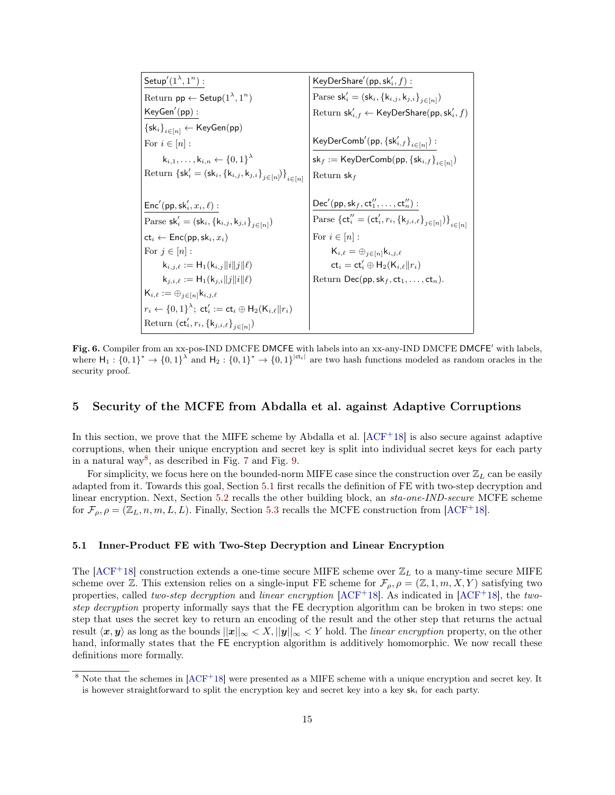$\mathsf{Setup}'(1^\lambda,1^n):$ Return  $\mathsf{pp} \leftarrow \mathsf{Setup}(1^{\lambda},1^n)$  $KeyGen'(pp)$ :  $\left\{ \mathsf{sk}_i \right\}_{i \in [n]} \leftarrow \mathsf{KeyGen}(\mathsf{pp})$ For  $i \in [n]$ :  $\mathsf{k}_{i,1},\ldots,\mathsf{k}_{i,n} \gets \{0,1\}^{\lambda}$ Return  $\{sk_i' = (sk_i, \{k_{i,j}, k_{j,i}\}_{j \in [n]})\}_{i \in [n]}$  $\mathsf{Enc}'(\mathsf{pp},\mathsf{sk}'_i,x_i,\ell)$  : Parse sk'<sub>i</sub> = (sk<sub>i</sub>, {k<sub>i,j</sub>, k<sub>j,i</sub>}<sub>j∈[n]</sub>)  $ct_i \leftarrow Enc(pp, sk_i, x_i)$ For  $j \in [n]$ :  $\mathsf{k}_{i,j,\ell} := \mathsf{H}_1(\mathsf{k}_{i,j}\|i\|j\|\ell)$  $k_{j,i,\ell} := H_1(k_{j,i}||j||i||\ell)$  $\mathsf{K}_{i,\ell} := \oplus_{j\in [n]} \mathsf{k}_{i,j,\ell}$  $r_i \leftarrow \{0,1\}^\lambda; \; \mathsf{ct}_i' := \mathsf{ct}_i \oplus \mathsf{H}_2(\mathsf{K}_{i,\ell} \| r_i)$ Return  $(\mathsf{ct}'_i, r_i, \{\mathsf{k}_{j,i,\ell}\}_{j\in[n]})$  $\mathsf{KeyDerShare}'(\mathsf{pp},\mathsf{sk}'_i,f):$ Parse sk'<sub>i</sub> = (sk<sub>i</sub>, {k<sub>i,j</sub>, k<sub>j,i</sub>}<sub>j∈[n]</sub>)  $\mathrm{Return} \; \mathsf{sk}'_{i,f} \leftarrow \mathsf{KeyDerShare}(\mathsf{pp},\mathsf{sk}'_i,f)$  $\mathsf{KeyDerComb}'(\mathsf{pp}, \{\mathsf{sk}'_{i,f}\}_{i\in[n]})$  :  $\mathsf{sk}_f := \mathsf{KeyDerComb}(\mathsf{pp}, \{\mathsf{sk}_{i,f}\}_{i \in [n]})$ Return  $sk_f$  $\mathsf{Dec}'(\mathsf{pp},\mathsf{sk}_f,\mathsf{ct}_1'',\ldots,\mathsf{ct}_n'')$ : Parse  $\{\mathsf{ct}_i'' = (\mathsf{ct}_i', r_i, \{\mathsf{k}_{j,i,\ell}\}_{j\in[n]})\}_{i\in[n]}$ For  $i \in [n]$ :  $K_{i,\ell} = \bigoplus_{i \in [n]} k_{i,j,\ell}$  $\mathsf{ct}_i = \mathsf{ct}'_i \oplus \mathsf{H}_2(\mathsf{K}_{i,\ell} \| r_i)$ Return Dec(pp,  $\mathsf{sk}_f, \mathsf{ct}_1, \ldots, \mathsf{ct}_n$ ).

<span id="page-15-2"></span>Fig. 6. Compiler from an xx-pos-IND DMCFE DMCFE with labels into an xx-any-IND DMCFE DMCFE' with labels, where  $H_1: \{0,1\}^* \to \{0,1\}^{\lambda}$  and  $H_2: \{0,1\}^* \to \{0,1\}^{|\mathsf{ct}_i|}$  are two hash functions modeled as random oracles in the security proof.

# <span id="page-15-0"></span>5 Security of the MCFE from Abdalla et al. against Adaptive Corruptions

In this section, we prove that the MIFE scheme by Abdalla et al.  $[ACF+18]$  $[ACF+18]$  is also secure against adaptive corruptions, when their unique encryption and secret key is split into individual secret keys for each party in a natural way<sup>[8](#page-15-3)</sup>, as described in Fig. [7](#page-17-1) and Fig. [9.](#page-18-0)

For simplicity, we focus here on the bounded-norm MIFE case since the construction over  $\mathbb{Z}_L$  can be easily adapted from it. Towards this goal, Section [5.1](#page-15-1) first recalls the definition of FE with two-step decryption and linear encryption. Next, Section [5.2](#page-16-0) recalls the other building block, an sta-one-IND-secure MCFE scheme for  $\mathcal{F}_{\rho}, \rho = (\mathbb{Z}_L, n, m, L, L)$ . Finally, Section [5.3](#page-17-0) recalls the MCFE construction from [\[ACF](#page-21-3)<sup>+</sup>18].

# <span id="page-15-1"></span>5.1 Inner-Product FE with Two-Step Decryption and Linear Encryption

The  $[ACF+18]$  $[ACF+18]$  construction extends a one-time secure MIFE scheme over  $\mathbb{Z}_L$  to a many-time secure MIFE scheme over Z. This extension relies on a single-input FE scheme for  $\mathcal{F}_{\rho}, \rho = (\mathbb{Z}, 1, m, X, Y)$  satisfying two properties, called two-step decryption and linear encryption  $[ACF+18]$  $[ACF+18]$ . As indicated in  $[ACF+18]$ , the twostep decryption property informally says that the FE decryption algorithm can be broken in two steps: one step that uses the secret key to return an encoding of the result and the other step that returns the actual result  $\langle x, y \rangle$  as long as the bounds  $||x||_{\infty} < X, ||y||_{\infty} < Y$  hold. The *linear encryption* property, on the other hand, informally states that the FE encryption algorithm is additively homomorphic. We now recall these definitions more formally.

<span id="page-15-3"></span><sup>&</sup>lt;sup>8</sup> Note that the schemes in [\[ACF](#page-21-3)<sup>+18]</sup> were presented as a MIFE scheme with a unique encryption and secret key. It is however straightforward to split the encryption key and secret key into a key  $sk_i$  for each party.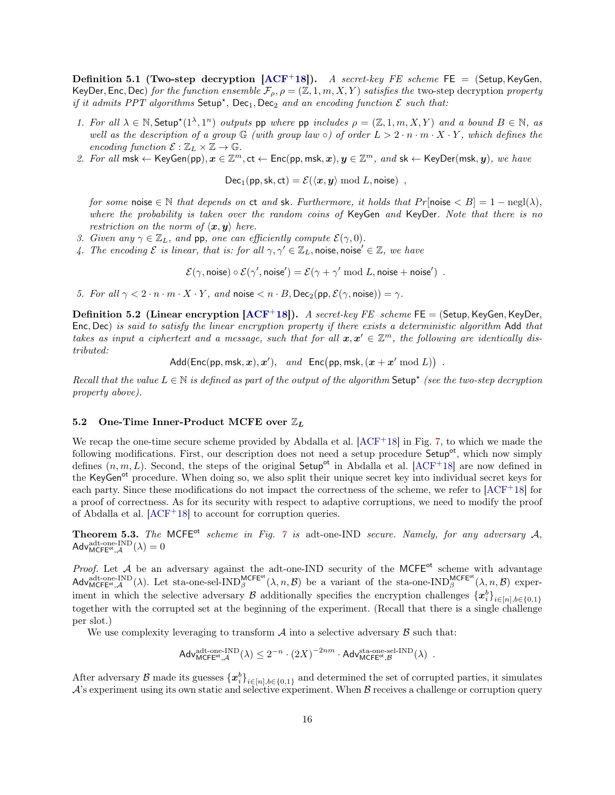**Definition 5.1 (Two-step decryption [\[ACF](#page-21-3)+18]).** A secret-key FE scheme FE = (Setup, KeyGen, KeyDer, Enc, Dec) for the function ensemble  $\mathcal{F}_{\rho}$ ,  $\rho = (\mathbb{Z}, 1, m, X, Y)$  satisfies the two-step decryption property if it admits PPT algorithms  $\mathsf{Setup}^*$ ,  $\mathsf{Dec}_1, \mathsf{Dec}_2$  and an encoding function  $\mathcal E$  such that:

- 1. For all  $\lambda \in \mathbb{N}$ , Setup<sup>\*</sup> $(1^{\lambda}, 1^n)$  outputs pp where pp includes  $\rho = (\mathbb{Z}, 1, m, X, Y)$  and a bound  $B \in \mathbb{N}$ , as well as the description of a group  $\mathbb G$  (with group law  $\circ$ ) of order  $L > 2 \cdot n \cdot m \cdot X \cdot Y$ , which defines the encoding function  $\mathcal{E} : \mathbb{Z}_L \times \mathbb{Z} \to \mathbb{G}$ .
- 2. For all msk  $\leftarrow$  KeyGen(pp),  $x \in \mathbb{Z}^m$ ,  $ct \leftarrow$  Enc(pp, msk,  $x)$ ,  $y \in \mathbb{Z}^m$ , and sk  $\leftarrow$  KeyDer(msk,  $y$ ), we have

 $Dec_1(pp, sk, ct) = \mathcal{E}(\langle x, y \rangle \text{ mod } L, \text{noise})$ ,

for some noise  $\in \mathbb{N}$  that depends on ct and sk. Furthermore, it holds that Pr[noise  $\lt B$ ] = 1 – negl( $\lambda$ ), where the probability is taken over the random coins of KeyGen and KeyDer. Note that there is no restriction on the norm of  $\langle x, y \rangle$  here.

- 3. Given any  $\gamma \in \mathbb{Z}_L$ , and pp, one can efficiently compute  $\mathcal{E}(\gamma, 0)$ .
- 4. The encoding  $\mathcal E$  is linear, that is: for all  $\gamma, \gamma' \in \mathbb Z_L$ , noise, noise'  $\in \mathbb Z$ , we have

 $\mathcal{E}(\gamma, \textsf{noise}) \circ \mathcal{E}(\gamma', \textsf{noise}') = \mathcal{E}(\gamma + \gamma' \textsf{ mod } L, \textsf{noise} + \textsf{noise}')$ .

5. For all  $\gamma < 2 \cdot n \cdot m \cdot X \cdot Y$ , and noise  $\langle n \cdot B, \text{Dec}_2(\text{pp}, \mathcal{E}(\gamma, \text{noise})) = \gamma$ .

<span id="page-16-2"></span>**Definition 5.2 (Linear encryption [\[ACF](#page-21-3)+18]).** A secret-key FE scheme FE = (Setup, KeyGen, KeyDer, Enc, Dec) is said to satisfy the linear encryption property if there exists a deterministic algorithm Add that takes as input a ciphertext and a message, such that for all  $x, x' \in \mathbb{Z}^m$ , the following are identically distributed:

Add(Enc(pp, msk,  $\boldsymbol{x}$ ),  $\boldsymbol{x}'$ ), and Enc(pp, msk,  $(\boldsymbol{x} + \boldsymbol{x}' \bmod L)$ ).

Recall that the value  $L \in \mathbb{N}$  is defined as part of the output of the algorithm Setup<sup>\*</sup> (see the two-step decryption property above).

# <span id="page-16-0"></span>5.2 One-Time Inner-Product MCFE over  $\mathbb{Z}_L$

We recap the one-time secure scheme provided by Abdalla et al. [\[ACF](#page-21-3)<sup>+</sup>18] in Fig. [7,](#page-17-1) to which we made the following modifications. First, our description does not need a setup procedure Setup<sup>ot</sup>, which now simply defines  $(n, m, L)$ . Second, the steps of the original Setup<sup>ot</sup> in Abdalla et al. [\[ACF](#page-21-3)+18] are now defined in the KeyGen<sup>ot</sup> procedure. When doing so, we also split their unique secret key into individual secret keys for each party. Since these modifications do not impact the correctness of the scheme, we refer to  $[ACF^+18]$  $[ACF^+18]$  for a proof of correctness. As for its security with respect to adaptive corruptions, we need to modify the proof of Abdalla et al. [\[ACF](#page-21-3)<sup>+</sup>18] to account for corruption queries.

<span id="page-16-1"></span>**Theorem 5.3.** The MCFE<sup>ot</sup> scheme in Fig. [7](#page-17-1) is adt-one-IND secure. Namely, for any adversary A,  $\mathsf{Adv}^{\mathrm{adt-one-IND}}_{\mathsf{MCFE}^{\mathrm{ot}},\mathcal{A}}(\lambda)=0$ 

Proof. Let  $A$  be an adversary against the adt-one-IND security of the MCFE<sup>ot</sup> scheme with advantage  $\mathsf{Adv}_{\mathsf{MCFE}^{\mathsf{ot}},\mathcal{A}}^{\mathsf{add}\text{-one-IND}}(\lambda)$ . Let sta-one-sel-IND $_{\beta}^{\mathsf{MCFE}^{\mathsf{ot}}}(\lambda,n,\mathcal{B})$  be a variant of the sta-one-IND $_{\beta}^{\mathsf{MCFE}^{\mathsf{ot}}}(\lambda,n,\mathcal{B})$  experiment in which the selective adversary B additionally specifies the encryption challenges  $\{x_i^b\}_{i\in[n],b\in\{0,1\}}$ together with the corrupted set at the beginning of the experiment. (Recall that there is a single challenge per slot.)

We use complexity leveraging to transform  $A$  into a selective adversary  $B$  such that:

 $\mathsf{Adv}_{\mathsf{MCFE}^{\mathsf{ot}}, \mathcal{A}}^{\mathsf{adt\text{-}one}\text{-}\mathrm{IND}}(\lambda) \leq 2^{-n} \cdot \left(2X\right)^{-2nm} \cdot \mathsf{Adv}_{\mathsf{MCFE}^{\mathsf{ot}}, \mathcal{B}}^{\mathsf{sta\text{-}one\text{-}sel\text{-}IND}}(\lambda) \enspace .$ 

After adversary B made its guesses  $\{x_i^b\}_{i\in[n],b\in\{0,1\}}$  and determined the set of corrupted parties, it simulates  $\mathcal{A}$ 's experiment using its own static and selective experiment. When  $\mathcal{B}$  receives a challenge or corruption query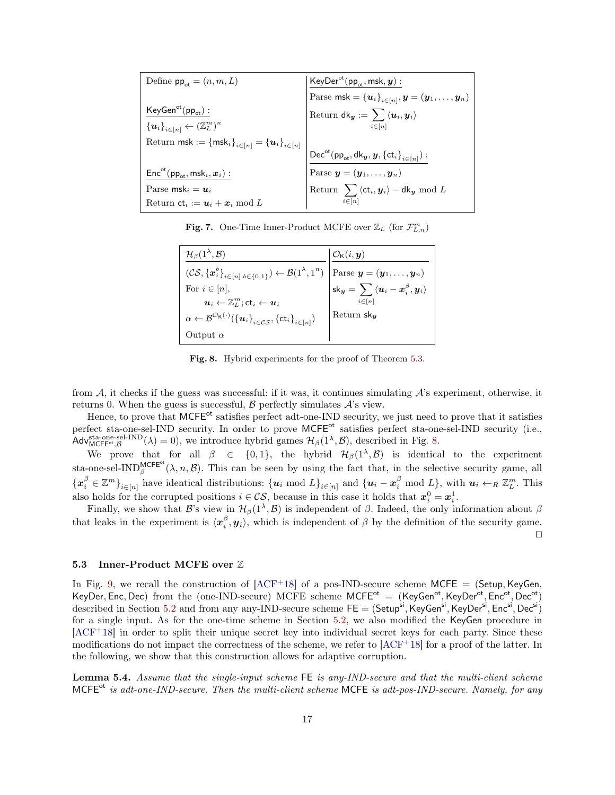| Define $pp_{\alpha t} = (n, m, L)$                                                                           | $KeyDer^{ot}(pp_{ot}, msk, y)$ :                                                                                                     |
|--------------------------------------------------------------------------------------------------------------|--------------------------------------------------------------------------------------------------------------------------------------|
|                                                                                                              | Parse msk = $\overline{\{u_i\}_{i\in[n]}, y = (y_1, \ldots, y_n)}$                                                                   |
| $KeyGen^{ot}(pp_{ot})$ :                                                                                     | Return $\mathsf{d}\mathsf{k}_\mathcal{y} := \sum \braket{\bm{u}_i,\bm{y}_i}$                                                         |
| ${u_i}_{i\in[n]} \leftarrow (\mathbb{Z}_L^m)^n$                                                              | $i \in [n]$                                                                                                                          |
| Return $\mathsf{msk} := \left\{ \mathsf{msk}_i \right\}_{i \in [n]} = \left\{ \bm{u}_i \right\}_{i \in [n]}$ |                                                                                                                                      |
|                                                                                                              | $\mathsf{Dec}^{\mathsf{ot}}(\mathsf{pp}_\mathsf{ot},\mathsf{dk}_\mathsf{y},\mathsf{y},\left\{\mathsf{ct}_i\right\}_{i\in[n]})$ :     |
| $\mathsf{Enc}^{\mathsf{ot}}(\mathsf{pp}_{\mathsf{ot}}, \mathsf{msk}_i, \boldsymbol{x}_i):$                   |                                                                                                                                      |
| Parse msk <sub>i</sub> = $u_i$                                                                               | Parse $\mathbf{y} = (\mathbf{y}_1, \dots, \mathbf{y}_n)$<br>Return $\sum \langle ct_i, \mathbf{y}_i \rangle - d\mathbf{k_y}$ mod $L$ |
| Return $ct_i := u_i + x_i \mod L$                                                                            |                                                                                                                                      |

<span id="page-17-1"></span>Fig. 7. One-Time Inner-Product MCFE over  $\mathbb{Z}_L$  (for  $\mathcal{F}_{L,n}^m$ )

| $\mathcal{H}_{\beta}(1^{\lambda},\mathcal{B})$                                                                                                                               | $\mathcal{O}_{\mathsf{K}}(i,\boldsymbol{y})$                                             |
|------------------------------------------------------------------------------------------------------------------------------------------------------------------------------|------------------------------------------------------------------------------------------|
| $(\mathcal{CS}, {\{\boldsymbol{x}}_i^b\}_{i\in[n],b\in\{0,1\}}) \leftarrow \mathcal{B}(1^{\lambda},1^n)$ Parse $\boldsymbol{y} = (\boldsymbol{y}_1,\ldots,\boldsymbol{y}_n)$ |                                                                                          |
| For $i \in [n]$ ,                                                                                                                                                            | $\mathsf{sk}_{\bm{y}} = \, \sum \, \langle \bm{u}_i - \bm{x}_i^\beta , \bm{y}_i \rangle$ |
| $u_i \leftarrow \mathbb{Z}_L^m$ ; ct $_i \leftarrow u_i$                                                                                                                     | $\sum_{i\in[n]}$                                                                         |
| $\alpha \leftarrow \mathcal{B}^{\mathcal{O}_{\mathsf{K}}(\cdot)}(\{\boldsymbol{u}_i\}_{i \in \mathcal{CS}}, \{\mathsf{ct}_i\}_{i \in [n]})$                                  | Return $\mathsf{sk}_{\boldsymbol{u}}$                                                    |
| Output $\alpha$                                                                                                                                                              |                                                                                          |

<span id="page-17-2"></span>Fig. 8. Hybrid experiments for the proof of Theorem [5.3.](#page-16-1)

from  $A$ , it checks if the guess was successful: if it was, it continues simulating  $A$ 's experiment, otherwise, it returns 0. When the guess is successful,  $\beta$  perfectly simulates  $\mathcal{A}$ 's view.

Hence, to prove that MCFE<sup>ot</sup> satisfies perfect adt-one-IND security, we just need to prove that it satisfies perfect sta-one-sel-IND security. In order to prove MCFE<sup>ot</sup> satisfies perfect sta-one-sel-IND security (i.e., Adv $\mathcal{M}_{MCFE^{\text{ot}},\mathcal{B}}^{\text{sta-one-sel-IND}}(\lambda) = 0$ , we introduce hybrid games  $\mathcal{H}_{\beta}(1^{\lambda},\mathcal{B})$ , described in Fig. [8.](#page-17-2)

We prove that for all  $\beta \in \{0,1\}$ , the hybrid  $\mathcal{H}_{\beta}(1^{\lambda}, \mathcal{B})$  is identical to the experiment sta-one-sel-IND<sup>MCFE<sup>ot</sup>( $\lambda$ , n,  $\mathcal{B}$ ). This can be seen by using the fact that, in the selective security game, all</sup>  $\{\boldsymbol{x}_i^{\beta} \in \mathbb{Z}^m\}_{i \in [n]}$  have identical distributions:  $\{\boldsymbol{u}_i \text{ mod } L\}_{i \in [n]}$  and  $\{\boldsymbol{u}_i - \boldsymbol{x}_i^{\beta} \text{ mod } L\}$ , with  $\boldsymbol{u}_i \leftarrow_R \mathbb{Z}_L^m$ . This also holds for the corrupted positions  $i \in \mathcal{CS}$ , because in this case it holds that  $\mathbf{x}_i^0 = \mathbf{x}_i^1$ .

Finally, we show that B's view in  $\mathcal{H}_{\beta}(1^{\lambda}, \mathcal{B})$  is independent of  $\beta$ . Indeed, the only information about  $\beta$ that leaks in the experiment is  $\langle x_i^{\beta}, y_i \rangle$ , which is independent of  $\beta$  by the definition of the security game.  $\Box$ 

### <span id="page-17-0"></span>5.3 Inner-Product MCFE over Z

In Fig. [9,](#page-18-0) we recall the construction of  $[ACF+18]$  $[ACF+18]$  of a pos-IND-secure scheme MCFE = (Setup, KeyGen, KeyDer, Enc, Dec) from the (one-IND-secure) MCFE scheme  $MCFE^{\circ t} = (KeyGen^{\circ t}, KeyDer^{\circ t}, Enc^{\circ t}, Dec^{\circ t})$ described in Section [5.2](#page-16-0) and from any any-IND-secure scheme  $\mathsf{FE} = (\mathsf{Setup}^{\mathsf{si}}, \mathsf{KeyGen}^{\mathsf{si}}, \mathsf{KeyDer}^{\mathsf{si}}, \mathsf{Enc}^{\mathsf{si}}, \mathsf{Dec}^{\mathsf{si}})$ for a single input. As for the one-time scheme in Section [5.2,](#page-16-0) we also modified the KeyGen procedure in [\[ACF](#page-21-3)<sup>+</sup>18] in order to split their unique secret key into individual secret keys for each party. Since these modifications do not impact the correctness of the scheme, we refer to  $[ACF^+18]$  $[ACF^+18]$  for a proof of the latter. In the following, we show that this construction allows for adaptive corruption.

Lemma 5.4. Assume that the single-input scheme FE is any-IND-secure and that the multi-client scheme MCFEot is adt-one-IND-secure. Then the multi-client scheme MCFE is adt-pos-IND-secure. Namely, for any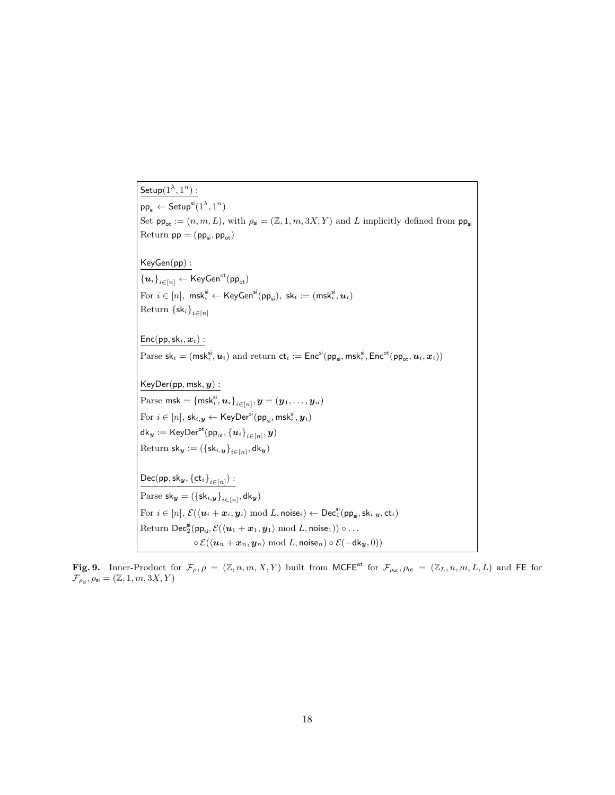$\mathsf{Setup}(1^{\lambda},1^n):$  $\mathsf{pp}_{\mathsf{si}} \leftarrow \mathsf{Setup}^{\mathsf{si}}(1^\lambda,1^n)$ Set  $pp_{\text{ot}} := (n, m, L)$ , with  $\rho_{\text{si}} = (\mathbb{Z}, 1, m, 3X, Y)$  and L implicitly defined from  $pp_{\text{si}}$ Return  $pp = (pp_{si}, pp_{ot})$ KeyGen(pp) :  ${u_i}_{i \in [n]} \leftarrow$  KeyGen<sup>ot</sup>(pp<sub>ot</sub>) For  $i \in [n], \text{ msk}_i^{\text{si}} \leftarrow \text{KeyGen}^{\text{si}}(\text{pp}_{\text{si}}), \text{ sk}_i := (\text{msk}_i^{\text{si}}, \boldsymbol{u}_i)$ Return  $\{\mathsf{sk}_i\}_{i\in[n]}$  $Enc(pp, sk<sub>i</sub>, x<sub>i</sub>)$ : Parse  $\mathsf{sk}_i = (\mathsf{msk}_i^{\mathsf{si}}, \boldsymbol{u}_i)$  and return  $\mathsf{ct}_i := \mathsf{Enc}^{\mathsf{si}}(\mathsf{pp}_{\mathsf{si}}, \mathsf{msk}_i^{\mathsf{si}}, \mathsf{Enc}^{\mathsf{ot}}(\mathsf{pp}_{\mathsf{ot}}, \boldsymbol{u}_i, \boldsymbol{x}_i))$  $KeyDer(pp, msk, y):$  $\text{Parse } \textsf{msk} = \{\textsf{msk}_i^{\textsf{si}}, \boldsymbol{u}_i\}_{i \in [n]}, \boldsymbol{y} = (\boldsymbol{y}_1, \dots, \boldsymbol{y}_n)$  $\mathrm{For}\,\,i\in [n],\,\mathsf{sk}_{i,\boldsymbol{y}}\leftarrow \mathsf{KeyDer}^{\mathsf{si}}(\mathsf{pp}_{\mathsf{si}},\mathsf{msk}_{i}^{\mathsf{si}},\boldsymbol{y}_{i})$  $\mathsf{dk}_{\bm{y}} := \mathsf{KeyDer}^{\mathsf{ot}}(\mathsf{pp}_{\mathsf{ot}}, \left\{\bm{u}_i\right\}_{i\in[n]}, \bm{y})$  $\text{Return } \mathsf{sk}_{\bm{y}} := (\{\mathsf{sk}_{i, \bm{y}}\}_{i \in [n]}, \mathsf{dk}_{\bm{y}})$  $\mathsf{Dec}(\mathsf{pp},\mathsf{sk}_{\bm{y}},\left\{\mathsf{ct}_i\right\}_{i\in[n]})$  :  $\text{Parse } \mathsf{sk}_{\bm{y}} = (\{\mathsf{sk}_{i, \bm{y}}\}_{i \in [n]}, \mathsf{dk}_{\bm{y}})$ For  $i \in [n], \, \mathcal{E}(\langle \bm{u}_i+\bm{x}_i,\bm{y}_i\rangle \bmod L, \mathsf{noise}_i) \leftarrow \mathsf{Dec}^{\mathsf{si}}_1(\mathsf{pp}_{\mathsf{si}},\mathsf{sk}_{i,\bm{y}},\mathsf{ct}_i)$  $\mathrm{Return}\ \mathsf{Dec}_2^{\mathsf{si}}(\mathsf{pp}_{\mathsf{si}},\mathcal{E}(\langle {\bm{u}}_1+{\bm{x}}_1,{\bm{y}}_1\rangle\ \mathrm{mod}\ L,\mathsf{noise}_1))\circ \ldots$  $\circ \mathcal{E}(\langle \boldsymbol{u}_n + \boldsymbol{x}_n, \boldsymbol{y}_n \rangle \text{ mod } L, \text{noise}_n) \circ \mathcal{E}(-\mathsf{d}\mathsf{k}_{\boldsymbol{u}}, 0))$ 

<span id="page-18-0"></span>Fig. 9. Inner-Product for  $\mathcal{F}_{\rho,\rho} = (\mathbb{Z}, n, m, X, Y)$  built from MCFE<sup>ot</sup> for  $\mathcal{F}_{\rho_{\text{ot}}}$ ,  $\rho_{\text{ot}} = (\mathbb{Z}_L, n, m, L, L)$  and FE for  $\mathcal{F}_{\rho_{\mathsf{si}}}, \rho_{\mathsf{si}} = (\mathbb{Z}, 1, m, 3X, Y)$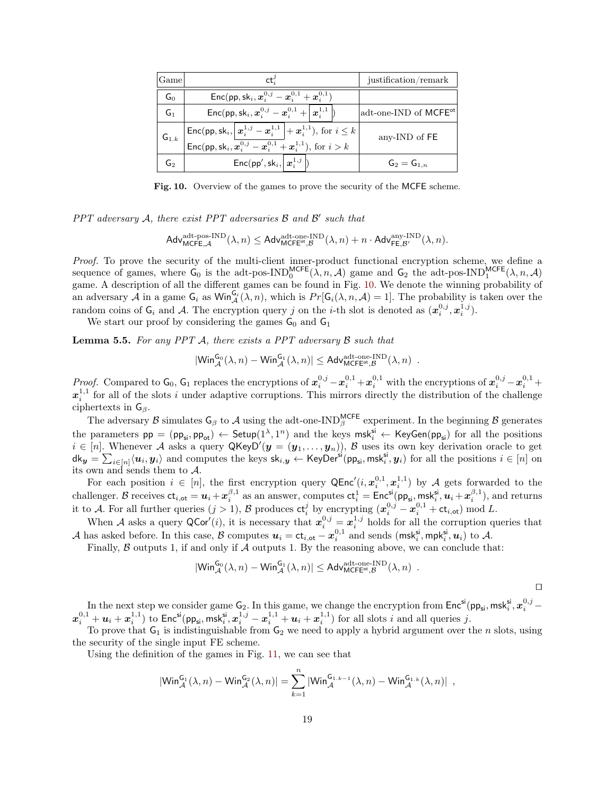| <b>Game</b>     | ct.                                                                                                                                                                                                                                                                                                                     | justification/remark              |
|-----------------|-------------------------------------------------------------------------------------------------------------------------------------------------------------------------------------------------------------------------------------------------------------------------------------------------------------------------|-----------------------------------|
| $G_0$           | Enc(pp, sk <sub>i</sub> , $x_i^{0,j} - x_i^{0,1} + x_i^{0,1}$ )                                                                                                                                                                                                                                                         |                                   |
| G <sub>1</sub>  | Enc(pp, sk <sub>i</sub> , $x_i^{0,j} - x_i^{0,1} +  x_i^{1,1} $ )                                                                                                                                                                                                                                                       | adt-one-IND of MCFE <sup>ot</sup> |
| ${\sf G}_{1.k}$ | Enc(pp, sk <sub>i</sub> , $\left  \frac{\mathbf{x}_i^{1,j} - \mathbf{x}_i^{1,1}}{\text{Enc}(\text{pp}, \text{sk}_i, \mathbf{x}_i^{0,j} - \mathbf{x}_i^{0,1} + \mathbf{x}_i^{1,1})} \right $ , for $i \leq k$<br>Enc(pp, sk <sub>i</sub> , $\mathbf{x}_i^{0,j} - \mathbf{x}_i^{0,1} + \mathbf{x}_i^{1,1}$ ), for $i > k$ | any-IND of FE                     |
| G۰              | $Enc(pp', sk_i,   x_i^{1,j}  )$                                                                                                                                                                                                                                                                                         | $G_2 = G_{1,n}$                   |

<span id="page-19-0"></span>Fig. 10. Overview of the games to prove the security of the MCFE scheme.

PPT adversary  $A$ , there exist PPT adversaries  $\beta$  and  $\beta'$  such that

$$
\mathsf{Adv}_{\mathsf{MCFE},\mathcal{A}}^{\mathrm{adt-pos-IND}}(\lambda,n)\leq \mathsf{Adv}_{\mathsf{MCFE}^{\text{ot}},\mathcal{B}}^{\mathrm{adt-one-IND}}(\lambda,n)+n\cdot \mathsf{Adv}_{\mathsf{FE},\mathcal{B}'}^{\mathrm{any-IND}}(\lambda,n).
$$

Proof. To prove the security of the multi-client inner-product functional encryption scheme, we define a sequence of games, where  $G_0$  is the adt-pos-IND $_0^{\text{MCEE}}(\lambda, n, \mathcal{A})$  game and  $G_2$  the adt-pos-IND $_1^{\text{MCEE}}(\lambda, n, \mathcal{A})$ game. A description of all the different games can be found in Fig. [10.](#page-19-0) We denote the winning probability of an adversary A in a game  $G_i$  as  $\text{Win}_{\mathcal{A}}^{G_i}(\lambda, n)$ , which is  $Pr[G_i(\lambda, n, \mathcal{A}) = 1]$ . The probability is taken over the random coins of  $G_i$  and A. The encryption query j on the *i*-th slot is denoted as  $(\mathbf{x}_i^{0,j}, \mathbf{x}_i^{1,j})$ .

We start our proof by considering the games  $G_0$  and  $G_1$ 

<span id="page-19-1"></span>**Lemma 5.5.** For any PPT  $\mathcal{A}$ , there exists a PPT adversary  $\mathcal{B}$  such that

$$
|\mathsf{Win}_{\mathcal{A}}^{\mathsf{G}_{0}}(\lambda,n) - \mathsf{Win}_{\mathcal{A}}^{\mathsf{G}_{1}}(\lambda,n)| \leq \mathsf{Adv}_{\mathsf{MCFE}^{\mathsf{ot}},\mathcal{B}}^{\mathsf{adt-one}\text{-}\mathsf{IND}}(\lambda,n) \enspace .
$$

Proof. Compared to  $\mathsf{G}_0$ ,  $\mathsf{G}_1$  replaces the encryptions of  $x_i^{0,j} - x_i^{0,1} + x_i^{0,1}$  with the encryptions of  $x_i^{0,j} - x_i^{0,1} + x_i^{0,1}$  $x_i^{1,1}$  for all of the slots i under adaptive corruptions. This mirrors directly the distribution of the challenge ciphertexts in  $G_\beta$ .

The adversary  $\beta$  simulates  $G_\beta$  to  $\mathcal A$  using the adt-one-IND<sup>MCFE</sup> experiment. In the beginning  $\beta$  generates the parameters  $pp = (pp_{si}, pp_{ot}) \leftarrow$  Setup $(1^{\lambda}, 1^n)$  and the keys  $msk_i^{si} \leftarrow \text{KeyGen}(pp_{si})$  for all the positions  $i \in [n]$ . Whenever A asks a query  $\mathsf{QKeyD}'(\mathbf{y}=(y_1,\ldots,y_n)),$  B uses its own key derivation oracle to get  $\mathsf{d}\mathsf{k}_{\bm{y}} = \sum_{i\in[n]}\langle\bm{u}_i,\bm{y}_i\rangle\ \text{and computes the keys }\mathsf{sk}_{i,\bm{y}}\gets\mathsf{KeyDer}^{\mathsf{si}}(\mathsf{pp}_{\mathsf{si}},\mathsf{msk}_i^{\mathsf{si}},\bm{y}_i)\ \text{for all the positions }\ i\in[n]\ \text{on}\$ its own and sends them to  $A$ .

For each position  $i \in [n]$ , the first encryption query  $\mathsf{QEnc}'(i, \mathbf{x}_i^{0,1}, \mathbf{x}_i^{1,1})$  by A gets forwarded to the challenger. B receives  $\mathsf{ct}_{i,\mathsf{ot}} = u_i + x_i^{\beta,1}$  as an answer, computes  $\mathsf{ct}_i^1 = \mathsf{Enc}^\mathsf{si}(\mathsf{pp}_\mathsf{si},\mathsf{msk}_i^{\mathsf{si}},u_i + x_i^{\beta,1}),$  and returns it to A. For all further queries  $(j > 1)$ , B produces  $ct_i^j$  by encrypting  $(\boldsymbol{x}_i^{0,j} - \boldsymbol{x}_i^{0,1} + ct_{i,ot}) \mod L$ .

When A asks a query QCor'(i), it is necessary that  $x_i^{0,j} = x_i^{1,j}$  holds for all the corruption queries that A has asked before. In this case, B computes  $u_i = c t_{i,ot} - x_i^{0,1}$  and sends  $(\textsf{msk}_i^{\textsf{si}}, \textsf{mpk}_i^{\textsf{si}}, u_i)$  to A.

Finally,  $\beta$  outputs 1, if and only if  $\mathcal A$  outputs 1. By the reasoning above, we can conclude that:

$$
|\text{Win}_{\mathcal{A}}^{\mathsf{G}_{0}}(\lambda,n) - \text{Win}_{\mathcal{A}}^{\mathsf{G}_{1}}(\lambda,n)| \leq \text{Adv}_{\text{MCFE}^{\text{ot}},\mathcal{B}}^{\text{adt-one-IND}}(\lambda,n) .
$$

 $\Box$ 

In the next step we consider game  $G_2$ . In this game, we change the encryption from  $Enc^{si}(pp_{si},msk_i^{s_i},x_i^{0,j} \boldsymbol{x}^{0,1}_i + \boldsymbol{u}_i + \boldsymbol{x}^{1,1}_i)$  to  $\mathsf{Enc}^\mathsf{si}(\mathsf{pp}_\mathsf{si},\mathsf{msk}^\mathsf{si}_i, \boldsymbol{x}^{1,j}_i - \boldsymbol{x}^{1,1}_i + \boldsymbol{u}_i + \boldsymbol{x}^{1,1}_i)$  for all slots  $i$  and all queries  $j.$ 

To prove that  $G_1$  is indistinguishable from  $G_2$  we need to apply a hybrid argument over the n slots, using the security of the single input FE scheme.

Using the definition of the games in Fig. [11,](#page-21-8) we can see that

$$
|\mathsf{Win}_{\mathcal{A}}^{\mathsf{G}_1}(\lambda,n)-\mathsf{Win}_{\mathcal{A}}^{\mathsf{G}_2}(\lambda,n)|=\sum_{k=1}^n|\mathsf{Win}_{\mathcal{A}}^{\mathsf{G}_{1.k-1}}(\lambda,n)-\mathsf{Win}_{\mathcal{A}}^{\mathsf{G}_{1.k}}(\lambda,n)|\enspace,
$$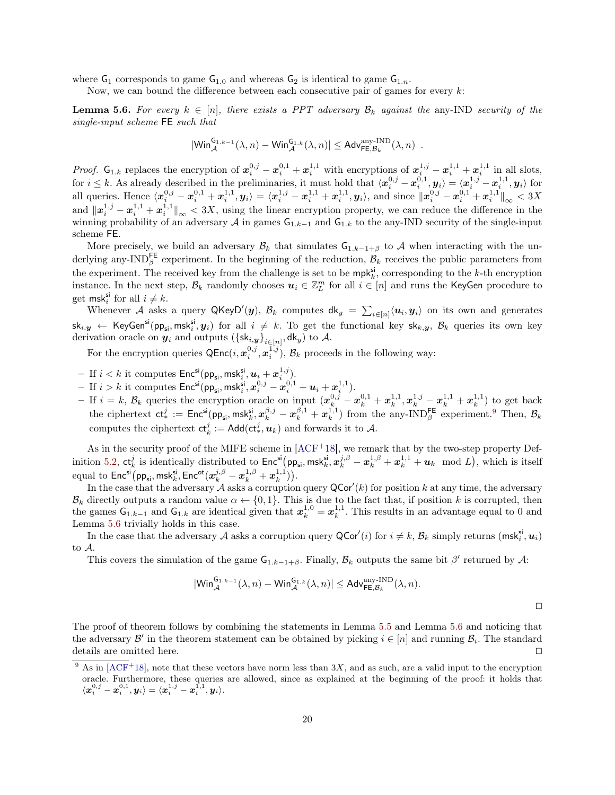where  $G_1$  corresponds to game  $G_{1,0}$  and whereas  $G_2$  is identical to game  $G_{1,n}$ .

Now, we can bound the difference between each consecutive pair of games for every  $k$ :

**Lemma 5.6.** For every  $k \in [n]$ , there exists a PPT adversary  $\mathcal{B}_k$  against the any-IND security of the single-input scheme FE such that

<span id="page-20-1"></span>
$$
|\mathsf{Win}_{\mathcal{A}}^{\mathsf{G}_{1,k-1}}(\lambda,n) - \mathsf{Win}_{\mathcal{A}}^{\mathsf{G}_{1,k}}(\lambda,n)| \leq \mathsf{Adv}_{\mathsf{FE},\mathcal{B}_k}^{\text{any-IND}}(\lambda,n) .
$$

*Proof.*  $G_{1,k}$  replaces the encryption of  $x_i^{0,j} - x_i^{0,1} + x_i^{1,1}$  with encryptions of  $x_i^{1,j} - x_i^{1,1} + x_i^{1,1}$  in all slots, if  $i \leq k$ . As already described in the preliminaries, it must hold that  $\langle x_i^{0,j} - x_i^{0,1}, y_i \rangle = \langle x_i^{1,j} - x_i^{1,1}, y_i \rangle$  for all queries. Hence  $\langle x_i^{0,j} - x_i^{0,1} + x_i^{1,1}, y_i \rangle = \langle x_i^{1,j} - x_i^{1,1} + x_i^{1,1}, y_i \rangle$ , and since  $\| x_i^{0,j} - x_i^{0,1} + x_i^{1,1} \|_\infty < 3X$ and  $\|\boldsymbol{x}_i^{1,j} - \boldsymbol{x}_i^{1,1} + \boldsymbol{x}_i^{1,1}\|_{\infty} < 3X$ , using the linear encryption property, we can reduce the difference in the winning probability of an adversary A in games  $G_{1,k-1}$  and  $G_{1,k}$  to the any-IND security of the single-input scheme FE.

More precisely, we build an adversary  $\mathcal{B}_k$  that simulates  $G_{1,k-1+\beta}$  to A when interacting with the underlying any-IND<sup>FE</sup> experiment. In the beginning of the reduction,  $\mathcal{B}_k$  receives the public parameters from the experiment. The received key from the challenge is set to be  $mpk_k^{\rm si}$ , corresponding to the k-th encryption instance. In the next step,  $\mathcal{B}_k$  randomly chooses  $u_i \in \mathbb{Z}_L^m$  for all  $i \in [n]$  and runs the KeyGen procedure to get msk<sup>si</sup> for all  $i \neq k$ .

Whenever A asks a query QKeyD'(y),  $B_k$  computes  $d_k = \sum_{i \in [n]} \langle u_i, y_i \rangle$  on its own and generates  $\mathsf{sk}_{i,\bm{y}} \ \leftarrow \ \mathsf{KeyGen}^\mathsf{si}(\mathsf{pp}_\mathsf{si},\mathsf{msk}_i^\mathsf{si},\bm{y}_i) \ \text{for all} \ i \ \neq \ k. \ \text{To get the functional key } \mathsf{sk}_{k,\bm{y}}, \ \mathcal{B}_k \ \text{queries its own key}$ derivation oracle on  $y_i$  and outputs  $(\{\textsf{sk}_{i,y}\}_{i\in[n]},\textsf{dk}_y)$  to  $\mathcal{A}$ .

For the encryption queries  $\mathsf{QEnc}(i, \mathbf{x}_i^{0,j}, \mathbf{x}_i^{1,j}), \mathcal{B}_k$  proceeds in the following way:

- If  $i < k$  it computes  $\mathsf{Enc}^{\mathsf{si}}(\mathsf{pp}_{\mathsf{si}},\mathsf{msk}_{i}^{\mathsf{si}}, \boldsymbol{u}_{i} + \boldsymbol{x}_{i}^{1,j}).$
- If  $i > k$  it computes  $\mathsf{Enc}^{\mathsf{si}}(\mathsf{pp}_{\mathsf{si}},\mathsf{msk}_{i}^{\mathsf{si}},x_{i}^{0,j}-x_{i}^{0,1}+\boldsymbol{u}_{i}+\boldsymbol{x}_{i}^{1,1}).$
- − If  $i = k$ ,  $\mathcal{B}_k$  queries the encryption oracle on input  $(\mathbf{x}_{k}^{0,j} \mathbf{x}_{k}^{0,1} + \mathbf{x}_{k}^{1,1}, \mathbf{x}_{k}^{1,j} \mathbf{x}_{k}^{1,1} + \mathbf{x}_{k}^{1,1})$  to get back the ciphertext  $ct_*^j := \textsf{Enc}^{\textsf{si}}(\textsf{pp}_{\textsf{si}},\textsf{msk}_k^{\textsf{si}}, x_k^{\beta,j} - x_k^{\beta,1} + x_k^{1,1})$  from the any-IND $_\beta^{\textsf{FE}}$  experiment.<sup>[9](#page-20-0)</sup> Then,  $\mathcal{B}_k$ computes the ciphertext  $ct_k^j := \text{Add}(\text{ct}_*^j, \textbf{u}_k)$  and forwards it to  $A$ .

As in the security proof of the MIFE scheme in  $[ACF<sup>+</sup>18]$  $[ACF<sup>+</sup>18]$ , we remark that by the two-step property Def-inition [5.2,](#page-16-2)  $\mathsf{ct}_k^j$  is identically distributed to  $\mathsf{Enc}^\mathsf{si}(\mathsf{pp}_\mathsf{si},\mathsf{msk}_k^\mathsf{si},\bm{x}_k^{\mathsf{j},\beta} - \bm{x}_k^{1,\beta} + \bm{x}_k^{1,1} + \bm{u}_k \mod L),$  which is itself equal to  $\mathsf{Enc}^\mathsf{si}(\mathsf{pp}_\mathsf{si},\mathsf{msk}_k^{\mathsf{si}},\mathsf{Enc}^\mathsf{ot}(x_k^{j,\beta} - x_k^{1,\beta} + x_k^{1,1})).$ 

In the case that the adversary  $A$  asks a corruption query  $QCor'(k)$  for position k at any time, the adversary  $\mathcal{B}_k$  directly outputs a random value  $\alpha \leftarrow \{0, 1\}$ . This is due to the fact that, if position k is corrupted, then the games  $G_{1,k-1}$  and  $G_{1,k}$  are identical given that  $x_k^{1,0} = x_k^{1,1}$ . This results in an advantage equal to 0 and Lemma [5.6](#page-20-1) trivially holds in this case.

In the case that the adversary A asks a corruption query  $\mathsf{QCor}'(i)$  for  $i \neq k$ ,  $\mathcal{B}_k$  simply returns  $(\mathsf{msk}_i^{\mathsf{si}}, \mathbf{u}_i)$ to A.

This covers the simulation of the game  $G_{1,k-1+\beta}$ . Finally,  $B_k$  outputs the same bit  $\beta'$  returned by A:

$$
|\mathsf{Win}_{\mathcal{A}}^{\mathsf{G}_{1,k-1}}(\lambda,n) - \mathsf{Win}_{\mathcal{A}}^{\mathsf{G}_{1,k}}(\lambda,n)| \leq \mathsf{Adv}_{\mathsf{FE},\mathcal{B}_k}^{\text{any-IND}}(\lambda,n).
$$

 $\Box$ 

The proof of theorem follows by combining the statements in Lemma [5.5](#page-19-1) and Lemma [5.6](#page-20-1) and noticing that the adversary  $\mathcal{B}'$  in the theorem statement can be obtained by picking  $i \in [n]$  and running  $\mathcal{B}_i$ . The standard details are omitted here.  $\Box$ 

<span id="page-20-0"></span><sup>&</sup>lt;sup>9</sup> As in [\[ACF](#page-21-3)<sup>+</sup>18], note that these vectors have norm less than 3X, and as such, are a valid input to the encryption oracle. Furthermore, these queries are allowed, since as explained at the beginning of the proof: it holds that  $\langle \boldsymbol{x}^{0,j}_i - \boldsymbol{x}^{0,1}_i, \boldsymbol{y}_i \rangle = \langle \boldsymbol{x}^{1,j}_i - \boldsymbol{x}^{1,1}_i, \boldsymbol{y}_i \rangle.$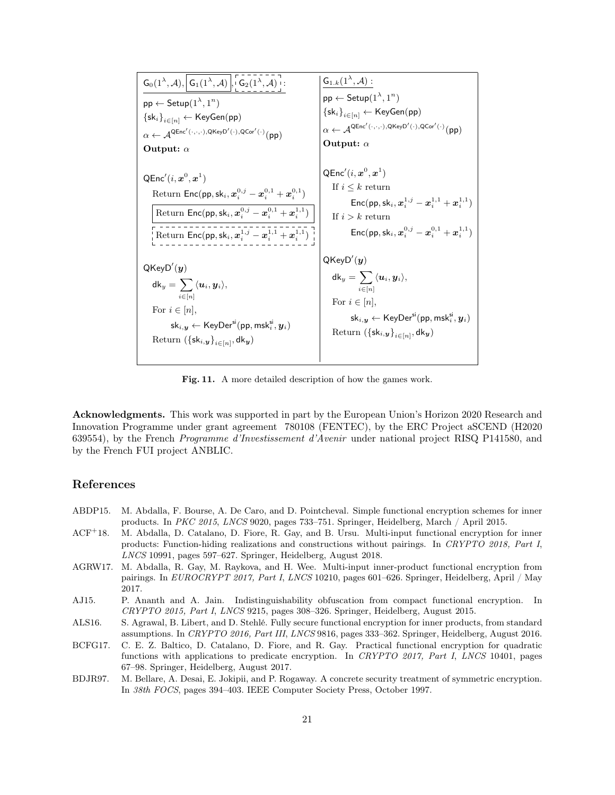

<span id="page-21-8"></span>Fig. 11. A more detailed description of how the games work.

<span id="page-21-0"></span>Acknowledgments. This work was supported in part by the European Union's Horizon 2020 Research and Innovation Programme under grant agreement 780108 (FENTEC), by the ERC Project aSCEND (H2020 639554), by the French Programme d'Investissement d'Avenir under national project RISQ P141580, and by the French FUI project ANBLIC.

# References

- <span id="page-21-4"></span>ABDP15. M. Abdalla, F. Bourse, A. De Caro, and D. Pointcheval. Simple functional encryption schemes for inner products. In PKC 2015, LNCS 9020, pages 733–751. Springer, Heidelberg, March / April 2015.
- <span id="page-21-3"></span>ACF<sup>+</sup>18. M. Abdalla, D. Catalano, D. Fiore, R. Gay, and B. Ursu. Multi-input functional encryption for inner products: Function-hiding realizations and constructions without pairings. In CRYPTO 2018, Part I, LNCS 10991, pages 597–627. Springer, Heidelberg, August 2018.
- <span id="page-21-1"></span>AGRW17. M. Abdalla, R. Gay, M. Raykova, and H. Wee. Multi-input inner-product functional encryption from pairings. In EUROCRYPT 2017, Part I, LNCS 10210, pages 601–626. Springer, Heidelberg, April / May 2017.
- <span id="page-21-2"></span>AJ15. P. Ananth and A. Jain. Indistinguishability obfuscation from compact functional encryption. In CRYPTO 2015, Part I, LNCS 9215, pages 308–326. Springer, Heidelberg, August 2015.
- <span id="page-21-5"></span>ALS16. S. Agrawal, B. Libert, and D. Stehlé. Fully secure functional encryption for inner products, from standard assumptions. In CRYPTO 2016, Part III, LNCS 9816, pages 333–362. Springer, Heidelberg, August 2016.
- <span id="page-21-6"></span>BCFG17. C. E. Z. Baltico, D. Catalano, D. Fiore, and R. Gay. Practical functional encryption for quadratic functions with applications to predicate encryption. In CRYPTO 2017, Part I, LNCS 10401, pages 67–98. Springer, Heidelberg, August 2017.
- <span id="page-21-7"></span>BDJR97. M. Bellare, A. Desai, E. Jokipii, and P. Rogaway. A concrete security treatment of symmetric encryption. In 38th FOCS, pages 394–403. IEEE Computer Society Press, October 1997.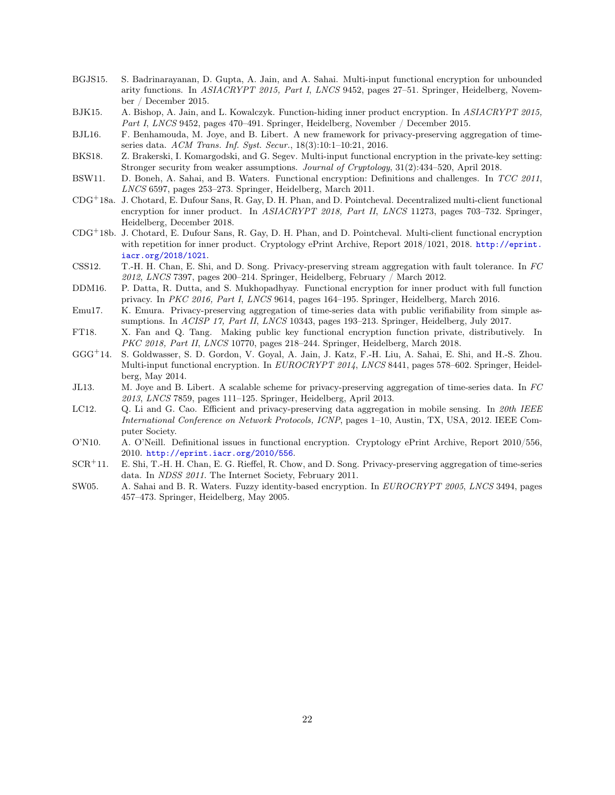- <span id="page-22-5"></span>BGJS15. S. Badrinarayanan, D. Gupta, A. Jain, and A. Sahai. Multi-input functional encryption for unbounded arity functions. In ASIACRYPT 2015, Part I, LNCS 9452, pages 27–51. Springer, Heidelberg, November / December 2015.
- <span id="page-22-7"></span>BJK15. A. Bishop, A. Jain, and L. Kowalczyk. Function-hiding inner product encryption. In ASIACRYPT 2015, Part I, LNCS 9452, pages 470–491. Springer, Heidelberg, November / December 2015.
- <span id="page-22-11"></span>BJL16. F. Benhamouda, M. Joye, and B. Libert. A new framework for privacy-preserving aggregation of timeseries data. ACM Trans. Inf. Syst. Secur., 18(3):10:1–10:21, 2016.
- <span id="page-22-6"></span>BKS18. Z. Brakerski, I. Komargodski, and G. Segev. Multi-input functional encryption in the private-key setting: Stronger security from weaker assumptions. Journal of Cryptology, 31(2):434–520, April 2018.
- <span id="page-22-0"></span>BSW11. D. Boneh, A. Sahai, and B. Waters. Functional encryption: Definitions and challenges. In TCC 2011, LNCS 6597, pages 253–273. Springer, Heidelberg, March 2011.
- <span id="page-22-4"></span>CDG<sup>+</sup>18a. J. Chotard, E. Dufour Sans, R. Gay, D. H. Phan, and D. Pointcheval. Decentralized multi-client functional encryption for inner product. In ASIACRYPT 2018, Part II, LNCS 11273, pages 703–732. Springer, Heidelberg, December 2018.
- <span id="page-22-16"></span>CDG<sup>+</sup>18b. J. Chotard, E. Dufour Sans, R. Gay, D. H. Phan, and D. Pointcheval. Multi-client functional encryption with repetition for inner product. Cryptology ePrint Archive, Report 2018/1021, 2018. [http://eprint.](http://eprint.iacr.org/2018/1021) [iacr.org/2018/1021](http://eprint.iacr.org/2018/1021).
- <span id="page-22-12"></span>CSS12. T.-H. H. Chan, E. Shi, and D. Song. Privacy-preserving stream aggregation with fault tolerance. In FC 2012, LNCS 7397, pages 200–214. Springer, Heidelberg, February / March 2012.
- <span id="page-22-8"></span>DDM16. P. Datta, R. Dutta, and S. Mukhopadhyay. Functional encryption for inner product with full function privacy. In PKC 2016, Part I, LNCS 9614, pages 164–195. Springer, Heidelberg, March 2016.
- <span id="page-22-13"></span>Emu17. K. Emura. Privacy-preserving aggregation of time-series data with public verifiability from simple assumptions. In ACISP 17, Part II, LNCS 10343, pages 193–213. Springer, Heidelberg, July 2017.
- <span id="page-22-9"></span>FT18. X. Fan and Q. Tang. Making public key functional encryption function private, distributively. In PKC 2018, Part II, LNCS 10770, pages 218-244. Springer, Heidelberg, March 2018.
- <span id="page-22-3"></span>GGG<sup>+</sup>14. S. Goldwasser, S. D. Gordon, V. Goyal, A. Jain, J. Katz, F.-H. Liu, A. Sahai, E. Shi, and H.-S. Zhou. Multi-input functional encryption. In EUROCRYPT 2014, LNCS 8441, pages 578–602. Springer, Heidelberg, May 2014.
- <span id="page-22-14"></span>JL13. M. Joye and B. Libert. A scalable scheme for privacy-preserving aggregation of time-series data. In FC 2013, LNCS 7859, pages 111–125. Springer, Heidelberg, April 2013.
- <span id="page-22-15"></span>LC12. Q. Li and G. Cao. Efficient and privacy-preserving data aggregation in mobile sensing. In 20th IEEE International Conference on Network Protocols, ICNP, pages 1–10, Austin, TX, USA, 2012. IEEE Computer Society.
- <span id="page-22-1"></span>O'N10. A. O'Neill. Definitional issues in functional encryption. Cryptology ePrint Archive, Report 2010/556, 2010. <http://eprint.iacr.org/2010/556>.
- <span id="page-22-10"></span>SCR<sup>+</sup>11. E. Shi, T.-H. H. Chan, E. G. Rieffel, R. Chow, and D. Song. Privacy-preserving aggregation of time-series data. In NDSS 2011. The Internet Society, February 2011.
- <span id="page-22-2"></span>SW05. A. Sahai and B. R. Waters. Fuzzy identity-based encryption. In EUROCRYPT 2005, LNCS 3494, pages 457–473. Springer, Heidelberg, May 2005.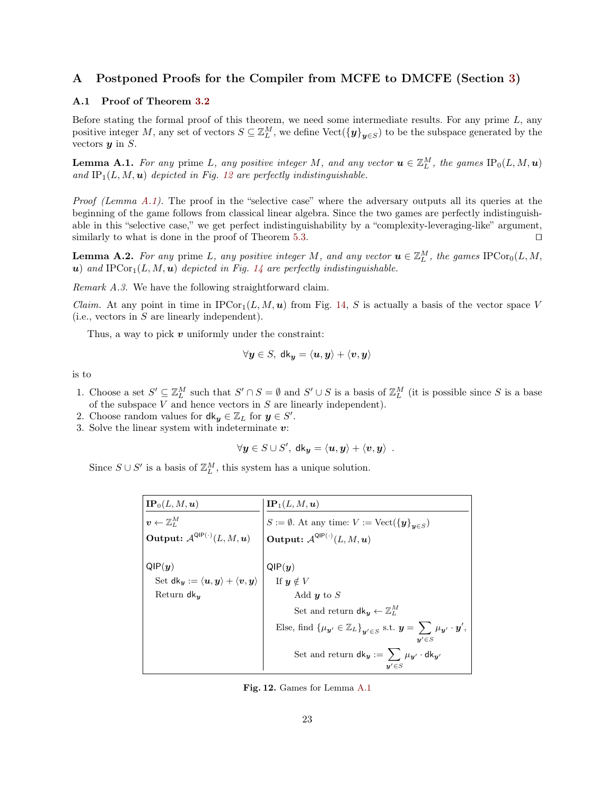# <span id="page-23-0"></span>A Postponed Proofs for the Compiler from MCFE to DMCFE (Section [3\)](#page-8-0)

# <span id="page-23-1"></span>A.1 Proof of Theorem [3.2](#page-9-4)

Before stating the formal proof of this theorem, we need some intermediate results. For any prime  $L$ , any positive integer M, any set of vectors  $S \subseteq \mathbb{Z}_{L}^{M}$ , we define  $\text{Vect}(\{\mathbf{y}\}_{\mathbf{y} \in S})$  to be the subspace generated by the vectors  $y$  in  $S$ .

<span id="page-23-3"></span>**Lemma A.1.** For any prime L, any positive integer M, and any vector  $\mathbf{u} \in \mathbb{Z}_{L}^{M}$ , the games  $\text{IP}_0(L, M, \mathbf{u})$ and  $IP_1(L, M, u)$  depicted in Fig. [12](#page-23-2) are perfectly indistinguishable.

*Proof (Lemma [A.1\)](#page-23-3).* The proof in the "selective case" where the adversary outputs all its queries at the beginning of the game follows from classical linear algebra. Since the two games are perfectly indistinguishable in this "selective case," we get perfect indistinguishability by a "complexity-leveraging-like" argument, similarly to what is done in the proof of Theorem [5.3.](#page-16-1)  $\Box$ 

<span id="page-23-4"></span>**Lemma A.2.** For any prime L, any positive integer M, and any vector  $u \in \mathbb{Z}_{L}^{M}$ , the games  $\text{IPCor}_{0}(L, M, L)$ u) and  $\text{IPCor}_1(L, M, u)$  depicted in Fig. [14](#page-25-0) are perfectly indistinguishable.

<span id="page-23-5"></span>Remark A.3. We have the following straightforward claim.

*Claim.* At any point in time in  $\text{IPCor}_1(L, M, u)$  from Fig. [14,](#page-25-0) S is actually a basis of the vector space V (i.e., vectors in S are linearly independent).

Thus, a way to pick  $v$  uniformly under the constraint:

$$
\forall \boldsymbol{y} \in S, \ \mathsf{d}\mathsf{k}_{\boldsymbol{y}} = \langle \boldsymbol{u}, \boldsymbol{y} \rangle + \langle \boldsymbol{v}, \boldsymbol{y} \rangle
$$

is to

- 1. Choose a set  $S' \subseteq \mathbb{Z}_L^M$  such that  $S' \cap S = \emptyset$  and  $S' \cup S$  is a basis of  $\mathbb{Z}_L^M$  (it is possible since S is a base of the subspace  $V$  and hence vectors in  $S$  are linearly independent).
- 2. Choose random values for  $\mathsf{d}\mathsf{k}_y \in \mathbb{Z}_L$  for  $y \in S'$ .
- 3. Solve the linear system with indeterminate  $v$ :

$$
\forall \mathbf{y} \in S \cup S', \ \mathsf{dk}_{\mathbf{y}} = \langle \mathbf{u}, \mathbf{y} \rangle + \langle \mathbf{v}, \mathbf{y} \rangle \ \ .
$$

Since  $S \cup S'$  is a basis of  $\mathbb{Z}_L^M$ , this system has a unique solution.

| ${\bf IP}_0(L,M,{\boldsymbol u})$                                                    | $\mathbf{IP}_1(L,M,\boldsymbol{u})$                                                                                                                           |
|--------------------------------------------------------------------------------------|---------------------------------------------------------------------------------------------------------------------------------------------------------------|
| $\boldsymbol{v} \leftarrow \mathbb{Z}^M_L$                                           | $S:=\emptyset.$ At any time: $V:=\operatorname{Vect}(\{\boldsymbol{y}\}_{\boldsymbol{u}\in S})$                                                               |
| Output: $\mathcal{A}^{\text{QIP}(\cdot)}(L,M,\boldsymbol{u})$                        | Output: $\mathcal{A}^{\text{QIP}(\cdot)}(L,M,\boldsymbol{u})$                                                                                                 |
|                                                                                      |                                                                                                                                                               |
| QIP(y)                                                                               | $\mathsf{QIP}(\bm{y})$                                                                                                                                        |
| Set dk <sub>y</sub> := $\langle u, y \rangle + \langle v, y \rangle$ If $y \notin V$ |                                                                                                                                                               |
| Return $d\mathbf{k}_{\boldsymbol{u}}$                                                | Add $y$ to $S$                                                                                                                                                |
|                                                                                      | Set and return $\mathsf{d}\mathsf{k}_u \leftarrow \mathbb{Z}_L^M$                                                                                             |
|                                                                                      | Else, find $\{\mu_{\mathbf{y}'} \in \mathbb{Z}_L\}_{\mathbf{y}' \in S}$ s.t. $\mathbf{y} = \sum \mu_{\mathbf{y}'} \cdot \mathbf{y}'$ ,<br>$\mathbf{u}' \in S$ |
|                                                                                      | Set and return $dk_y := \sum \mu_{y'} \cdot dk_{y'}$                                                                                                          |

<span id="page-23-2"></span>Fig. 12. Games for Lemma [A.1](#page-23-3)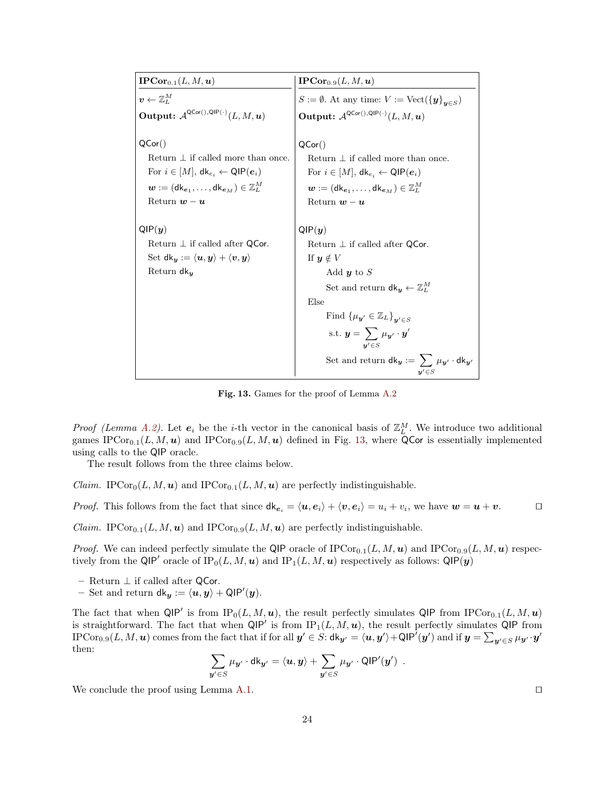| $\mathbf{IPCor}_{0.1}(L,M,\boldsymbol{u})$                                                         | $\mathbf{IPCor}_{0.9}(L,M,\boldsymbol{u})$                                                                   |
|----------------------------------------------------------------------------------------------------|--------------------------------------------------------------------------------------------------------------|
| $\boldsymbol{v} \leftarrow \mathbb{Z}^M_L$                                                         | $S := \emptyset$ . At any time: $V := \text{Vect}(\{\boldsymbol{y}\}_{\boldsymbol{y} \in S})$                |
| <b>Output:</b> $\mathcal{A}^{\mathsf{QCor}(),\mathsf{QIP}(\cdot)}(L,M,\boldsymbol{u})$             | Output: $\mathcal{A}^{\mathsf{QCor}(),\mathsf{QIP}(\cdot)}(L,M,\boldsymbol{u})$                              |
|                                                                                                    |                                                                                                              |
| QCor()                                                                                             | QCor()                                                                                                       |
| Return $\perp$ if called more than once.                                                           | Return $\perp$ if called more than once.                                                                     |
| For $i \in [M]$ , $dk_{e_i} \leftarrow \text{QIP}(e_i)$                                            | For $i \in [M]$ , $dk_{e_i} \leftarrow \text{QIP}(e_i)$                                                      |
| $\mathbf{w} := (\mathsf{dk}_{\mathbf{e}_1}, \dots, \mathsf{dk}_{\mathbf{e}_M}) \in \mathbb{Z}_L^M$ | $\mathbf{w} := (\mathsf{dk}_{\mathbf{e}_1}, \dots, \mathsf{dk}_{\mathbf{e}_M}) \in \mathbb{Z}_L^M$           |
| Return $w - u$                                                                                     | Return $w - u$                                                                                               |
|                                                                                                    |                                                                                                              |
| QIP(y)                                                                                             | QIP(y)                                                                                                       |
| Return $\perp$ if called after QCor.                                                               | Return $\perp$ if called after QCor.                                                                         |
| Set dk $y := \langle u, y \rangle + \langle v, y \rangle$                                          | If $y \notin V$                                                                                              |
| Return $dk_u$                                                                                      | Add $y$ to $S$                                                                                               |
|                                                                                                    | Set and return $\mathsf{d}\mathsf{k}_y \leftarrow \mathbb{Z}_L^M$                                            |
|                                                                                                    | Else                                                                                                         |
|                                                                                                    | Find $\{\mu_{\mathbf{y}'} \in \mathbb{Z}_L\}_{\mathbf{u}' \in S}$                                            |
|                                                                                                    | s.t. $\mathbf{y} = \sum \mu_{\mathbf{y}'} \cdot \mathbf{y}'$<br>$\mathbf{u}' \in S$                          |
|                                                                                                    | Set and return $\mathsf{d}\mathsf{k}_y := \, \sum \, \mu_{y'} \cdot \mathsf{d}\mathsf{k}_{y'}$<br>$y' \in S$ |

<span id="page-24-0"></span>Fig. 13. Games for the proof of Lemma [A.2](#page-23-4)

*Proof (Lemma [A.2\)](#page-23-4)*. Let  $e_i$  be the *i*-th vector in the canonical basis of  $\mathbb{Z}_L^M$ . We introduce two additional games IPCor<sub>0.1</sub>(L, M, u) and IPCor<sub>0.9</sub>(L, M, u) defined in Fig. [13,](#page-24-0) where QCor is essentially implemented using calls to the QIP oracle.

The result follows from the three claims below.

*Claim.* IPCor<sub>0</sub>( $L, M, u$ ) and IPCor<sub>0.1</sub>( $L, M, u$ ) are perfectly indistinguishable.

*Proof.* This follows from the fact that since  $d\mathbf{k}_{e_i} = \langle \mathbf{u}, \mathbf{e}_i \rangle + \langle \mathbf{v}, \mathbf{e}_i \rangle = u_i + v_i$ , we have  $\mathbf{w} = \mathbf{u} + \mathbf{v}$ .

*Claim.* IPCor<sub>0.1</sub>( $L, M, u$ ) and IPCor<sub>0.9</sub>( $L, M, u$ ) are perfectly indistinguishable.

*Proof.* We can indeed perfectly simulate the QIP oracle of  $\text{IPCor}_{0.1}(L, M, u)$  and  $\text{IPCor}_{0.9}(L, M, u)$  respectively from the QIP' oracle of  $IP_0(L, M, u)$  and  $IP_1(L, M, u)$  respectively as follows: QIP(y)

- Return $⊥$  if called after  $\operatorname{\mathsf{QCor.}}$
- Set and return  $\mathsf{d}\mathsf{k}_{\bm{y}} := \langle \bm{u}, \bm{y} \rangle + \mathsf{QIP}'(\bm{y}).$

The fact that when  $\mathsf{QIP}'$  is from  $IP_0(L, M, u)$ , the result perfectly simulates  $\mathsf{QIP}$  from  $IPCor_{0.1}(L, M, u)$ is straightforward. The fact that when  $\mathsf{QIP}'$  is from  $IP_1(L, M, u)$ , the result perfectly simulates  $\mathsf{QIP}$  from  $\text{IPCor}_{0.9}(L,M,\bm u)$  comes from the fact that if for all  $\bm y' \in S$ :  $\textsf{d}\textsf{k}_{\bm y'} = \langle \bm u, \bm y' \rangle + \textsf{QIP}'(\bm y')$  and if  $\bm y = \sum_{\bm y' \in S} \mu_{\bm y'} \cdot \bm y'$ then:

$$
\sum_{\mathbf{y}'\in S}\mu_{\mathbf{y}'}\cdot{\sf dk}_{\mathbf{y}'}=\langle \mathbf{u},\mathbf{y}\rangle+\sum_{\mathbf{y}'\in S}\mu_{\mathbf{y}'}\cdot{\sf QIP}'(\mathbf{y}')\enspace.
$$

We conclude the proof using Lemma [A.1.](#page-23-3)  $\Box$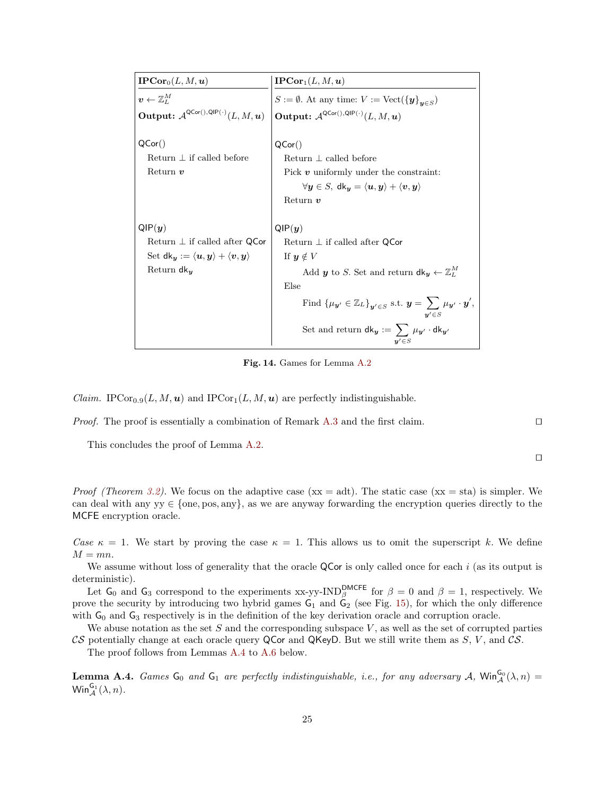| $\textbf{IPCor}_0(L, M, \boldsymbol{u})$                                        | $\text{IPCor}_1(L, M, u)$                                                                                                        |
|---------------------------------------------------------------------------------|----------------------------------------------------------------------------------------------------------------------------------|
| $\boldsymbol{v} \leftarrow \mathbb{Z}^M_L$                                      | $S := \emptyset$ . At any time: $V := \text{Vect}(\{\boldsymbol{y}\}_{\boldsymbol{y} \in S})$                                    |
| Output: $\mathcal{A}^{\mathsf{QCor}(),\mathsf{QIP}(\cdot)}(L,M,\boldsymbol{u})$ | Output: $\mathcal{A}^{\mathsf{QCor}(),\mathsf{QIP}(\cdot)}(L,M,\boldsymbol{u})$                                                  |
|                                                                                 |                                                                                                                                  |
| QCor()                                                                          | QCor()                                                                                                                           |
| Return $\perp$ if called before                                                 | Return $\perp$ called before                                                                                                     |
| Return $v$                                                                      | Pick $v$ uniformly under the constraint:                                                                                         |
|                                                                                 | $\forall y \in S, \ d k_y = \langle u, y \rangle + \langle v, y \rangle$                                                         |
|                                                                                 | Return $v$                                                                                                                       |
|                                                                                 |                                                                                                                                  |
| QIP(y)                                                                          | QIP(y)                                                                                                                           |
| Return $\perp$ if called after QCor                                             | Return $\perp$ if called after QCor                                                                                              |
| Set dk <sub>y</sub> := $\langle u, y \rangle + \langle v, y \rangle$            | If $y \notin V$                                                                                                                  |
| Return $d\mathsf{k}_y$                                                          | Add <i>y</i> to <i>S</i> . Set and return $dk_y \leftarrow \mathbb{Z}_L^M$                                                       |
|                                                                                 | Else                                                                                                                             |
|                                                                                 | Find $\{\mu_{\mathbf{y}'} \in \mathbb{Z}_L\}_{\mathbf{y}' \in S}$ s.t. $\mathbf{y} = \sum \mu_{\mathbf{y}'} \cdot \mathbf{y}'$ , |
|                                                                                 | Set and return $dk_y := \sum \mu_{y'} \cdot dk_{y'}$<br>$\mathbf{u}'\!\in\!S$                                                    |

<span id="page-25-0"></span>Fig. 14. Games for Lemma [A.2](#page-23-4)

*Claim.* IPCor<sub>0.9</sub>(*L*, *M*, *u*) and IPCor<sub>1</sub>(*L*, *M*, *u*) are perfectly indistinguishable.

*Proof.* The proof is essentially a combination of Remark [A.3](#page-23-5) and the first claim.  $\square$ 

This concludes the proof of Lemma [A.2.](#page-23-4)

 $\Box$ 

*Proof (Theorem [3.2\)](#page-9-4).* We focus on the adaptive case ( $xx = adt$ ). The static case ( $xx = sta$ ) is simpler. We can deal with any  $y \in \{one, pos, any\}$ , as we are anyway forwarding the encryption queries directly to the MCFE encryption oracle.

Case  $\kappa = 1$ . We start by proving the case  $\kappa = 1$ . This allows us to omit the superscript k. We define  $M = mn$ .

We assume without loss of generality that the oracle QCor is only called once for each  $i$  (as its output is deterministic).

Let  $G_0$  and  $G_3$  correspond to the experiments xx-yy-IND<sup>DMCFE</sup> for  $\beta = 0$  and  $\beta = 1$ , respectively. We prove the security by introducing two hybrid games  $G_1$  and  $G_2$  (see Fig. [15\)](#page-26-0), for which the only difference with  $G_0$  and  $G_3$  respectively is in the definition of the key derivation oracle and corruption oracle.

We abuse notation as the set S and the corresponding subspace  $V$ , as well as the set of corrupted parties CS potentially change at each oracle query QCor and QKeyD. But we still write them as  $S, V$ , and  $\mathcal{CS}$ .

The proof follows from Lemmas [A.4](#page-25-1) to [A.6](#page-27-1) below.

<span id="page-25-1"></span>**Lemma A.4.** Games  $G_0$  and  $G_1$  are perfectly indistinguishable, i.e., for any adversary A,  $\text{Win}_{\mathcal{A}}^{G_0}(\lambda,n)$  =  $\mathsf{Win}_{\mathcal{A}}^{\mathsf{G}_1}(\lambda,n).$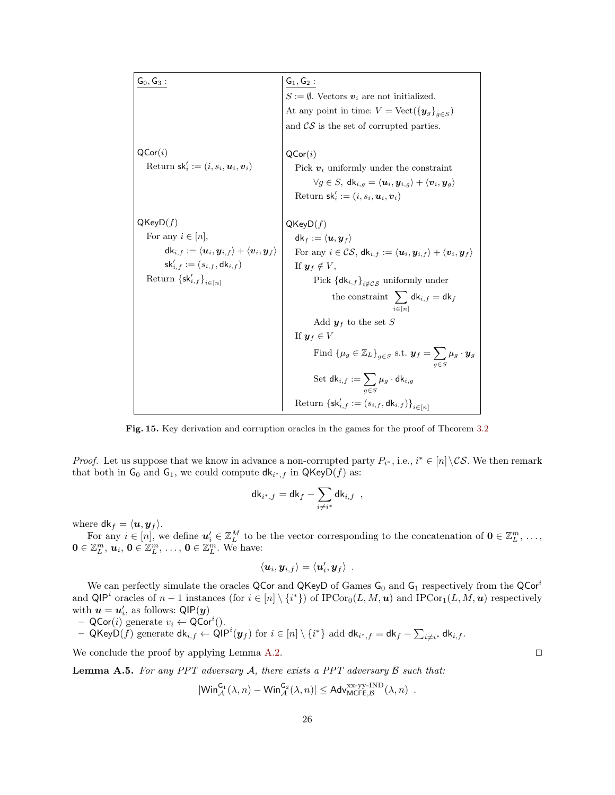$\mathsf{G_0}, \mathsf{G_3}:$  $\mathsf{QCor}(i)$ Return  $\mathsf{sk}'_i := (i, s_i, \boldsymbol{u}_i, \boldsymbol{v}_i)$  $QKeyD(f)$ For any  $i \in [n]$ ,  $\mathsf{dk}_{i,f} := \langle \boldsymbol{u}_i, \boldsymbol{y}_{i,f} \rangle + \langle \boldsymbol{v}_i, \boldsymbol{y}_f \rangle$  $\mathsf{sk}'_{i,f} := (s_{i,f}, \mathsf{dk}_{i,f})$ Return  $\{\mathsf{sk}'_{i,f}\}_{i\in[n]}$  $G_1, G_2:$  $S := \emptyset$ . Vectors  $v_i$  are not initialized. At any point in time:  $V = \text{Vect}(\{\mathbf{y}_g\}_{g \in S})$ and  $\mathcal{CS}$  is the set of corrupted parties.  $\mathsf{QCor}(i)$ Pick  $v_i$  uniformly under the constraint  $\forall g \in S, \ \mathsf{dk}_{i,g} = \langle u_i, y_{i,g} \rangle + \langle v_i, y_g \rangle$ Return  $\mathsf{sk}'_i := (i, s_i, \mathbf{u}_i, \mathbf{v}_i)$  $QKeyD(f)$  $\mathsf{dk}_f := \langle \boldsymbol{u}, \boldsymbol{y}_f \rangle$ For any  $i \in \mathcal{CS}$ ,  $\mathsf{d}\mathsf{k}_{i,f} := \langle \boldsymbol{u}_i, \boldsymbol{y}_{i,f} \rangle + \langle \boldsymbol{v}_i, \boldsymbol{y}_f \rangle$ If  $y_f \notin V$ , Pick  $\left\{\mathsf{dk}_{i,f}\right\}_{i\notin\mathcal{CS}}$  uniformly under the constraint  $\sum$  $i \in [n]$  $\mathsf{dk}_{i,f} = \mathsf{dk}_{f}$ Add  $y_f$  to the set S If  $\mathbf{y}_f \in V$ Find  $\{\mu_g \in \mathbb{Z}_L\}_{g \in S}$  s.t.  $\mathbf{y}_f = \sum$  $g\in S$  $\mu_g \cdot \bm{y}_g$  $\operatorname{Set} \operatorname{\mathsf{dk}}_{i,f} := \sum$ g∈S  $\mu_g \cdot \mathsf{dk}_{i,g}$  $\text{Return } \{ \mathsf{sk}_{i,f}' := (s_{i,f}, \mathsf{dk}_{i,f}) \}_{i \in [n]}$ 

<span id="page-26-0"></span>Fig. 15. Key derivation and corruption oracles in the games for the proof of Theorem [3.2](#page-9-4)

*Proof.* Let us suppose that we know in advance a non-corrupted party  $P_{i^*}$ , i.e.,  $i^* \in [n] \setminus \mathcal{CS}$ . We then remark that both in  $G_0$  and  $G_1$ , we could compute  $dk_{i^*,f}$  in  $QKeyD(f)$  as:

$$
\mathsf{dk}_{i^*,f} = \mathsf{dk}_f - \sum_{i \neq i^*} \mathsf{dk}_{i,f} \enspace ,
$$

where  $\mathsf{d}\mathsf{k}_f = \langle \mathbf{u}, \mathbf{y}_f \rangle$ .

For any  $i \in [n]$ , we define  $u'_i \in \mathbb{Z}_L^M$  to be the vector corresponding to the concatenation of  $\mathbf{0} \in \mathbb{Z}_L^m$ , ...,  $\mathbf{0} \in \mathbb{Z}_L^m, \, \boldsymbol{u}_i, \, \mathbf{0} \in \mathbb{Z}_L^m, \, \dots, \, \mathbf{0} \in \mathbb{Z}_L^m.$  We have:

$$
\langle \boldsymbol{u}_i, \boldsymbol{y}_{i,f} \rangle = \langle \boldsymbol{u}'_i, \boldsymbol{y}_f \rangle \enspace .
$$

We can perfectly simulate the oracles QCor and QKeyD of Games  $G_0$  and  $G_1$  respectively from the QCor<sup>i</sup> and QIP<sup>i</sup> oracles of  $n-1$  instances (for  $i \in [n] \setminus \{i^*\}$ ) of  $\text{IPCor}_0(L, M, u)$  and  $\text{IPCor}_1(L, M, u)$  respectively with  $\boldsymbol{u} = \boldsymbol{u}_i'$ , as follows:  $\textsf{QIP}(\boldsymbol{y})$ 

- 
$$
QCor(i)
$$
 generate  $v_i \leftarrow QCor^i()$ .

 $-$  QKeyD $(\widetilde{f})$  generate  $\mathsf{d}\mathsf{k}_{i,f} \leftarrow \mathsf{\widetilde{Q}IP}^i(\boldsymbol{y}_f) \text{ for } i \in [n] \setminus \{i^*\} \text{ add } \mathsf{d}\mathsf{k}_{i^*,f} = \mathsf{d}\mathsf{k}_f - \sum_{i \neq i^*} \mathsf{d}\mathsf{k}_{i,f}.$ 

We conclude the proof by applying Lemma [A.2.](#page-23-4)  $\Box$ 

**Lemma A.5.** For any PPT adversary A, there exists a PPT adversary  $\beta$  such that:

$$
|\mathsf{Win}_{\mathcal{A}}^{\mathsf{G}_1}(\lambda,n)-\mathsf{Win}_{\mathcal{A}}^{\mathsf{G}_2}(\lambda,n)|\leq \mathsf{Adv}_{\mathsf{MCEE},\mathcal{B}}^{\mathsf{xx}\text{-}\mathsf{yy}\text{-}\mathsf{IND}}(\lambda,n)\enspace.
$$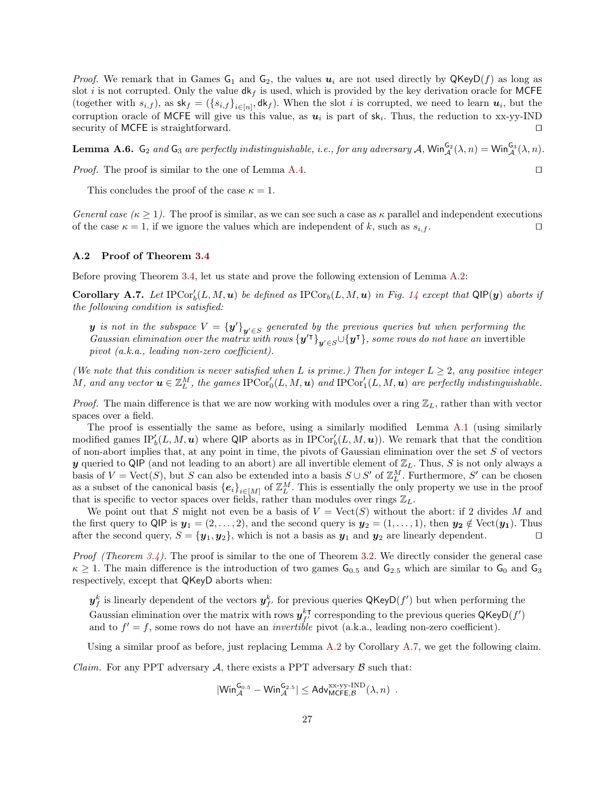*Proof.* We remark that in Games  $G_1$  and  $G_2$ , the values  $u_i$  are not used directly by  $QKeyD(f)$  as long as slot i is not corrupted. Only the value  $dk_f$  is used, which is provided by the key derivation oracle for MCFE (together with  $s_{i,f}$ ), as  $\mathsf{sk}_f = (\{s_{i,f}\}_{i\in[n]}, \mathsf{dk}_f)$ . When the slot i is corrupted, we need to learn  $u_i$ , but the corruption oracle of MCFE will give us this value, as  $u_i$  is part of  $sk_i$ . Thus, the reduction to xx-yy-IND security of MCFE is straightforward.

<span id="page-27-1"></span>**Lemma A.6.**  $G_2$  and  $G_3$  are perfectly indistinguishable, i.e., for any adversary  $A$ ,  $\text{Win}_{\mathcal{A}}^{G_2}(\lambda, n) = \text{Win}_{\mathcal{A}}^{G_3}(\lambda, n)$ .

*Proof.* The proof is similar to the one of Lemma [A.4.](#page-25-1)  $\Box$ 

This concludes the proof of the case  $\kappa = 1$ .

General case  $(\kappa \geq 1)$ . The proof is similar, as we can see such a case as  $\kappa$  parallel and independent executions of the case  $\kappa = 1$ , if we ignore the values which are independent of k, such as  $s_{i,f}$ .

#### <span id="page-27-0"></span>A.2 Proof of Theorem [3.4](#page-11-4)

Before proving Theorem [3.4,](#page-11-4) let us state and prove the following extension of Lemma [A.2:](#page-23-4)

**Corollary A.7.** Let  $\text{IPCor}_b'(L, M, u)$  be defined as  $\text{IPCor}_b(L, M, u)$  in Fig. [14](#page-25-0) except that  $\text{QIP}(y)$  aborts if the following condition is satisfied:

 $\bm{y}$  is not in the subspace  $V = {\{\bm{y'}\}}_{{\bm{y'}} \in S}$  generated by the previous queries but when performing the Gaussian elimination over the matrix with rows  $\{y'^{\intercal}\}_{y'\in S} \cup \{y^{\intercal}\}\$ , some rows do not have an invertible pivot (a.k.a., leading non-zero coefficient).

(We note that this condition is never satisfied when L is prime.) Then for integer  $L \geq 2$ , any positive integer M, and any vector  $u \in \mathbb{Z}_L^M$ , the games  $\text{IPCor}_0'(L,M,u)$  and  $\text{IPCor}_1'(L,M,u)$  are perfectly indistinguishable.

*Proof.* The main difference is that we are now working with modules over a ring  $\mathbb{Z}_L$ , rather than with vector spaces over a field.

The proof is essentially the same as before, using a similarly modified Lemma [A.1](#page-23-3) (using similarly modified games  $IP'_b(L, M, u)$  where QIP aborts as in IPCor<sub>b</sub> $(L, M, u)$ ). We remark that that the condition of non-abort implies that, at any point in time, the pivots of Gaussian elimination over the set S of vectors y queried to QIP (and not leading to an abort) are all invertible element of  $\mathbb{Z}_L$ . Thus, S is not only always a basis of  $V = \text{Vect}(S)$ , but S can also be extended into a basis  $S \cup S'$  of  $\mathbb{Z}_L^M$ . Furthermore, S' can be chosen as a subset of the canonical basis  ${e_i}_{i\in[M]}$  of  $\mathbb{Z}_L^M$ . This is essentially the only property we use in the proof that is specific to vector spaces over fields, rather than modules over rings  $\mathbb{Z}_L$ .

We point out that S might not even be a basis of  $V = \text{Vect}(S)$  without the abort: if 2 divides M and the first query to QIP is  $y_1 = (2, \ldots, 2)$ , and the second query is  $y_2 = (1, \ldots, 1)$ , then  $y_2 \notin \text{Vect}(y_1)$ . Thus after the second query,  $S = {\mathbf{y}_1, \mathbf{y}_2}$ , which is not a basis as  $\mathbf{y}_1$  and  $\mathbf{y}_2$  are linearly dependent.

*Proof (Theorem [3.4\)](#page-11-4).* The proof is similar to the one of Theorem [3.2.](#page-9-4) We directly consider the general case  $\kappa \geq 1$ . The main difference is the introduction of two games  $G_{0.5}$  and  $G_{2.5}$  which are similar to  $G_0$  and  $G_3$ respectively, except that QKeyD aborts when:

 $\bm{y}_f^k$  is linearly dependent of the vectors  $\bm{y}_{f'}^k$  for previous queries  $\mathsf{QKeyD}(f')$  but when performing the Gaussian elimination over the matrix with rows  $y_{f'}^{k, \intercal}$  corresponding to the previous queries QKeyD $(f')$ and to  $f' = f$ , some rows do not have an *invertible* pivot (a.k.a., leading non-zero coefficient).

Using a similar proof as before, just replacing Lemma [A.2](#page-23-4) by Corollary [A.7,](#page-27-2) we get the following claim.

*Claim.* For any PPT adversary  $A$ , there exists a PPT adversary  $B$  such that:

$$
|\mathsf{Win}_{\mathcal{A}}^{\mathsf{G}_{0.5}} - \mathsf{Win}_{\mathcal{A}}^{\mathsf{G}_{2.5}}| \leq \mathsf{Adv}_{\mathsf{MCFE},\mathcal{B}}^{\mathrm{xx-yy}\text{-}\mathrm{IND}}(\lambda,n) \enspace .
$$

<span id="page-27-2"></span>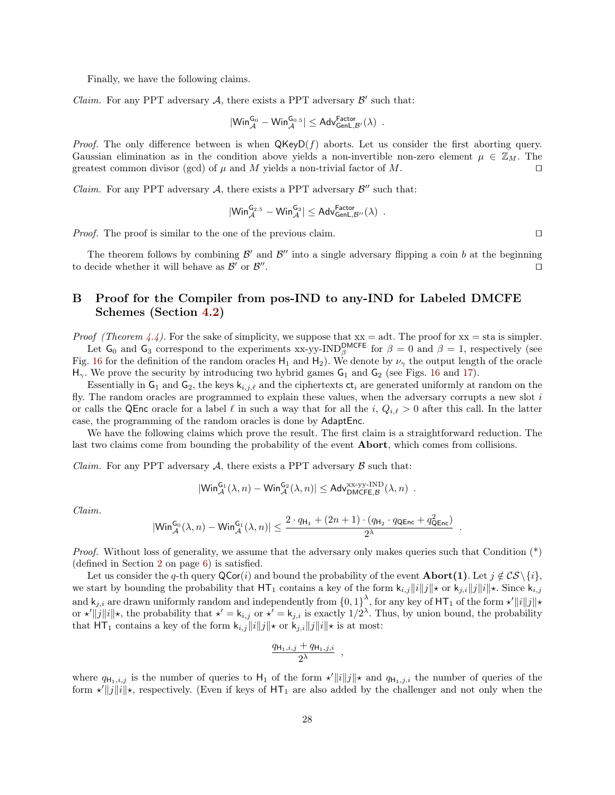Finally, we have the following claims.

*Claim.* For any PPT adversary  $A$ , there exists a PPT adversary  $B'$  such that:

$$
|\mathsf{Win}_{\mathcal{A}}^{\mathsf{G}_{0}} - \mathsf{Win}_{\mathcal{A}}^{\mathsf{G}_{0.5}}| \leq \mathsf{Adv}_{\mathsf{GenL},\mathcal{B}'}^{\mathsf{Factor}}(\lambda) \enspace .
$$

Proof. The only difference between is when  $\mathsf{QKeyD}(f)$  aborts. Let us consider the first aborting query. Gaussian elimination as in the condition above yields a non-invertible non-zero element  $\mu \in \mathbb{Z}_M$ . The greatest common divisor (gcd) of  $\mu$  and  $M$  yields a non-trivial factor of  $M$ .

*Claim.* For any PPT adversary  $A$ , there exists a PPT adversary  $B''$  such that:

$$
|\mathsf{Win}_{\mathcal{A}}^{\mathsf{G}_{2.5}} - \mathsf{Win}_{\mathcal{A}}^{\mathsf{G}_{3}}| \leq \mathsf{Adv}_{\mathsf{GenL},\mathcal{B}''}^{\mathsf{Factor}}(\lambda)\enspace.
$$

*Proof.* The proof is similar to the one of the previous claim.  $\square$ 

The theorem follows by combining  $\mathcal{B}'$  and  $\mathcal{B}''$  into a single adversary flipping a coin b at the beginning to decide whether it will behave as  $\mathcal{B}'$  or  $\mathcal{B}''$ . The contract of the contract of the contract of the contract of  $\Box$ 

# <span id="page-28-0"></span>B Proof for the Compiler from pos-IND to any-IND for Labeled DMCFE Schemes (Section [4.2\)](#page-14-0)

*Proof (Theorem [4.4\)](#page-14-1)*. For the sake of simplicity, we suppose that  $xx = adt$ . The proof for  $xx = sta$  is simpler. Let  $G_0$  and  $G_3$  correspond to the experiments xx-yy-IND<sup>DMCFE</sup> for  $\beta = 0$  and  $\beta = 1$ , respectively (see Fig. [16](#page-29-0) for the definition of the random oracles  $H_1$  and  $H_2$ ). We denote by  $\nu_{\gamma}$  the output length of the oracle  $H_{\gamma}$ . We prove the security by introducing two hybrid games  $G_1$  and  $G_2$  (see Figs. [16](#page-29-0) and [17\)](#page-30-0).

Essentially in  $G_1$  and  $G_2$ , the keys  $k_{i,j,\ell}$  and the ciphertexts  $ct_i$  are generated uniformly at random on the fly. The random oracles are programmed to explain these values, when the adversary corrupts a new slot  $i$ or calls the QEnc oracle for a label  $\ell$  in such a way that for all the i,  $Q_{i,\ell} > 0$  after this call. In the latter case, the programming of the random oracles is done by AdaptEnc.

We have the following claims which prove the result. The first claim is a straightforward reduction. The last two claims come from bounding the probability of the event **Abort**, which comes from collisions.

*Claim.* For any PPT adversary A, there exists a PPT adversary  $\beta$  such that:

$$
|\mathsf{Win}_{\mathcal{A}}^{\mathsf{G_1}}(\lambda,n)-\mathsf{Win}_{\mathcal{A}}^{\mathsf{G_2}}(\lambda,n)|\leq \mathsf{Adv}_{\mathsf{DMCFE},\mathcal{B}}^{\mathsf{xx}\text{-}\mathsf{yy}\text{-}\mathsf{IND}}(\lambda,n)\enspace.
$$

Claim.

$$
|\mathsf{Win}_{\mathcal{A}}^{\mathsf{G}_{0}}(\lambda,n)-\mathsf{Win}_{\mathcal{A}}^{\mathsf{G}_{1}}(\lambda,n)| \leq \frac{2 \cdot q_{\mathsf{H}_{1}} + (2n+1) \cdot (q_{\mathsf{H}_{2}} \cdot q_{\mathsf{QEnc}} + q_{\mathsf{QEnc}}^2)}{2^{\lambda}}
$$

Proof. Without loss of generality, we assume that the adversary only makes queries such that Condition (\*) (defined in Section [2](#page-5-1) on page [6\)](#page-6-0) is satisfied.

Let us consider the q-th query  $\mathsf{QCor}(i)$  and bound the probability of the event  $\mathbf{Abort}(1)$ . Let  $j \notin \mathcal{CS} \setminus \{i\}$ , we start by bounding the probability that  $HT_1$  contains a key of the form  $k_{i,j}||i|| \neq r$  or  $k_{j,i}||j|| \neq k$ . Since  $k_{i,j}$ and  $\mathsf{k}_{j,i}$  are drawn uniformly random and independently from  $\{0,1\}^{\lambda}$ , for any key of HT<sub>1</sub> of the form  $\star'$  ||i||j|| $\star$ or  $\star' || j || i ||_{\star}$ , the probability that  $\star' = k_{i,j}$  or  $\star' = k_{j,i}$  is exactly  $1/2^{\lambda}$ . Thus, by union bound, the probability that HT<sub>1</sub> contains a key of the form  $k_{i,j}||i||j|| \star$  or  $k_{j,i}||j||i|| \star$  is at most:

$$
\frac{q_{\mathsf{H}_1,i,j}+q_{\mathsf{H}_1,j,i}}{2^{\lambda}}\ ,
$$

where  $q_{\mathsf{H}_1,i,j}$  is the number of queries to  $\mathsf{H}_1$  of the form  $\star' ||i||j||\star$  and  $q_{\mathsf{H}_1,j,i}$  the number of queries of the form  $\star' ||j||i||_{\star}$ , respectively. (Even if keys of  $HT_1$  are also added by the challenger and not only when the

.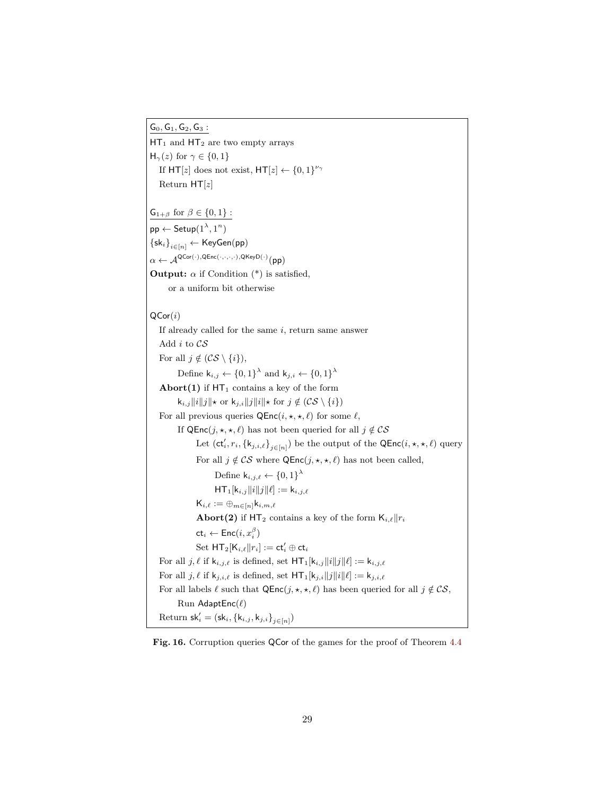$\mathsf{G}_0,\mathsf{G}_1,\mathsf{G}_2,\mathsf{G}_3$  :

 $HT_1$  and  $HT_2$  are two empty arrays  $H_{\gamma}(z)$  for  $\gamma \in \{0,1\}$ If  $HT[z]$  does not exist,  $HT[z] \leftarrow \{0,1\}^{\nu_{\gamma}}$ Return  $HT[z]$ 

 $G_{1+\beta}$  for  $\beta \in \{0,1\}$ :  $\mathsf{pp} \leftarrow \mathsf{Setup}(1^\lambda,1^n)$  $\left\{ \mathsf{sk}_i \right\}_{i \in [n]} \leftarrow \mathsf{KeyGen}(pp)$  $\alpha \leftarrow \mathcal{A}^{\mathsf{QCor}(\cdot),\mathsf{QEnc}(\cdot,\cdot,\cdot,\cdot),\mathsf{QKeyD}(\cdot)}(\mathsf{pp})$ 

**Output:**  $\alpha$  if Condition (\*) is satisfied,

or a uniform bit otherwise

 $QCor(i)$ 

If already called for the same  $i$ , return same answer Add i to CS For all  $j \notin (CS \setminus \{i\}),$ Define  $\mathsf{k}_{i,j} \leftarrow \{0,1\}^{\lambda}$  and  $\mathsf{k}_{j,i} \leftarrow \{0,1\}^{\lambda}$ Abort(1) if  $HT_1$  contains a key of the form  $\mathsf{k}_{i,j}||i||j||\star \text{ or } \mathsf{k}_{j,i}||j||i||\star \text{ for } j \notin (CS \setminus \{i\})$ For all previous queries  $QEnc(i, \star, \star, \ell)$  for some  $\ell$ , If QEnc $(j, \star, \star, \ell)$  has not been queried for all  $j \notin \mathcal{CS}$ Let  $(\mathsf{ct}'_i, r_i, \{\mathsf{k}_{j,i,\ell}\}_{j\in [n]})$  be the output of the  $\mathsf{QEnc}(i, \star, \star, \ell)$  query For all  $j \notin \mathcal{CS}$  where  $\mathsf{QEnc}(j, \star, \star, \ell)$  has not been called, Define  $\mathsf{k}_{i,j,\ell} \leftarrow \{0,1\}^{\lambda}$  $HT_1[k_{i,j}||i||j||\ell] := k_{i,j,\ell}$  $\mathsf{K}_{i,\ell} := \bigoplus_{m \in [n]} \mathsf{k}_{i,m,\ell}$ **Abort(2)** if  $HT_2$  contains a key of the form  $K_{i,\ell}||r_i$  $\mathsf{ct}_i \leftarrow \mathsf{Enc}(i, x^\beta_i)$  $\operatorname{Set} \ \mathsf{HT}_2[\mathsf{K}_{i,\ell} \| r_i] := \mathsf{ct}_i' \oplus \mathsf{ct}_i$ For all  $j, \ell$  if  $\mathsf{k}_{i,j,\ell}$  is defined, set  $\mathsf{HT}_1[\mathsf{k}_{i,j}\|i\|j\|\ell] := \mathsf{k}_{i,j,\ell}$ For all  $j, \ell$  if  $k_{j,i,\ell}$  is defined, set  $HT_1[k_{j,i}||j||i||\ell] := k_{j,i,\ell}$ For all labels  $\ell$  such that  $QEnc(j, *, *, \ell)$  has been queried for all  $j \notin CS$ , Run AdaptEnc $(\ell)$  $\text{Return sk}'_i = (\textsf{sk}_i, \{ \mathsf{k}_{i,j}, \mathsf{k}_{j,i} \}_{j \in [n]})$ 

<span id="page-29-0"></span>Fig. 16. Corruption queries QCor of the games for the proof of Theorem [4.4](#page-14-1)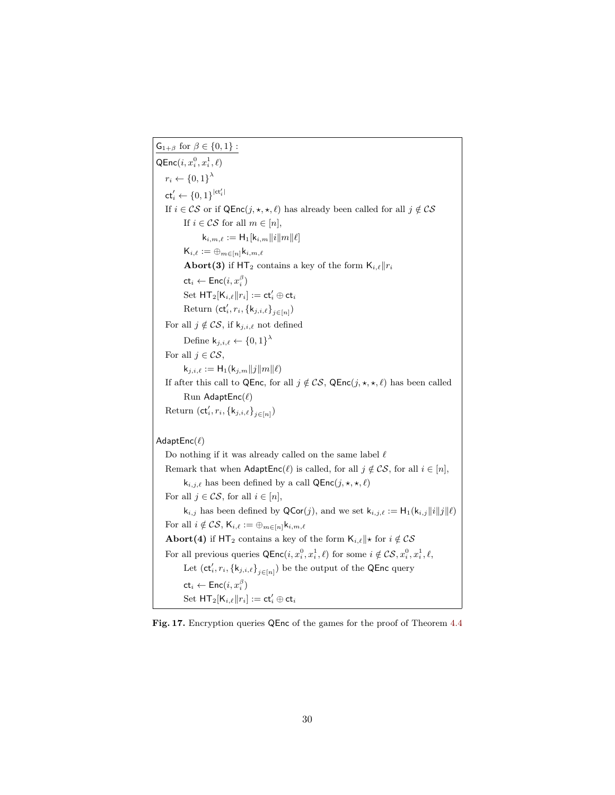$\mathsf{G}_{1+\beta}$  for  $\beta\in\{0,1\}$  :  $\mathsf{QEnc}(i, x^0_i, x^1_i, \ell)$  $r_i \leftarrow \{0,1\}^{\lambda}$  $\mathsf{ct}'_i \gets \{0,1\}^{|\mathsf{ct}'_i|}$ If  $i \in \mathcal{CS}$  or if QEnc $(j, \star, \star, \ell)$  has already been called for all  $j \notin \mathcal{CS}$ If  $i \in \mathcal{CS}$  for all  $m \in [n],$  $k_{i,m,\ell} := H_1[k_{i,m}||i||m||\ell]$  $\mathsf{K}_{i,\ell} := \oplus_{m \in [n]} \mathsf{k}_{i,m,\ell}$ **Abort(3)** if HT<sub>2</sub> contains a key of the form  $K_{i,\ell}||r_i$  $\mathsf{ct}_i \leftarrow \mathsf{Enc}(i, x^\beta_i)$  $\operatorname{Set} \ \mathsf{HT}_2[\mathsf{K}_{i,\ell} \| r_i] := \mathsf{ct}_i' \oplus \mathsf{ct}_i$ Return  $(\mathsf{ct}'_i, r_i, \{\mathsf{k}_{j,i,\ell}\}_{j\in[n]})$ For all  $j \notin \mathcal{CS}$ , if  $k_{j,i,\ell}$  not defined Define  $\mathsf{k}_{j,i,\ell} \leftarrow \{0,1\}^{\lambda}$ For all  $j \in \mathcal{CS}$ ,  $k_{j,i,\ell} := H_1(k_{j,m}||j||m||\ell)$ If after this call to QEnc, for all  $j \notin \mathcal{CS}$ , QEnc $(j, \star, \star, \ell)$  has been called Run AdaptEnc $(\ell)$ Return  $(\mathsf{ct}'_i, r_i, \{\mathsf{k}_{j,i,\ell}\}_{j\in[n]})$ AdaptEnc $(\ell)$ Do nothing if it was already called on the same label  $\ell$ Remark that when  $\mathsf{AdaptEnc}(\ell)$  is called, for all  $j \notin \mathcal{CS}$ , for all  $i \in [n]$ ,  $k_{i,j,\ell}$  has been defined by a call  $QEnc(j, *, *, \ell)$ For all  $j \in \mathcal{CS}$ , for all  $i \in [n]$ ,  $k_{i,j}$  has been defined by  $\mathsf{QCor}(j)$ , and we set  $k_{i,j,\ell} := H_1(k_{i,j}||i||j||\ell)$ For all  $i \notin \mathcal{CS}$ ,  $\mathsf{K}_{i,\ell} := \bigoplus_{m \in [n]} \mathsf{k}_{i,m,\ell}$ Abort(4) if HT<sub>2</sub> contains a key of the form  $K_{i,\ell} ||\star$  for  $i \notin \mathcal{CS}$ For all previous queries  $\mathsf{QEnc}(i, x_i^0, x_i^1, \ell)$  for some  $i \notin \mathcal{CS}, x_i^0, x_i^1, \ell$ , Let  $(\mathsf{ct}_i', r_i, \{\mathsf{k}_{j,i,\ell}\}_{j\in [n]})$  be the output of the QEnc query  $\mathsf{ct}_i \leftarrow \mathsf{Enc}(i, x^\beta_i)$  $\operatorname{Set} \ \mathsf{HT}_2[\mathsf{K}_{i,\ell} \| r_i] := \mathsf{ct}_i' \oplus \mathsf{ct}_i$ 

<span id="page-30-0"></span>Fig. 17. Encryption queries QEnc of the games for the proof of Theorem [4.4](#page-14-1)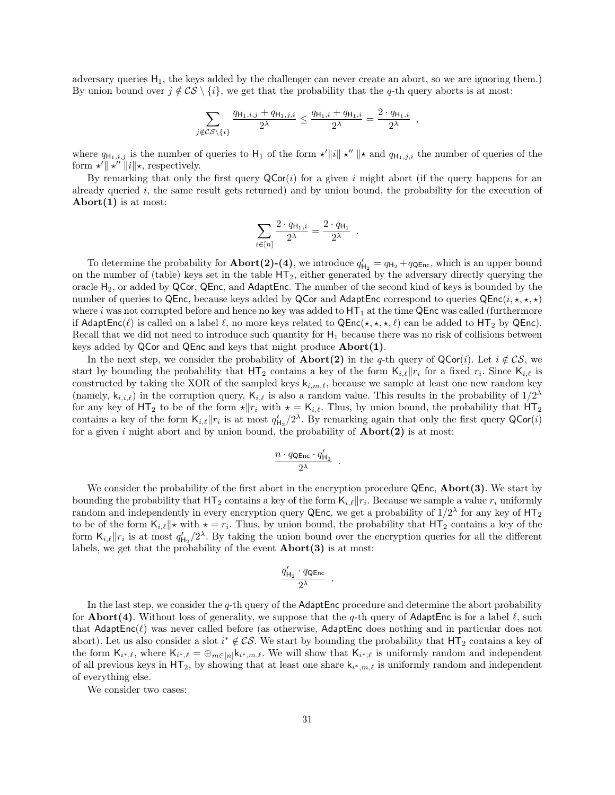adversary queries  $H_1$ , the keys added by the challenger can never create an abort, so we are ignoring them.) By union bound over  $j \notin \mathcal{CS} \setminus \{i\}$ , we get that the probability that the q-th query aborts is at most:

$$
\sum_{j \notin \mathcal{CS}\backslash\{i\}} \frac{q_{\mathsf{H}_1,i,j} + q_{\mathsf{H}_1,j,i}}{2^{\lambda}} \leq \frac{q_{\mathsf{H}_1,i} + q_{\mathsf{H}_1,i}}{2^{\lambda}} = \frac{2 \cdot q_{\mathsf{H}_1,i}}{2^{\lambda}} \enspace ,
$$

where  $q_{\mathsf{H}_1,i,j}$  is the number of queries to  $\mathsf{H}_1$  of the form  $\star' ||i|| \star'' ||\star$  and  $q_{\mathsf{H}_1,j,i}$  the number of queries of the form  $\star' \parallel \star'' \parallel i \parallel \star$ , respectively.

By remarking that only the first query  $QCor(i)$  for a given i might abort (if the query happens for an already queried i, the same result gets returned) and by union bound, the probability for the execution of Abort $(1)$  is at most:

$$
\sum_{i\in [n]} \frac{2\cdot q_{\mathsf{H}_1,i}}{2^\lambda} = \frac{2\cdot q_{\mathsf{H}_1}}{2^\lambda}
$$

.

To determine the probability for **Abort(2)-(4)**, we introduce  $q'_{H_2} = q_{H_2} + q_{QEnc}$ , which is an upper bound on the number of (table) keys set in the table  $HT_2$ , either generated by the adversary directly querying the oracle  $H_2$ , or added by QCor, QEnc, and AdaptEnc. The number of the second kind of keys is bounded by the number of queries to QEnc, because keys added by QCor and AdaptEnc correspond to queries  $QEnc(i, \star, \star, \star)$ where i was not corrupted before and hence no key was added to  $HT_1$  at the time QEnc was called (furthermore if AdaptEnc( $\ell$ ) is called on a label  $\ell$ , no more keys related to QEnc( $\star, \star, \star, \ell$ ) can be added to HT<sub>2</sub> by QEnc). Recall that we did not need to introduce such quantity for  $H_1$  because there was no risk of collisions between keys added by  $QCor$  and  $QEnc$  and keys that might produce  $Abort(1)$ .

In the next step, we consider the probability of **Abort(2)** in the q-th query of  $QCor(i)$ . Let  $i \notin CS$ , we start by bounding the probability that  $HT_2$  contains a key of the form  $K_{i,\ell}||r_i$  for a fixed  $r_i$ . Since  $K_{i,\ell}$  is constructed by taking the XOR of the sampled keys  $k_{i,m,\ell}$ , because we sample at least one new random key (namely,  $k_{i,i,\ell}$ ) in the corruption query,  $K_{i,\ell}$  is also a random value. This results in the probability of  $1/2^{\lambda}$ for any key of HT<sub>2</sub> to be of the form  $\star ||r_i$  with  $\star = \mathsf{K}_{i,\ell}$ . Thus, by union bound, the probability that HT<sub>2</sub> contains a key of the form  $\mathsf{K}_{i,\ell}||r_i$  is at most  $q'_{\mathsf{H}_2}/2^{\lambda}$ . By remarking again that only the first query  $\mathsf{QCor}(i)$ for a given i might abort and by union bound, the probability of  $\bf{Abort}(2)$  is at most:

$$
\frac{n\cdot q_{\rm{QEnc}}\cdot q'_{\rm{H}_2}}{2^\lambda}
$$

.

We consider the probability of the first abort in the encryption procedure QEnc, Abort(3). We start by bounding the probability that  $HT_2$  contains a key of the form  $K_{i,\ell}||r_i$ . Because we sample a value  $r_i$  uniformly random and independently in every encryption query QEnc, we get a probability of  $1/2^{\lambda}$  for any key of  $HT_2$ to be of the form  $\mathsf{K}_{i,\ell} \| \star \text{ with } \star = r_i$ . Thus, by union bound, the probability that  $\mathsf{HT}_2$  contains a key of the form  $\mathsf{K}_{i,\ell}||r_i$  is at most  $q'_{\mathsf{H}_2}/2^{\lambda}$ . By taking the union bound over the encryption queries for all the different labels, we get that the probability of the event  $\bf{Abort}(3)$  is at most:

$$
\frac{q'_{\mathsf{H}_2}\cdot q_{\mathsf{QEnc}}}{2^\lambda}
$$

.

In the last step, we consider the q-th query of the  $\alpha$  AdaptEnc procedure and determine the abort probability for **Abort**(4). Without loss of generality, we suppose that the q-th query of AdaptEnc is for a label  $\ell$ , such that  $\mathsf{AdaptEnc}(\ell)$  was never called before (as otherwise,  $\mathsf{AdaptEnc}$  does nothing and in particular does not abort). Let us also consider a slot  $i^* \notin \mathcal{CS}$ . We start by bounding the probability that  $HT_2$  contains a key of the form  $\mathsf{K}_{i^*,\ell}$ , where  $\mathsf{K}_{i^*,\ell} = \bigoplus_{m \in [n]} \mathsf{k}_{i^*,m,\ell}$ . We will show that  $\mathsf{K}_{i^*,\ell}$  is uniformly random and independent of all previous keys in  $HT_2$ , by showing that at least one share  $k_{i^*,m,\ell}$  is uniformly random and independent of everything else.

We consider two cases: